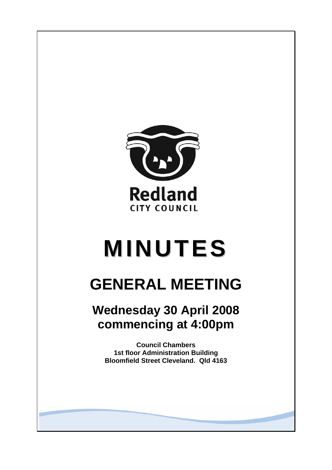

# **MINUTES**

# **GENERAL MEETING**

# **Wednesday 30 April 2008 commencing at 4:00pm**

**Council Chambers 1st floor Administration Building Bloomfield Street Cleveland. Qld 4163**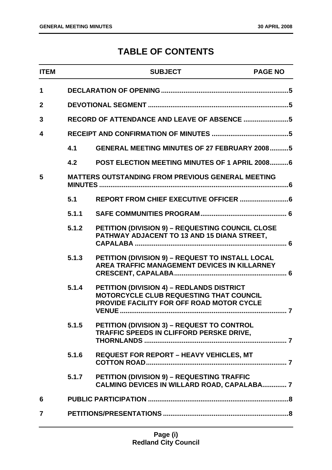# **TABLE OF CONTENTS**

| <b>ITEM</b>  |       | <b>SUBJECT</b>                                                                                                                           | <b>PAGE NO</b> |
|--------------|-------|------------------------------------------------------------------------------------------------------------------------------------------|----------------|
| $\mathbf 1$  |       |                                                                                                                                          |                |
| $\mathbf{2}$ |       |                                                                                                                                          |                |
| 3            |       |                                                                                                                                          |                |
| 4            |       |                                                                                                                                          |                |
|              | 4.1   | <b>GENERAL MEETING MINUTES OF 27 FEBRUARY 20085</b>                                                                                      |                |
|              | 4.2   | POST ELECTION MEETING MINUTES OF 1 APRIL 20086                                                                                           |                |
| 5            |       | <b>MATTERS OUTSTANDING FROM PREVIOUS GENERAL MEETING</b>                                                                                 |                |
|              | 5.1   |                                                                                                                                          |                |
|              | 5.1.1 |                                                                                                                                          |                |
|              | 5.1.2 | PETITION (DIVISION 9) - REQUESTING COUNCIL CLOSE<br>PATHWAY ADJACENT TO 13 AND 15 DIANA STREET,                                          |                |
|              | 5.1.3 | PETITION (DIVISION 9) - REQUEST TO INSTALL LOCAL<br>AREA TRAFFIC MANAGEMENT DEVICES IN KILLARNEY                                         |                |
|              | 5.1.4 | PETITION (DIVISION 4) - REDLANDS DISTRICT<br>MOTORCYCLE CLUB REQUESTING THAT COUNCIL<br><b>PROVIDE FACILITY FOR OFF ROAD MOTOR CYCLE</b> |                |
|              | 5.1.5 | PETITION (DIVISION 3) - REQUEST TO CONTROL<br>TRAFFIC SPEEDS IN CLIFFORD PERSKE DRIVE,                                                   |                |
|              | 5.1.6 | <b>REQUEST FOR REPORT - HEAVY VEHICLES, MT</b>                                                                                           |                |
|              | 5.1.7 | <b>PETITION (DIVISION 9) - REQUESTING TRAFFIC</b><br>CALMING DEVICES IN WILLARD ROAD, CAPALABA 7                                         |                |
| 6            |       |                                                                                                                                          |                |
| 7            |       |                                                                                                                                          |                |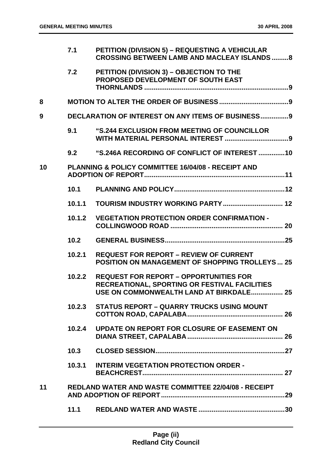|    | 7.1    | <b>PETITION (DIVISION 5) - REQUESTING A VEHICULAR</b><br><b>CROSSING BETWEEN LAMB AND MACLEAY ISLANDS 8</b>                               |
|----|--------|-------------------------------------------------------------------------------------------------------------------------------------------|
|    | 7.2    | PETITION (DIVISION 3) - OBJECTION TO THE<br>PROPOSED DEVELOPMENT OF SOUTH EAST                                                            |
| 8  |        |                                                                                                                                           |
| 9  |        | <b>DECLARATION OF INTEREST ON ANY ITEMS OF BUSINESS9</b>                                                                                  |
|    | 9.1    | "S.244 EXCLUSION FROM MEETING OF COUNCILLOR                                                                                               |
|    | 9.2    | "S.246A RECORDING OF CONFLICT OF INTEREST 10                                                                                              |
| 10 |        | PLANNING & POLICY COMMITTEE 16/04/08 - RECEIPT AND                                                                                        |
|    | 10.1   |                                                                                                                                           |
|    | 10.1.1 |                                                                                                                                           |
|    | 10.1.2 | <b>VEGETATION PROTECTION ORDER CONFIRMATION -</b>                                                                                         |
|    | 10.2   |                                                                                                                                           |
|    | 10.2.1 | <b>REQUEST FOR REPORT - REVIEW OF CURRENT</b><br><b>POSITION ON MANAGEMENT OF SHOPPING TROLLEYS  25</b>                                   |
|    | 10.2.2 | <b>REQUEST FOR REPORT - OPPORTUNITIES FOR</b><br>RECREATIONAL, SPORTING OR FESTIVAL FACILITIES<br>USE ON COMMONWEALTH LAND AT BIRKDALE 25 |
|    | 10.2.3 | <b>STATUS REPORT - QUARRY TRUCKS USING MOUNT</b>                                                                                          |
|    | 10.2.4 | UPDATE ON REPORT FOR CLOSURE OF EASEMENT ON                                                                                               |
|    | 10.3   |                                                                                                                                           |
|    | 10.3.1 | <b>INTERIM VEGETATION PROTECTION ORDER -</b>                                                                                              |
| 11 |        | <b>REDLAND WATER AND WASTE COMMITTEE 22/04/08 - RECEIPT</b>                                                                               |
|    | 11.1   |                                                                                                                                           |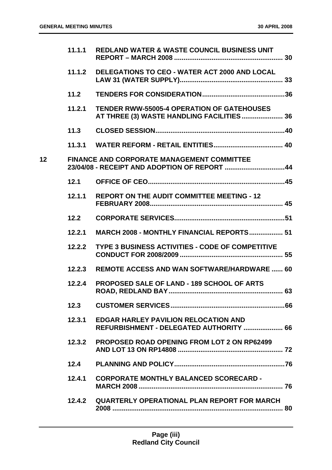|                 | 11.1.1 | <b>REDLAND WATER &amp; WASTE COUNCIL BUSINESS UNIT</b>                                            |
|-----------------|--------|---------------------------------------------------------------------------------------------------|
|                 | 11.1.2 | DELEGATIONS TO CEO - WATER ACT 2000 AND LOCAL                                                     |
|                 | 11.2   |                                                                                                   |
|                 | 11.2.1 | <b>TENDER RWW-55005-4 OPERATION OF GATEHOUSES</b><br>AT THREE (3) WASTE HANDLING FACILITIES 36    |
|                 | 11.3   |                                                                                                   |
|                 |        |                                                                                                   |
| 12 <sub>2</sub> |        | <b>FINANCE AND CORPORATE MANAGEMENT COMMITTEE</b><br>23/04/08 - RECEIPT AND ADOPTION OF REPORT 44 |
|                 | 12.1   |                                                                                                   |
|                 | 12.1.1 | <b>REPORT ON THE AUDIT COMMITTEE MEETING - 12</b>                                                 |
|                 | 12.2   |                                                                                                   |
|                 | 12.2.1 | <b>MARCH 2008 - MONTHLY FINANCIAL REPORTS 51</b>                                                  |
|                 | 12.2.2 | TYPE 3 BUSINESS ACTIVITIES - CODE OF COMPETITIVE                                                  |
|                 | 12.2.3 | <b>REMOTE ACCESS AND WAN SOFTWARE/HARDWARE  60</b>                                                |
|                 | 12.2.4 | <b>PROPOSED SALE OF LAND - 189 SCHOOL OF ARTS</b>                                                 |
|                 | 12.3   |                                                                                                   |
|                 | 12.3.1 | <b>EDGAR HARLEY PAVILION RELOCATION AND</b><br>REFURBISHMENT - DELEGATED AUTHORITY  66            |
|                 | 12.3.2 | <b>PROPOSED ROAD OPENING FROM LOT 2 ON RP62499</b>                                                |
|                 | 12.4   |                                                                                                   |
|                 | 12.4.1 | <b>CORPORATE MONTHLY BALANCED SCORECARD -</b>                                                     |
|                 |        | 12.4.2 QUARTERLY OPERATIONAL PLAN REPORT FOR MARCH                                                |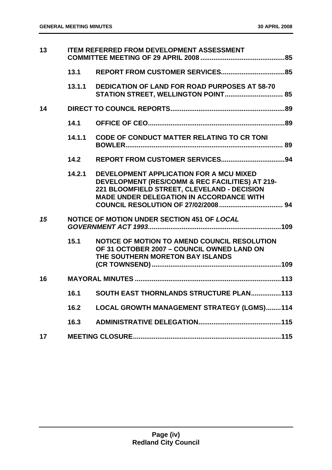| 13 |        | <b>ITEM REFERRED FROM DEVELOPMENT ASSESSMENT</b>                                                                                                                                             |  |
|----|--------|----------------------------------------------------------------------------------------------------------------------------------------------------------------------------------------------|--|
|    | 13.1   |                                                                                                                                                                                              |  |
|    |        | 13.1.1 DEDICATION OF LAND FOR ROAD PURPOSES AT 58-70                                                                                                                                         |  |
| 14 |        |                                                                                                                                                                                              |  |
|    | 14.1   |                                                                                                                                                                                              |  |
|    | 14.1.1 | <b>CODE OF CONDUCT MATTER RELATING TO CR TONI</b>                                                                                                                                            |  |
|    | 14.2   |                                                                                                                                                                                              |  |
|    | 14.2.1 | DEVELOPMENT APPLICATION FOR A MCU MIXED<br>DEVELOPMENT (RES/COMM & REC FACILITIES) AT 219-<br>221 BLOOMFIELD STREET, CLEVELAND - DECISION<br><b>MADE UNDER DELEGATION IN ACCORDANCE WITH</b> |  |
| 15 |        | NOTICE OF MOTION UNDER SECTION 451 OF LOCAL                                                                                                                                                  |  |
|    | 15.1   | NOTICE OF MOTION TO AMEND COUNCIL RESOLUTION<br>OF 31 OCTOBER 2007 - COUNCIL OWNED LAND ON<br>THE SOUTHERN MORETON BAY ISLANDS                                                               |  |
| 16 |        |                                                                                                                                                                                              |  |
|    | 16.1   | SOUTH EAST THORNLANDS STRUCTURE PLAN113                                                                                                                                                      |  |
|    | 16.2   | LOCAL GROWTH MANAGEMENT STRATEGY (LGMS)114                                                                                                                                                   |  |
|    | 16.3   |                                                                                                                                                                                              |  |
| 17 |        |                                                                                                                                                                                              |  |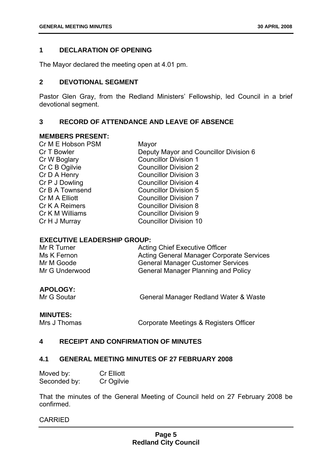# **1 DECLARATION OF OPENING**

The Mayor declared the meeting open at 4.01 pm.

# **2 DEVOTIONAL SEGMENT**

Pastor Glen Gray, from the Redland Ministers' Fellowship, led Council in a brief devotional segment.

# **3 RECORD OF ATTENDANCE AND LEAVE OF ABSENCE**

# **MEMBERS PRESENT:**

| Cr M E Hobson PSM | Mayor                                  |
|-------------------|----------------------------------------|
| Cr T Bowler       | Deputy Mayor and Councillor Division 6 |
| Cr W Boglary      | <b>Councillor Division 1</b>           |
| Cr C B Ogilvie    | <b>Councillor Division 2</b>           |
| Cr D A Henry      | <b>Councillor Division 3</b>           |
| Cr P J Dowling    | <b>Councillor Division 4</b>           |
| Cr B A Townsend   | <b>Councillor Division 5</b>           |
| Cr M A Elliott    | <b>Councillor Division 7</b>           |
| Cr K A Reimers    | <b>Councillor Division 8</b>           |
| Cr K M Williams   | <b>Councillor Division 9</b>           |
| Cr H J Murray     | <b>Councillor Division 10</b>          |
|                   |                                        |

# **EXECUTIVE LEADERSHIP GROUP:**

| Mr R Turner    | <b>Acting Chief Executive Officer</b>            |
|----------------|--------------------------------------------------|
| Ms K Fernon    | <b>Acting General Manager Corporate Services</b> |
| Mr M Goode     | <b>General Manager Customer Services</b>         |
| Mr G Underwood | <b>General Manager Planning and Policy</b>       |

# **APOLOGY:**

Mr G Soutar General Manager Redland Water & Waste

**MINUTES:**<br>Mrs J Thomas

Corporate Meetings & Registers Officer

# **4 RECEIPT AND CONFIRMATION OF MINUTES**

# **4.1 GENERAL MEETING MINUTES OF 27 FEBRUARY 2008**

| Moved by:    | <b>Cr Elliott</b> |
|--------------|-------------------|
| Seconded by: | Cr Ogilvie        |

That the minutes of the General Meeting of Council held on 27 February 2008 be confirmed.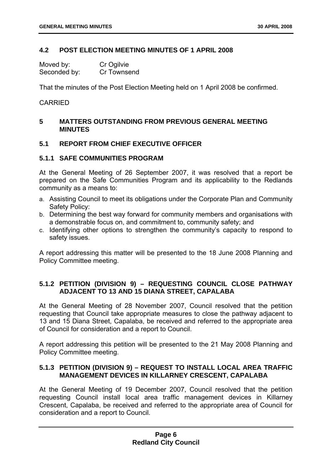# **4.2 POST ELECTION MEETING MINUTES OF 1 APRIL 2008**

| Moved by:    | Cr Ogilvie  |
|--------------|-------------|
| Seconded by: | Cr Townsend |

That the minutes of the Post Election Meeting held on 1 April 2008 be confirmed.

# CARRIED

# **5 MATTERS OUTSTANDING FROM PREVIOUS GENERAL MEETING MINUTES**

# **5.1 REPORT FROM CHIEF EXECUTIVE OFFICER**

# **5.1.1 SAFE COMMUNITIES PROGRAM**

At the General Meeting of 26 September 2007, it was resolved that a report be prepared on the Safe Communities Program and its applicability to the Redlands community as a means to:

- a. Assisting Council to meet its obligations under the Corporate Plan and Community Safety Policy:
- b. Determining the best way forward for community members and organisations with a demonstrable focus on, and commitment to, community safety; and
- c. Identifying other options to strengthen the community's capacity to respond to safety issues.

A report addressing this matter will be presented to the 18 June 2008 Planning and Policy Committee meeting.

# **5.1.2 PETITION (DIVISION 9) – REQUESTING COUNCIL CLOSE PATHWAY ADJACENT TO 13 AND 15 DIANA STREET, CAPALABA**

At the General Meeting of 28 November 2007, Council resolved that the petition requesting that Council take appropriate measures to close the pathway adjacent to 13 and 15 Diana Street, Capalaba, be received and referred to the appropriate area of Council for consideration and a report to Council.

A report addressing this petition will be presented to the 21 May 2008 Planning and Policy Committee meeting.

# **5.1.3 PETITION (DIVISION 9) – REQUEST TO INSTALL LOCAL AREA TRAFFIC MANAGEMENT DEVICES IN KILLARNEY CRESCENT, CAPALABA**

At the General Meeting of 19 December 2007, Council resolved that the petition requesting Council install local area traffic management devices in Killarney Crescent, Capalaba, be received and referred to the appropriate area of Council for consideration and a report to Council.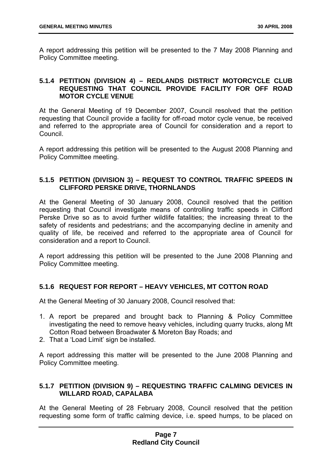A report addressing this petition will be presented to the 7 May 2008 Planning and Policy Committee meeting.

# **5.1.4 PETITION (DIVISION 4) – REDLANDS DISTRICT MOTORCYCLE CLUB REQUESTING THAT COUNCIL PROVIDE FACILITY FOR OFF ROAD MOTOR CYCLE VENUE**

At the General Meeting of 19 December 2007, Council resolved that the petition requesting that Council provide a facility for off-road motor cycle venue, be received and referred to the appropriate area of Council for consideration and a report to Council.

A report addressing this petition will be presented to the August 2008 Planning and Policy Committee meeting.

# **5.1.5 PETITION (DIVISION 3) – REQUEST TO CONTROL TRAFFIC SPEEDS IN CLIFFORD PERSKE DRIVE, THORNLANDS**

At the General Meeting of 30 January 2008, Council resolved that the petition requesting that Council investigate means of controlling traffic speeds in Clifford Perske Drive so as to avoid further wildlife fatalities; the increasing threat to the safety of residents and pedestrians; and the accompanying decline in amenity and quality of life, be received and referred to the appropriate area of Council for consideration and a report to Council.

A report addressing this petition will be presented to the June 2008 Planning and Policy Committee meeting.

# **5.1.6 REQUEST FOR REPORT – HEAVY VEHICLES, MT COTTON ROAD**

At the General Meeting of 30 January 2008, Council resolved that:

- 1. A report be prepared and brought back to Planning & Policy Committee investigating the need to remove heavy vehicles, including quarry trucks, along Mt Cotton Road between Broadwater & Moreton Bay Roads; and
- 2. That a 'Load Limit' sign be installed.

A report addressing this matter will be presented to the June 2008 Planning and Policy Committee meeting.

# **5.1.7 PETITION (DIVISION 9) – REQUESTING TRAFFIC CALMING DEVICES IN WILLARD ROAD, CAPALABA**

At the General Meeting of 28 February 2008, Council resolved that the petition requesting some form of traffic calming device, i.e. speed humps, to be placed on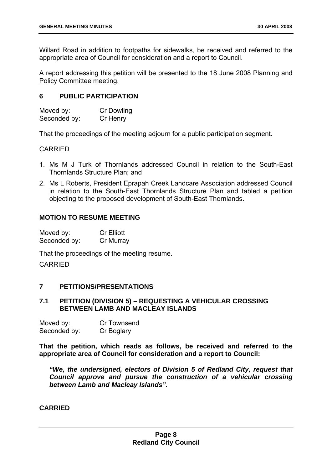Willard Road in addition to footpaths for sidewalks, be received and referred to the appropriate area of Council for consideration and a report to Council.

A report addressing this petition will be presented to the 18 June 2008 Planning and Policy Committee meeting.

# **6 PUBLIC PARTICIPATION**

| Moved by:    | Cr Dowling |
|--------------|------------|
| Seconded by: | Cr Henry   |

That the proceedings of the meeting adjourn for a public participation segment.

# CARRIED

- 1. Ms M J Turk of Thornlands addressed Council in relation to the South-East Thornlands Structure Plan; and
- 2. Ms L Roberts, President Eprapah Creek Landcare Association addressed Council in relation to the South-East Thornlands Structure Plan and tabled a petition objecting to the proposed development of South-East Thornlands.

# **MOTION TO RESUME MEETING**

| Moved by:    | <b>Cr Elliott</b> |
|--------------|-------------------|
| Seconded by: | Cr Murray         |

That the proceedings of the meeting resume.

CARRIED

# **7 PETITIONS/PRESENTATIONS**

# **7.1 PETITION (DIVISION 5) – REQUESTING A VEHICULAR CROSSING BETWEEN LAMB AND MACLEAY ISLANDS**

| Moved by:    | Cr Townsend |
|--------------|-------------|
| Seconded by: | Cr Boglary  |

**That the petition, which reads as follows, be received and referred to the appropriate area of Council for consideration and a report to Council:** 

*"We, the undersigned, electors of Division 5 of Redland City, request that Council approve and pursue the construction of a vehicular crossing between Lamb and Macleay Islands".*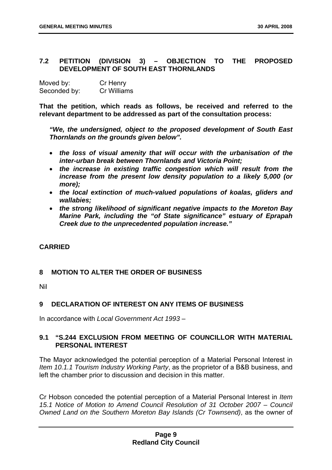# **7.2 PETITION (DIVISION 3) – OBJECTION TO THE PROPOSED DEVELOPMENT OF SOUTH EAST THORNLANDS**

| Moved by:    | Cr Henry           |
|--------------|--------------------|
| Seconded by: | <b>Cr Williams</b> |

**That the petition, which reads as follows, be received and referred to the relevant department to be addressed as part of the consultation process:** 

*"We, the undersigned, object to the proposed development of South East Thornlands on the grounds given below".* 

- *the loss of visual amenity that will occur with the urbanisation of the inter-urban break between Thornlands and Victoria Point;*
- *the increase in existing traffic congestion which will result from the increase from the present low density population to a likely 5,000 (or more);*
- *the local extinction of much-valued populations of koalas, gliders and wallabies;*
- *the strong likelihood of significant negative impacts to the Moreton Bay Marine Park, including the "of State significance" estuary of Eprapah Creek due to the unprecedented population increase."*

# **CARRIED**

# **8 MOTION TO ALTER THE ORDER OF BUSINESS**

Nil

# **9 DECLARATION OF INTEREST ON ANY ITEMS OF BUSINESS**

In accordance with *Local Government Act 1993* –

# **9.1 "S.244 EXCLUSION FROM MEETING OF COUNCILLOR WITH MATERIAL PERSONAL INTEREST**

The Mayor acknowledged the potential perception of a Material Personal Interest in *Item 10.1.1 Tourism Industry Working Party*, as the proprietor of a B&B business, and left the chamber prior to discussion and decision in this matter.

Cr Hobson conceded the potential perception of a Material Personal Interest in *Item 15.1 Notice of Motion to Amend Council Resolution of 31 October 2007 – Council Owned Land on the Southern Moreton Bay Islands (Cr Townsend)*, as the owner of

# **Page 9 Redland City Council**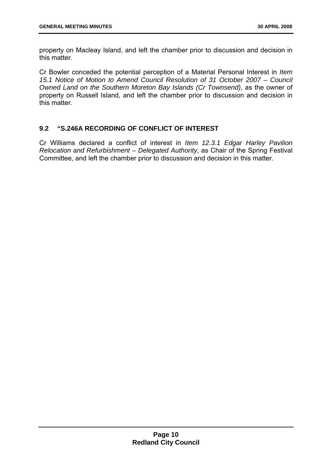property on Macleay Island, and left the chamber prior to discussion and decision in this matter.

Cr Bowler conceded the potential perception of a Material Personal Interest in *Item 15.1 Notice of Motion to Amend Council Resolution of 31 October 2007 – Council Owned Land on the Southern Moreton Bay Islands (Cr Townsend)*, as the owner of property on Russell Island, and left the chamber prior to discussion and decision in this matter.

# **9.2 "S.246A RECORDING OF CONFLICT OF INTEREST**

Cr Williams declared a conflict of interest in *Item 12.3.1 Edgar Harley Pavilion Relocation and Refurbishment – Delegated Authority*, as Chair of the Spring Festival Committee, and left the chamber prior to discussion and decision in this matter.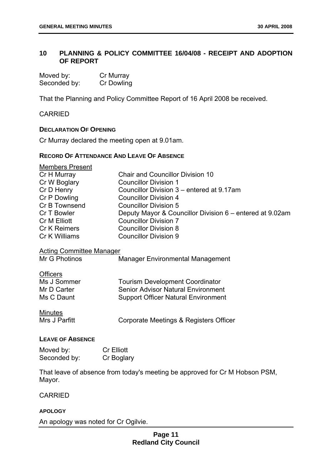# **10 PLANNING & POLICY COMMITTEE 16/04/08 - RECEIPT AND ADOPTION OF REPORT**

| Moved by:    | Cr Murray  |
|--------------|------------|
| Seconded by: | Cr Dowling |

That the Planning and Policy Committee Report of 16 April 2008 be received.

CARRIED

# **DECLARATION OF OPENING**

Cr Murray declared the meeting open at 9.01am.

# **RECORD OF ATTENDANCE AND LEAVE OF ABSENCE**

| <b>Members Present</b>                           |                                                                             |
|--------------------------------------------------|-----------------------------------------------------------------------------|
| Cr H Murray                                      | <b>Chair and Councillor Division 10</b>                                     |
| Cr W Boglary                                     | <b>Councillor Division 1</b>                                                |
| Cr D Henry                                       | Councillor Division 3 – entered at 9.17am                                   |
| Cr P Dowling                                     | <b>Councillor Division 4</b>                                                |
| Cr B Townsend                                    | <b>Councillor Division 5</b>                                                |
| Cr T Bowler                                      | Deputy Mayor & Councillor Division 6 – entered at 9.02am                    |
| Cr M Elliott                                     | <b>Councillor Division 7</b>                                                |
| Cr K Reimers                                     | <b>Councillor Division 8</b>                                                |
| Cr K Williams                                    | <b>Councillor Division 9</b>                                                |
| <b>Acting Committee Manager</b><br>Mr G Photinos | <b>Manager Environmental Management</b>                                     |
| <b>Officers</b>                                  |                                                                             |
| Ms J Sommer                                      | <b>Tourism Development Coordinator</b>                                      |
| Mr D Carter                                      | <b>Senior Advisor Natural Environment</b>                                   |
| Ms C Daunt                                       | <b>Support Officer Natural Environment</b>                                  |
| <b>Minutes</b><br>Mrs J Parfitt                  | Corporate Meetings & Registers Officer                                      |
| <b>LEAVE OF ABSENCE</b>                          |                                                                             |
| Moved by:                                        | <b>Cr Elliott</b>                                                           |
| Seconded by:                                     | Cr Boglary                                                                  |
|                                                  |                                                                             |
|                                                  | That leave of absence from today's meeting be approved for Cr M Hobson PSM, |

CARRIED

Mayor.

# **APOLOGY**

An apology was noted for Cr Ogilvie.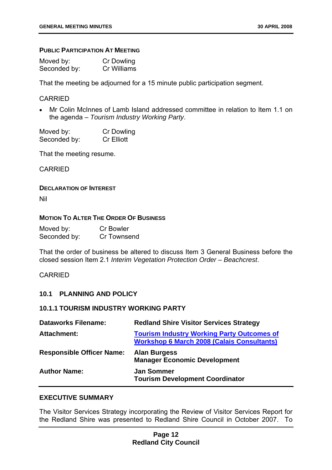# **PUBLIC PARTICIPATION AT MEETING**

| Moved by:    | Cr Dowling  |
|--------------|-------------|
| Seconded by: | Cr Williams |

That the meeting be adjourned for a 15 minute public participation segment.

# CARRIED

• Mr Colin McInnes of Lamb Island addressed committee in relation to Item 1.1 on the agenda – *Tourism Industry Working Party*.

| Moved by:    | <b>Cr Dowling</b> |
|--------------|-------------------|
| Seconded by: | <b>Cr Elliott</b> |

That the meeting resume.

CARRIED

# **DECLARATION OF INTEREST**

Nil

# **MOTION TO ALTER THE ORDER OF BUSINESS**

| Moved by:    | <b>Cr Bowler</b> |
|--------------|------------------|
| Seconded by: | Cr Townsend      |

That the order of business be altered to discuss Item 3 General Business before the closed session Item 2.1 *Interim Vegetation Protection Order – Beachcrest*.

# CARRIED

# **10.1 PLANNING AND POLICY**

# **10.1.1 TOURISM INDUSTRY WORKING PARTY**

| <b>Dataworks Filename:</b>       | <b>Redland Shire Visitor Services Strategy</b>                                                         |
|----------------------------------|--------------------------------------------------------------------------------------------------------|
| <b>Attachment:</b>               | <b>Tourism Industry Working Party Outcomes of</b><br><b>Workshop 6 March 2008 (Calais Consultants)</b> |
| <b>Responsible Officer Name:</b> | <b>Alan Burgess</b><br><b>Manager Economic Development</b>                                             |
| <b>Author Name:</b>              | <b>Jan Sommer</b><br><b>Tourism Development Coordinator</b>                                            |

# **EXECUTIVE SUMMARY**

The Visitor Services Strategy incorporating the Review of Visitor Services Report for the Redland Shire was presented to Redland Shire Council in October 2007. To

# **Page 12 Redland City Council**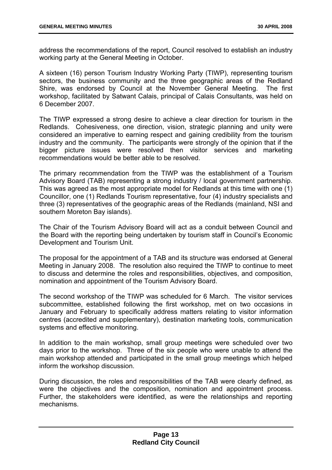address the recommendations of the report, Council resolved to establish an industry working party at the General Meeting in October.

A sixteen (16) person Tourism Industry Working Party (TIWP), representing tourism sectors, the business community and the three geographic areas of the Redland Shire, was endorsed by Council at the November General Meeting. The first workshop, facilitated by Satwant Calais, principal of Calais Consultants, was held on 6 December 2007.

The TIWP expressed a strong desire to achieve a clear direction for tourism in the Redlands. Cohesiveness, one direction, vision, strategic planning and unity were considered an imperative to earning respect and gaining credibility from the tourism industry and the community. The participants were strongly of the opinion that if the bigger picture issues were resolved then visitor services and marketing recommendations would be better able to be resolved.

The primary recommendation from the TIWP was the establishment of a Tourism Advisory Board (TAB) representing a strong industry / local government partnership. This was agreed as the most appropriate model for Redlands at this time with one (1) Councillor, one (1) Redlands Tourism representative, four (4) industry specialists and three (3) representatives of the geographic areas of the Redlands (mainland, NSI and southern Moreton Bay islands).

The Chair of the Tourism Advisory Board will act as a conduit between Council and the Board with the reporting being undertaken by tourism staff in Council's Economic Development and Tourism Unit.

The proposal for the appointment of a TAB and its structure was endorsed at General Meeting in January 2008. The resolution also required the TIWP to continue to meet to discuss and determine the roles and responsibilities, objectives, and composition, nomination and appointment of the Tourism Advisory Board.

The second workshop of the TIWP was scheduled for 6 March. The visitor services subcommittee, established following the first workshop, met on two occasions in January and February to specifically address matters relating to visitor information centres (accredited and supplementary), destination marketing tools, communication systems and effective monitoring.

In addition to the main workshop, small group meetings were scheduled over two days prior to the workshop. Three of the six people who were unable to attend the main workshop attended and participated in the small group meetings which helped inform the workshop discussion.

During discussion, the roles and responsibilities of the TAB were clearly defined, as were the objectives and the composition, nomination and appointment process. Further, the stakeholders were identified, as were the relationships and reporting mechanisms.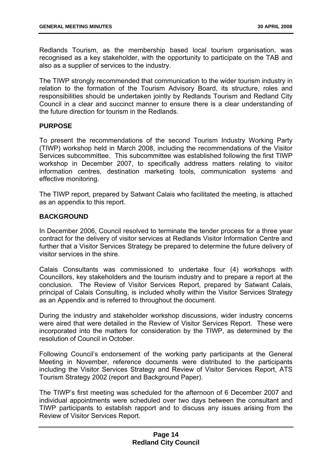Redlands Tourism, as the membership based local tourism organisation, was recognised as a key stakeholder, with the opportunity to participate on the TAB and also as a supplier of services to the industry.

The TIWP strongly recommended that communication to the wider tourism industry in relation to the formation of the Tourism Advisory Board, its structure, roles and responsibilities should be undertaken jointly by Redlands Tourism and Redland City Council in a clear and succinct manner to ensure there is a clear understanding of the future direction for tourism in the Redlands.

# **PURPOSE**

To present the recommendations of the second Tourism Industry Working Party (TIWP) workshop held in March 2008, including the recommendations of the Visitor Services subcommittee. This subcommittee was established following the first TIWP workshop in December 2007, to specifically address matters relating to visitor information centres, destination marketing tools, communication systems and effective monitoring.

The TIWP report, prepared by Satwant Calais who facilitated the meeting, is attached as an appendix to this report.

# **BACKGROUND**

In December 2006, Council resolved to terminate the tender process for a three year contract for the delivery of visitor services at Redlands Visitor Information Centre and further that a Visitor Services Strategy be prepared to determine the future delivery of visitor services in the shire.

Calais Consultants was commissioned to undertake four (4) workshops with Councillors, key stakeholders and the tourism industry and to prepare a report at the conclusion. The Review of Visitor Services Report, prepared by Satwant Calais, principal of Calais Consulting, is included wholly within the Visitor Services Strategy as an Appendix and is referred to throughout the document.

During the industry and stakeholder workshop discussions, wider industry concerns were aired that were detailed in the Review of Visitor Services Report. These were incorporated into the matters for consideration by the TIWP, as determined by the resolution of Council in October.

Following Council's endorsement of the working party participants at the General Meeting in November, reference documents were distributed to the participants including the Visitor Services Strategy and Review of Visitor Services Report, ATS Tourism Strategy 2002 (report and Background Paper).

The TIWP's first meeting was scheduled for the afternoon of 6 December 2007 and individual appointments were scheduled over two days between the consultant and TIWP participants to establish rapport and to discuss any issues arising from the Review of Visitor Services Report.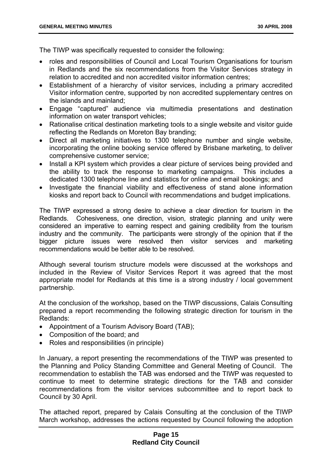The TIWP was specifically requested to consider the following:

- roles and responsibilities of Council and Local Tourism Organisations for tourism in Redlands and the six recommendations from the Visitor Services strategy in relation to accredited and non accredited visitor information centres;
- Establishment of a hierarchy of visitor services, including a primary accredited Visitor information centre, supported by non accredited supplementary centres on the islands and mainland;
- Engage "captured" audience via multimedia presentations and destination information on water transport vehicles;
- Rationalise critical destination marketing tools to a single website and visitor guide reflecting the Redlands on Moreton Bay branding;
- Direct all marketing initiatives to 1300 telephone number and single website, incorporating the online booking service offered by Brisbane marketing, to deliver comprehensive customer service;
- Install a KPI system which provides a clear picture of services being provided and the ability to track the response to marketing campaigns. This includes a dedicated 1300 telephone line and statistics for online and email bookings; and
- Investigate the financial viability and effectiveness of stand alone information kiosks and report back to Council with recommendations and budget implications.

The TIWP expressed a strong desire to achieve a clear direction for tourism in the Redlands. Cohesiveness, one direction, vision, strategic planning and unity were considered an imperative to earning respect and gaining credibility from the tourism industry and the community. The participants were strongly of the opinion that if the bigger picture issues were resolved then visitor services and marketing recommendations would be better able to be resolved.

Although several tourism structure models were discussed at the workshops and included in the Review of Visitor Services Report it was agreed that the most appropriate model for Redlands at this time is a strong industry / local government partnership.

At the conclusion of the workshop, based on the TIWP discussions, Calais Consulting prepared a report recommending the following strategic direction for tourism in the Redlands:

- Appointment of a Tourism Advisory Board (TAB);
- Composition of the board; and
- Roles and responsibilities (in principle)

In January, a report presenting the recommendations of the TIWP was presented to the Planning and Policy Standing Committee and General Meeting of Council. The recommendation to establish the TAB was endorsed and the TIWP was requested to continue to meet to determine strategic directions for the TAB and consider recommendations from the visitor services subcommittee and to report back to Council by 30 April.

The attached report, prepared by Calais Consulting at the conclusion of the TIWP March workshop, addresses the actions requested by Council following the adoption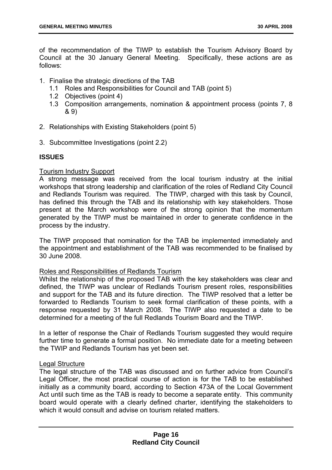of the recommendation of the TIWP to establish the Tourism Advisory Board by Council at the 30 January General Meeting. Specifically, these actions are as follows:

- 1. Finalise the strategic directions of the TAB
	- 1.1 Roles and Responsibilities for Council and TAB (point 5)
	- 1.2 Objectives (point 4)
	- 1.3 Composition arrangements, nomination & appointment process (points 7, 8 & 9)
- 2. Relationships with Existing Stakeholders (point 5)
- 3. Subcommittee Investigations (point 2.2)

# **ISSUES**

# Tourism Industry Support

A strong message was received from the local tourism industry at the initial workshops that strong leadership and clarification of the roles of Redland City Council and Redlands Tourism was required. The TIWP, charged with this task by Council, has defined this through the TAB and its relationship with key stakeholders. Those present at the March workshop were of the strong opinion that the momentum generated by the TIWP must be maintained in order to generate confidence in the process by the industry.

The TIWP proposed that nomination for the TAB be implemented immediately and the appointment and establishment of the TAB was recommended to be finalised by 30 June 2008.

# Roles and Responsibilities of Redlands Tourism

Whilst the relationship of the proposed TAB with the key stakeholders was clear and defined, the TIWP was unclear of Redlands Tourism present roles, responsibilities and support for the TAB and its future direction. The TIWP resolved that a letter be forwarded to Redlands Tourism to seek formal clarification of these points, with a response requested by 31 March 2008. The TIWP also requested a date to be determined for a meeting of the full Redlands Tourism Board and the TIWP.

In a letter of response the Chair of Redlands Tourism suggested they would require further time to generate a formal position. No immediate date for a meeting between the TWIP and Redlands Tourism has yet been set.

# Legal Structure

The legal structure of the TAB was discussed and on further advice from Council's Legal Officer, the most practical course of action is for the TAB to be established initially as a community board, according to Section 473A of the Local Government Act until such time as the TAB is ready to become a separate entity. This community board would operate with a clearly defined charter, identifying the stakeholders to which it would consult and advise on tourism related matters.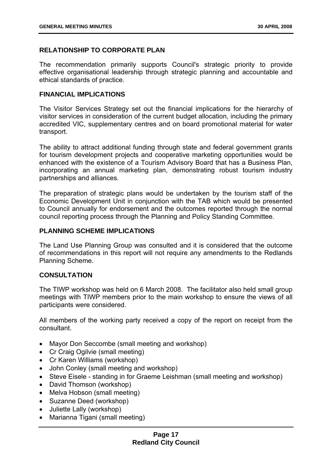# **RELATIONSHIP TO CORPORATE PLAN**

The recommendation primarily supports Council's strategic priority to provide effective organisational leadership through strategic planning and accountable and ethical standards of practice.

# **FINANCIAL IMPLICATIONS**

The Visitor Services Strategy set out the financial implications for the hierarchy of visitor services in consideration of the current budget allocation, including the primary accredited VIC, supplementary centres and on board promotional material for water transport.

The ability to attract additional funding through state and federal government grants for tourism development projects and cooperative marketing opportunities would be enhanced with the existence of a Tourism Advisory Board that has a Business Plan, incorporating an annual marketing plan, demonstrating robust tourism industry partnerships and alliances.

The preparation of strategic plans would be undertaken by the tourism staff of the Economic Development Unit in conjunction with the TAB which would be presented to Council annually for endorsement and the outcomes reported through the normal council reporting process through the Planning and Policy Standing Committee.

# **PLANNING SCHEME IMPLICATIONS**

The Land Use Planning Group was consulted and it is considered that the outcome of recommendations in this report will not require any amendments to the Redlands Planning Scheme.

# **CONSULTATION**

The TIWP workshop was held on 6 March 2008. The facilitator also held small group meetings with TIWP members prior to the main workshop to ensure the views of all participants were considered.

All members of the working party received a copy of the report on receipt from the consultant.

- Mayor Don Seccombe (small meeting and workshop)
- Cr Craig Ogilvie (small meeting)
- Cr Karen Williams (workshop)
- John Conley (small meeting and workshop)
- Steve Eisele standing in for Graeme Leishman (small meeting and workshop)
- David Thomson (workshop)
- Melva Hobson (small meeting)
- Suzanne Deed (workshop)
- Juliette Lally (workshop)
- Marianna Tigani (small meeting)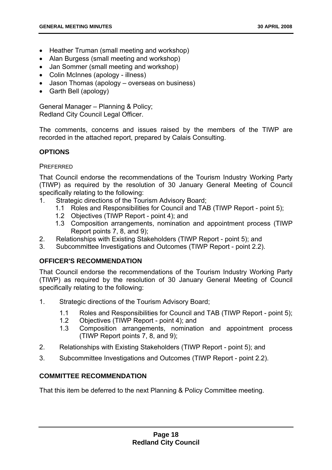- Heather Truman (small meeting and workshop)
- Alan Burgess (small meeting and workshop)
- Jan Sommer (small meeting and workshop)
- Colin McInnes (apology illness)
- Jason Thomas (apology overseas on business)
- Garth Bell (apology)

General Manager – Planning & Policy; Redland City Council Legal Officer.

The comments, concerns and issues raised by the members of the TIWP are recorded in the attached report, prepared by Calais Consulting.

# **OPTIONS**

# **PREFERRED**

That Council endorse the recommendations of the Tourism Industry Working Party (TIWP) as required by the resolution of 30 January General Meeting of Council specifically relating to the following:

- 1. Strategic directions of the Tourism Advisory Board;
	- 1.1 Roles and Responsibilities for Council and TAB (TIWP Report point 5);
	- 1.2 Objectives (TIWP Report point 4); and
	- 1.3 Composition arrangements, nomination and appointment process (TIWP Report points 7, 8, and 9);
- 2. Relationships with Existing Stakeholders (TIWP Report point 5); and
- 3. Subcommittee Investigations and Outcomes (TIWP Report point 2.2).

# **OFFICER'S RECOMMENDATION**

That Council endorse the recommendations of the Tourism Industry Working Party (TIWP) as required by the resolution of 30 January General Meeting of Council specifically relating to the following:

- 1. Strategic directions of the Tourism Advisory Board;
	- 1.1 Roles and Responsibilities for Council and TAB (TIWP Report point 5);
	- 1.2 Objectives (TIWP Report point 4); and
	- 1.3 Composition arrangements, nomination and appointment process (TIWP Report points 7, 8, and 9);
- 2. Relationships with Existing Stakeholders (TIWP Report point 5); and
- 3. Subcommittee Investigations and Outcomes (TIWP Report point 2.2).

# **COMMITTEE RECOMMENDATION**

That this item be deferred to the next Planning & Policy Committee meeting.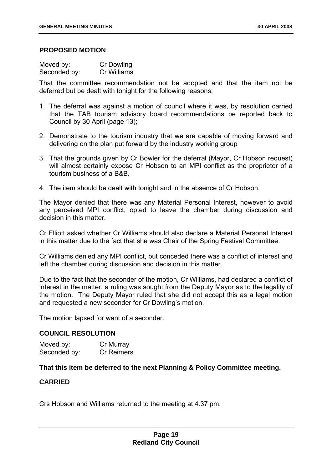# **PROPOSED MOTION**

| Moved by:    | Cr Dowling  |
|--------------|-------------|
| Seconded by: | Cr Williams |

That the committee recommendation not be adopted and that the item not be deferred but be dealt with tonight for the following reasons:

- 1. The deferral was against a motion of council where it was, by resolution carried that the TAB tourism advisory board recommendations be reported back to Council by 30 April (page 13);
- 2. Demonstrate to the tourism industry that we are capable of moving forward and delivering on the plan put forward by the industry working group
- 3. That the grounds given by Cr Bowler for the deferral (Mayor, Cr Hobson request) will almost certainly expose Cr Hobson to an MPI conflict as the proprietor of a tourism business of a B&B.
- 4. The item should be dealt with tonight and in the absence of Cr Hobson.

The Mayor denied that there was any Material Personal Interest, however to avoid any perceived MPI conflict, opted to leave the chamber during discussion and decision in this matter.

Cr Elliott asked whether Cr Williams should also declare a Material Personal Interest in this matter due to the fact that she was Chair of the Spring Festival Committee.

Cr Williams denied any MPI conflict, but conceded there was a conflict of interest and left the chamber during discussion and decision in this matter.

Due to the fact that the seconder of the motion, Cr Williams, had declared a conflict of interest in the matter, a ruling was sought from the Deputy Mayor as to the legality of the motion. The Deputy Mayor ruled that she did not accept this as a legal motion and requested a new seconder for Cr Dowling's motion.

The motion lapsed for want of a seconder.

# **COUNCIL RESOLUTION**

| Moved by:    | Cr Murray         |
|--------------|-------------------|
| Seconded by: | <b>Cr Reimers</b> |

# **That this item be deferred to the next Planning & Policy Committee meeting.**

# **CARRIED**

Crs Hobson and Williams returned to the meeting at 4.37 pm.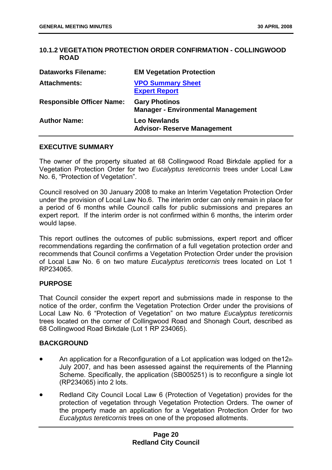# **10.1.2 VEGETATION PROTECTION ORDER CONFIRMATION - COLLINGWOOD ROAD**

| <b>Dataworks Filename:</b>       | <b>EM Vegetation Protection</b>                                   |
|----------------------------------|-------------------------------------------------------------------|
| <b>Attachments:</b>              | <b>VPO Summary Sheet</b><br><b>Expert Report</b>                  |
| <b>Responsible Officer Name:</b> | <b>Gary Photinos</b><br><b>Manager - Environmental Management</b> |
| <b>Author Name:</b>              | <b>Leo Newlands</b><br><b>Advisor- Reserve Management</b>         |

# **EXECUTIVE SUMMARY**

The owner of the property situated at 68 Collingwood Road Birkdale applied for a Vegetation Protection Order for two *Eucalyptus tereticornis* trees under Local Law No. 6, "Protection of Vegetation".

Council resolved on 30 January 2008 to make an Interim Vegetation Protection Order under the provision of Local Law No.6. The interim order can only remain in place for a period of 6 months while Council calls for public submissions and prepares an expert report. If the interim order is not confirmed within 6 months, the interim order would lapse.

This report outlines the outcomes of public submissions, expert report and officer recommendations regarding the confirmation of a full vegetation protection order and recommends that Council confirms a Vegetation Protection Order under the provision of Local Law No. 6 on two mature *Eucalyptus tereticornis* trees located on Lot 1 RP234065.

# **PURPOSE**

That Council consider the expert report and submissions made in response to the notice of the order, confirm the Vegetation Protection Order under the provisions of Local Law No. 6 "Protection of Vegetation" on two mature *Eucalyptus tereticornis* trees located on the corner of Collingwood Road and Shonagh Court, described as 68 Collingwood Road Birkdale (Lot 1 RP 234065).

# **BACKGROUND**

- An application for a Reconfiguration of a Lot application was lodged on the 12th July 2007, and has been assessed against the requirements of the Planning Scheme. Specifically, the application (SB005251) is to reconfigure a single lot (RP234065) into 2 lots.
- Redland City Council Local Law 6 (Protection of Vegetation) provides for the protection of vegetation through Vegetation Protection Orders. The owner of the property made an application for a Vegetation Protection Order for two *Eucalyptus tereticornis* trees on one of the proposed allotments.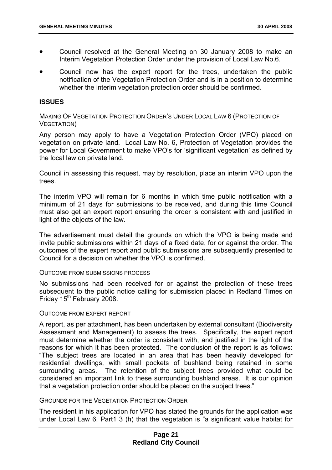- Council resolved at the General Meeting on 30 January 2008 to make an Interim Vegetation Protection Order under the provision of Local Law No.6.
- Council now has the expert report for the trees, undertaken the public notification of the Vegetation Protection Order and is in a position to determine whether the interim vegetation protection order should be confirmed.

# **ISSUES**

MAKING OF VEGETATION PROTECTION ORDER'S UNDER LOCAL LAW 6 (PROTECTION OF VEGETATION)

Any person may apply to have a Vegetation Protection Order (VPO) placed on vegetation on private land. Local Law No. 6, Protection of Vegetation provides the power for Local Government to make VPO's for 'significant vegetation' as defined by the local law on private land.

Council in assessing this request, may by resolution, place an interim VPO upon the trees.

The interim VPO will remain for 6 months in which time public notification with a minimum of 21 days for submissions to be received, and during this time Council must also get an expert report ensuring the order is consistent with and justified in light of the objects of the law.

The advertisement must detail the grounds on which the VPO is being made and invite public submissions within 21 days of a fixed date, for or against the order. The outcomes of the expert report and public submissions are subsequently presented to Council for a decision on whether the VPO is confirmed.

## OUTCOME FROM SUBMISSIONS PROCESS

No submissions had been received for or against the protection of these trees subsequent to the public notice calling for submission placed in Redland Times on Friday  $15<sup>th</sup>$  February 2008.

## OUTCOME FROM EXPERT REPORT

A report, as per attachment, has been undertaken by external consultant (Biodiversity Assessment and Management) to assess the trees. Specifically, the expert report must determine whether the order is consistent with, and justified in the light of the reasons for which it has been protected. The conclusion of the report is as follows: "The subject trees are located in an area that has been heavily developed for residential dwellings, with small pockets of bushland being retained in some surrounding areas. The retention of the subject trees provided what could be considered an important link to these surrounding bushland areas. It is our opinion that a vegetation protection order should be placed on the subject trees."

# GROUNDS FOR THE VEGETATION PROTECTION ORDER

The resident in his application for VPO has stated the grounds for the application was under Local Law 6, Part1 3 (h) that the vegetation is "a significant value habitat for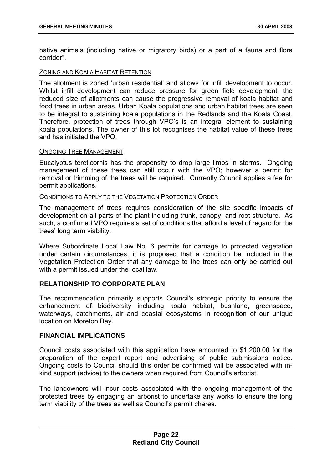native animals (including native or migratory birds) or a part of a fauna and flora corridor".

# ZONING AND KOALA HABITAT RETENTION

The allotment is zoned 'urban residential' and allows for infill development to occur. Whilst infill development can reduce pressure for green field development, the reduced size of allotments can cause the progressive removal of koala habitat and food trees in urban areas. Urban Koala populations and urban habitat trees are seen to be integral to sustaining koala populations in the Redlands and the Koala Coast. Therefore, protection of trees through VPO's is an integral element to sustaining koala populations. The owner of this lot recognises the habitat value of these trees and has initiated the VPO.

# ONGOING TREE MANAGEMENT

Eucalyptus tereticornis has the propensity to drop large limbs in storms. Ongoing management of these trees can still occur with the VPO; however a permit for removal or trimming of the trees will be required. Currently Council applies a fee for permit applications.

# CONDITIONS TO APPLY TO THE VEGETATION PROTECTION ORDER

The management of trees requires consideration of the site specific impacts of development on all parts of the plant including trunk, canopy, and root structure. As such, a confirmed VPO requires a set of conditions that afford a level of regard for the trees' long term viability.

Where Subordinate Local Law No. 6 permits for damage to protected vegetation under certain circumstances, it is proposed that a condition be included in the Vegetation Protection Order that any damage to the trees can only be carried out with a permit issued under the local law.

# **RELATIONSHIP TO CORPORATE PLAN**

The recommendation primarily supports Council's strategic priority to ensure the enhancement of biodiversity including koala habitat, bushland, greenspace, waterways, catchments, air and coastal ecosystems in recognition of our unique location on Moreton Bay.

# **FINANCIAL IMPLICATIONS**

Council costs associated with this application have amounted to \$1,200.00 for the preparation of the expert report and advertising of public submissions notice. Ongoing costs to Council should this order be confirmed will be associated with inkind support (advice) to the owners when required from Council's arborist.

The landowners will incur costs associated with the ongoing management of the protected trees by engaging an arborist to undertake any works to ensure the long term viability of the trees as well as Council's permit chares.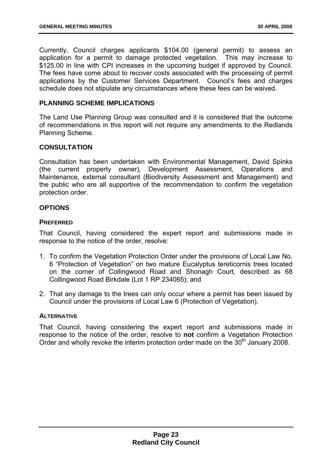Currently, Council charges applicants \$104.00 (general permit) to assess an application for a permit to damage protected vegetation. This may increase to \$125.00 in line with CPI increases in the upcoming budget if approved by Council. The fees have come about to recover costs associated with the processing of permit applications by the Customer Services Department. Council's fees and charges schedule does not stipulate any circumstances where these fees can be waived.

# **PLANNING SCHEME IMPLICATIONS**

The Land Use Planning Group was consulted and it is considered that the outcome of recommendations in this report will not require any amendments to the Redlands Planning Scheme.

# **CONSULTATION**

Consultation has been undertaken with Environmental Management, David Spinks (the current property owner), Development Assessment, Operations and Maintenance, external consultant (Biodiversity Assessment and Management) and the public who are all supportive of the recommendation to confirm the vegetation protection order.

# **OPTIONS**

# **PREFERRED**

That Council, having considered the expert report and submissions made in response to the notice of the order, resolve:

- 1. To confirm the Vegetation Protection Order under the provisions of Local Law No. 6 "Protection of Vegetation" on two mature Eucalyptus tereticornis trees located on the corner of Collingwood Road and Shonagh Court, described as 68 Collingwood Road Birkdale (Lot 1 RP 234065); and
- 2. That any damage to the trees can only occur where a permit has been issued by Council under the provisions of Local Law 6 (Protection of Vegetation).

# **ALTERNATIVE**

That Council, having considering the expert report and submissions made in response to the notice of the order, resolve to **not** confirm a Vegetation Protection Order and wholly revoke the interim protection order made on the  $30<sup>th</sup>$  January 2008.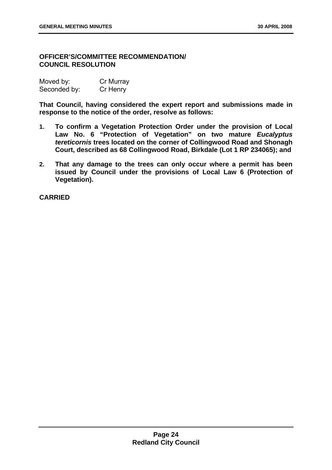# **OFFICER'S/COMMITTEE RECOMMENDATION/ COUNCIL RESOLUTION**

| Moved by:    | Cr Murray |
|--------------|-----------|
| Seconded by: | Cr Henry  |

**That Council, having considered the expert report and submissions made in response to the notice of the order, resolve as follows:** 

- **1. To confirm a Vegetation Protection Order under the provision of Local Law No. 6 "Protection of Vegetation" on two mature** *Eucalyptus tereticornis* **trees located on the corner of Collingwood Road and Shonagh Court, described as 68 Collingwood Road, Birkdale (Lot 1 RP 234065); and**
- **2. That any damage to the trees can only occur where a permit has been issued by Council under the provisions of Local Law 6 (Protection of Vegetation).**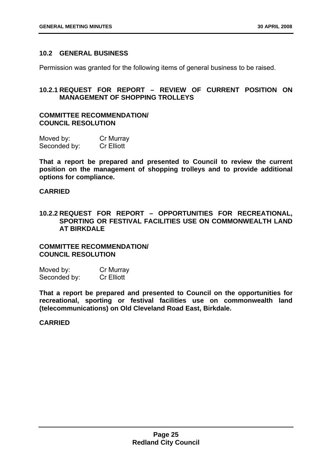# **10.2 GENERAL BUSINESS**

Permission was granted for the following items of general business to be raised.

# **10.2.1 REQUEST FOR REPORT – REVIEW OF CURRENT POSITION ON MANAGEMENT OF SHOPPING TROLLEYS**

# **COMMITTEE RECOMMENDATION/ COUNCIL RESOLUTION**

| Moved by:    | Cr Murray         |
|--------------|-------------------|
| Seconded by: | <b>Cr Elliott</b> |

**That a report be prepared and presented to Council to review the current position on the management of shopping trolleys and to provide additional options for compliance.** 

# **CARRIED**

# **10.2.2 REQUEST FOR REPORT – OPPORTUNITIES FOR RECREATIONAL, SPORTING OR FESTIVAL FACILITIES USE ON COMMONWEALTH LAND AT BIRKDALE**

**COMMITTEE RECOMMENDATION/ COUNCIL RESOLUTION** 

| Moved by:    | Cr Murray         |
|--------------|-------------------|
| Seconded by: | <b>Cr Elliott</b> |

**That a report be prepared and presented to Council on the opportunities for recreational, sporting or festival facilities use on commonwealth land (telecommunications) on Old Cleveland Road East, Birkdale.**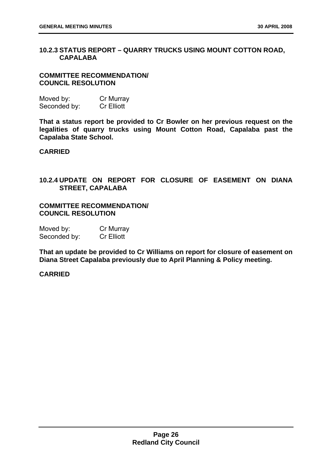# **10.2.3 STATUS REPORT – QUARRY TRUCKS USING MOUNT COTTON ROAD, CAPALABA**

# **COMMITTEE RECOMMENDATION/ COUNCIL RESOLUTION**

| Moved by:    | Cr Murray         |
|--------------|-------------------|
| Seconded by: | <b>Cr Elliott</b> |

**That a status report be provided to Cr Bowler on her previous request on the legalities of quarry trucks using Mount Cotton Road, Capalaba past the Capalaba State School.** 

# **CARRIED**

# **10.2.4 UPDATE ON REPORT FOR CLOSURE OF EASEMENT ON DIANA STREET, CAPALABA**

# **COMMITTEE RECOMMENDATION/ COUNCIL RESOLUTION**

| Moved by:    | Cr Murray         |
|--------------|-------------------|
| Seconded by: | <b>Cr Elliott</b> |

**That an update be provided to Cr Williams on report for closure of easement on Diana Street Capalaba previously due to April Planning & Policy meeting.**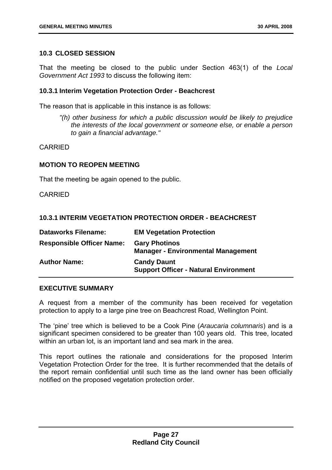# **10.3 CLOSED SESSION**

That the meeting be closed to the public under Section 463(1) of the *Local Government Act 1993* to discuss the following item:

# **10.3.1 Interim Vegetation Protection Order - Beachcrest**

The reason that is applicable in this instance is as follows:

*"(h) other business for which a public discussion would be likely to prejudice the interests of the local government or someone else, or enable a person to gain a financial advantage."* 

CARRIED

# **MOTION TO REOPEN MEETING**

That the meeting be again opened to the public.

CARRIED

# **10.3.1 INTERIM VEGETATION PROTECTION ORDER - BEACHCREST**

| <b>Dataworks Filename:</b>       | <b>EM Vegetation Protection</b>                                    |
|----------------------------------|--------------------------------------------------------------------|
| <b>Responsible Officer Name:</b> | <b>Gary Photinos</b><br><b>Manager - Environmental Management</b>  |
| <b>Author Name:</b>              | <b>Candy Daunt</b><br><b>Support Officer - Natural Environment</b> |

# **EXECUTIVE SUMMARY**

A request from a member of the community has been received for vegetation protection to apply to a large pine tree on Beachcrest Road, Wellington Point.

The 'pine' tree which is believed to be a Cook Pine (*Araucaria columnaris*) and is a significant specimen considered to be greater than 100 years old. This tree, located within an urban lot, is an important land and sea mark in the area.

This report outlines the rationale and considerations for the proposed Interim Vegetation Protection Order for the tree. It is further recommended that the details of the report remain confidential until such time as the land owner has been officially notified on the proposed vegetation protection order.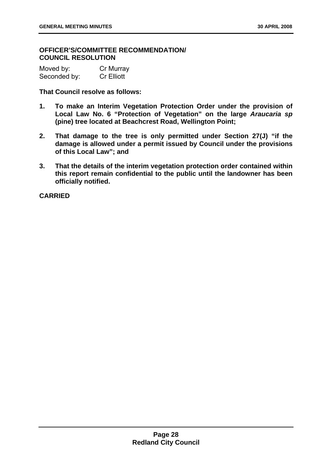# **OFFICER'S/COMMITTEE RECOMMENDATION/ COUNCIL RESOLUTION**

| Moved by:    | Cr Murray         |
|--------------|-------------------|
| Seconded by: | <b>Cr Elliott</b> |

**That Council resolve as follows:** 

- **1. To make an Interim Vegetation Protection Order under the provision of Local Law No. 6 "Protection of Vegetation" on the large** *Araucaria sp*  **(pine) tree located at Beachcrest Road, Wellington Point;**
- **2. That damage to the tree is only permitted under Section 27(J) "if the damage is allowed under a permit issued by Council under the provisions of this Local Law"; and**
- **3. That the details of the interim vegetation protection order contained within this report remain confidential to the public until the landowner has been officially notified.**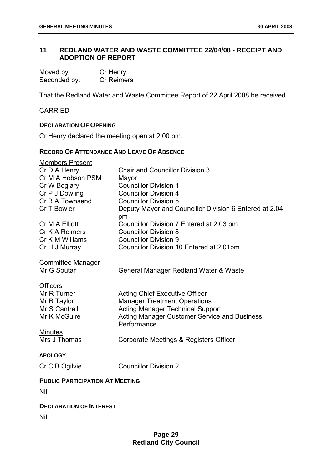# **11 REDLAND WATER AND WASTE COMMITTEE 22/04/08 - RECEIPT AND ADOPTION OF REPORT**

| Moved by:    | Cr Henry          |
|--------------|-------------------|
| Seconded by: | <b>Cr Reimers</b> |

That the Redland Water and Waste Committee Report of 22 April 2008 be received.

# CARRIED

# **DECLARATION OF OPENING**

Cr Henry declared the meeting open at 2.00 pm.

# **RECORD OF ATTENDANCE AND LEAVE OF ABSENCE**

| Members Present                        |                                                        |
|----------------------------------------|--------------------------------------------------------|
| Cr D A Henry                           | <b>Chair and Councillor Division 3</b>                 |
| Cr M A Hobson PSM                      | Mayor                                                  |
| Cr W Boglary                           | <b>Councillor Division 1</b>                           |
| Cr P J Dowling                         | <b>Councillor Division 4</b>                           |
| Cr B A Townsend                        | <b>Councillor Division 5</b>                           |
| Cr T Bowler                            | Deputy Mayor and Councillor Division 6 Entered at 2.04 |
|                                        | pm                                                     |
| Cr M A Elliott                         | Councillor Division 7 Entered at 2.03 pm               |
| Cr K A Reimers                         | <b>Councillor Division 8</b>                           |
| Cr K M Williams                        | <b>Councillor Division 9</b>                           |
| Cr H J Murray                          | Councillor Division 10 Entered at 2.01pm               |
| <b>Committee Manager</b>               |                                                        |
| Mr G Soutar                            | General Manager Redland Water & Waste                  |
|                                        |                                                        |
| <b>Officers</b>                        |                                                        |
| Mr R Turner                            | <b>Acting Chief Executive Officer</b>                  |
| Mr B Taylor                            | <b>Manager Treatment Operations</b>                    |
| Mr S Cantrell                          | <b>Acting Manager Technical Support</b>                |
| Mr K McGuire                           | <b>Acting Manager Customer Service and Business</b>    |
|                                        | Performance                                            |
| <b>Minutes</b>                         |                                                        |
| Mrs J Thomas                           | Corporate Meetings & Registers Officer                 |
| <b>APOLOGY</b>                         |                                                        |
|                                        |                                                        |
| Cr C B Ogilvie                         | <b>Councillor Division 2</b>                           |
| <b>PUBLIC PARTICIPATION AT MEETING</b> |                                                        |
| Nil                                    |                                                        |
|                                        |                                                        |
| <b>DECLARATION OF INTEREST</b>         |                                                        |
| Nil                                    |                                                        |
|                                        |                                                        |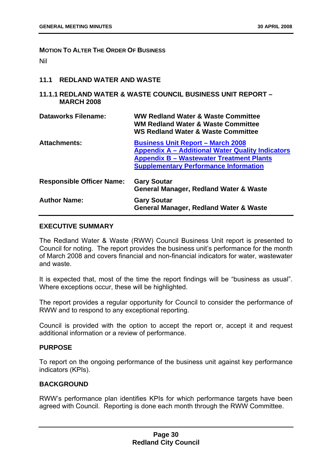## **MOTION TO ALTER THE ORDER OF BUSINESS**

Nil

# **11.1 REDLAND WATER AND WASTE**

# **11.1.1 REDLAND WATER & WASTE COUNCIL BUSINESS UNIT REPORT – MARCH 2008**

| Dataworks Filename:              | <b>WW Redland Water &amp; Waste Committee</b><br><b>WM Redland Water &amp; Waste Committee</b><br><b>WS Redland Water &amp; Waste Committee</b>                                                        |
|----------------------------------|--------------------------------------------------------------------------------------------------------------------------------------------------------------------------------------------------------|
| <b>Attachments:</b>              | <b>Business Unit Report - March 2008</b><br><b>Appendix A - Additional Water Quality Indicators</b><br><b>Appendix B - Wastewater Treatment Plants</b><br><b>Supplementary Performance Information</b> |
| <b>Responsible Officer Name:</b> | <b>Gary Soutar</b><br><b>General Manager, Redland Water &amp; Waste</b>                                                                                                                                |
| <b>Author Name:</b>              | <b>Gary Soutar</b><br><b>General Manager, Redland Water &amp; Waste</b>                                                                                                                                |

# **EXECUTIVE SUMMARY**

The Redland Water & Waste (RWW) Council Business Unit report is presented to Council for noting. The report provides the business unit's performance for the month of March 2008 and covers financial and non-financial indicators for water, wastewater and waste.

It is expected that, most of the time the report findings will be "business as usual". Where exceptions occur, these will be highlighted.

The report provides a regular opportunity for Council to consider the performance of RWW and to respond to any exceptional reporting.

Council is provided with the option to accept the report or, accept it and request additional information or a review of performance.

# **PURPOSE**

To report on the ongoing performance of the business unit against key performance indicators (KPIs).

# **BACKGROUND**

RWW's performance plan identifies KPIs for which performance targets have been agreed with Council. Reporting is done each month through the RWW Committee.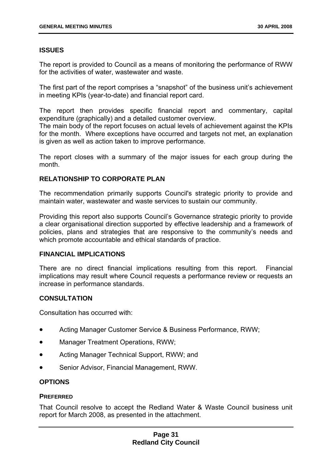# **ISSUES**

The report is provided to Council as a means of monitoring the performance of RWW for the activities of water, wastewater and waste.

The first part of the report comprises a "snapshot" of the business unit's achievement in meeting KPIs (year-to-date) and financial report card.

The report then provides specific financial report and commentary, capital expenditure (graphically) and a detailed customer overview.

The main body of the report focuses on actual levels of achievement against the KPIs for the month. Where exceptions have occurred and targets not met, an explanation is given as well as action taken to improve performance.

The report closes with a summary of the major issues for each group during the month.

# **RELATIONSHIP TO CORPORATE PLAN**

The recommendation primarily supports Council's strategic priority to provide and maintain water, wastewater and waste services to sustain our community.

Providing this report also supports Council's Governance strategic priority to provide a clear organisational direction supported by effective leadership and a framework of policies, plans and strategies that are responsive to the community's needs and which promote accountable and ethical standards of practice.

# **FINANCIAL IMPLICATIONS**

There are no direct financial implications resulting from this report. Financial implications may result where Council requests a performance review or requests an increase in performance standards.

# **CONSULTATION**

Consultation has occurred with:

- Acting Manager Customer Service & Business Performance, RWW;
- Manager Treatment Operations, RWW;
- Acting Manager Technical Support, RWW; and
- Senior Advisor, Financial Management, RWW.

# **OPTIONS**

# **PREFERRED**

That Council resolve to accept the Redland Water & Waste Council business unit report for March 2008, as presented in the attachment.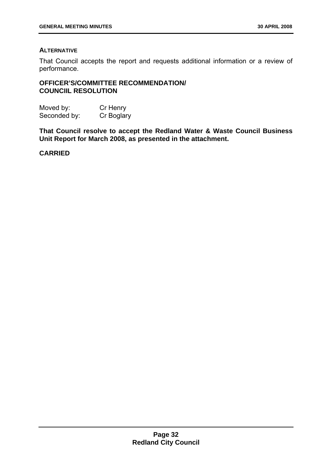# **ALTERNATIVE**

That Council accepts the report and requests additional information or a review of performance.

# **OFFICER'S/COMMITTEE RECOMMENDATION/ COUNCIIL RESOLUTION**

Moved by: Cr Henry Seconded by: Cr Boglary

**That Council resolve to accept the Redland Water & Waste Council Business Unit Report for March 2008, as presented in the attachment.**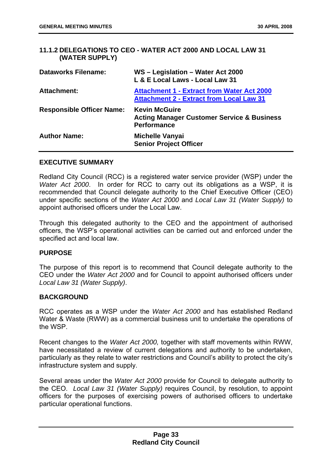# **11.1.2 DELEGATIONS TO CEO - WATER ACT 2000 AND LOCAL LAW 31 (WATER SUPPLY)**

| <b>Dataworks Filename:</b>       | WS - Legislation - Water Act 2000<br>L & E Local Laws - Local Law 31                                 |
|----------------------------------|------------------------------------------------------------------------------------------------------|
| <b>Attachment:</b>               | <b>Attachment 1 - Extract from Water Act 2000</b><br><b>Attachment 2 - Extract from Local Law 31</b> |
| <b>Responsible Officer Name:</b> | <b>Kevin McGuire</b><br><b>Acting Manager Customer Service &amp; Business</b><br><b>Performance</b>  |
| <b>Author Name:</b>              | <b>Michelle Vanyai</b><br><b>Senior Project Officer</b>                                              |

# **EXECUTIVE SUMMARY**

Redland City Council (RCC) is a registered water service provider (WSP) under the *Water Act 2000*. In order for RCC to carry out its obligations as a WSP, it is recommended that Council delegate authority to the Chief Executive Officer (CEO) under specific sections of the *Water Act 2000* and *Local Law 31 (Water Supply)* to appoint authorised officers under the Local Law.

Through this delegated authority to the CEO and the appointment of authorised officers, the WSP's operational activities can be carried out and enforced under the specified act and local law.

# **PURPOSE**

The purpose of this report is to recommend that Council delegate authority to the CEO under the *Water Act 2000* and for Council to appoint authorised officers under *Local Law 31 (Water Supply)*.

# **BACKGROUND**

RCC operates as a WSP under the *Water Act 2000* and has established Redland Water & Waste (RWW) as a commercial business unit to undertake the operations of the WSP.

Recent changes to the *Water Act 2000,* together with staff movements within RWW, have necessitated a review of current delegations and authority to be undertaken, particularly as they relate to water restrictions and Council's ability to protect the city's infrastructure system and supply.

Several areas under the *Water Act 2000* provide for Council to delegate authority to the CEO. *Local Law 31 (Water Supply)* requires Council, by resolution, to appoint officers for the purposes of exercising powers of authorised officers to undertake particular operational functions.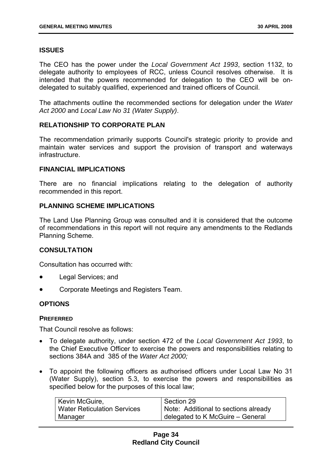# **ISSUES**

The CEO has the power under the *Local Government Act 1993*, section 1132, to delegate authority to employees of RCC, unless Council resolves otherwise. It is intended that the powers recommended for delegation to the CEO will be ondelegated to suitably qualified, experienced and trained officers of Council.

The attachments outline the recommended sections for delegation under the *Water Act 2000* and *Local Law No 31 (Water Supply)*.

# **RELATIONSHIP TO CORPORATE PLAN**

The recommendation primarily supports Council's strategic priority to provide and maintain water services and support the provision of transport and waterways infrastructure.

# **FINANCIAL IMPLICATIONS**

There are no financial implications relating to the delegation of authority recommended in this report.

# **PLANNING SCHEME IMPLICATIONS**

The Land Use Planning Group was consulted and it is considered that the outcome of recommendations in this report will not require any amendments to the Redlands Planning Scheme.

# **CONSULTATION**

Consultation has occurred with:

- Legal Services; and
- Corporate Meetings and Registers Team.

# **OPTIONS**

# **PREFERRED**

That Council resolve as follows:

- To delegate authority, under section 472 of the *Local Government Act 1993*, to the Chief Executive Officer to exercise the powers and responsibilities relating to sections 384A and 385 of the *Water Act 2000;*
- To appoint the following officers as authorised officers under Local Law No 31 (Water Supply), section 5.3, to exercise the powers and responsibilities as specified below for the purposes of this local law;

| Kevin McGuire,                     | Section 29                           |
|------------------------------------|--------------------------------------|
| <b>Water Reticulation Services</b> | Note: Additional to sections already |
| Manager                            | delegated to K McGuire - General     |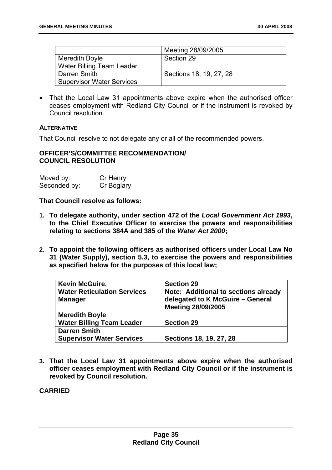|                                  | Meeting 28/09/2005      |
|----------------------------------|-------------------------|
| <b>Meredith Boyle</b>            | Section 29              |
| Water Billing Team Leader        |                         |
| Darren Smith                     | Sections 18, 19, 27, 28 |
| <b>Supervisor Water Services</b> |                         |

• That the Local Law 31 appointments above expire when the authorised officer ceases employment with Redland City Council or if the instrument is revoked by Council resolution.

# **ALTERNATIVE**

That Council resolve to not delegate any or all of the recommended powers.

# **OFFICER'S/COMMITTEE RECOMMENDATION/ COUNCIL RESOLUTION**

| Moved by:    | Cr Henry   |
|--------------|------------|
| Seconded by: | Cr Boglary |

**That Council resolve as follows:** 

- **1. To delegate authority, under section 472 of the** *Local Government Act 1993***, to the Chief Executive Officer to exercise the powers and responsibilities relating to sections 384A and 385 of the** *Water Act 2000***;**
- **2. To appoint the following officers as authorised officers under Local Law No 31 (Water Supply), section 5.3, to exercise the powers and responsibilities as specified below for the purposes of this local law;**

| <b>Kevin McGuire,</b><br><b>Water Reticulation Services</b><br><b>Manager</b> | <b>Section 29</b><br><b>Note: Additional to sections already</b><br>delegated to K McGuire - General<br><b>Meeting 28/09/2005</b> |
|-------------------------------------------------------------------------------|-----------------------------------------------------------------------------------------------------------------------------------|
| <b>Meredith Boyle</b>                                                         |                                                                                                                                   |
| <b>Water Billing Team Leader</b>                                              | <b>Section 29</b>                                                                                                                 |
| <b>Darren Smith</b>                                                           |                                                                                                                                   |
| <b>Supervisor Water Services</b>                                              | Sections 18, 19, 27, 28                                                                                                           |

**3. That the Local Law 31 appointments above expire when the authorised officer ceases employment with Redland City Council or if the instrument is revoked by Council resolution.**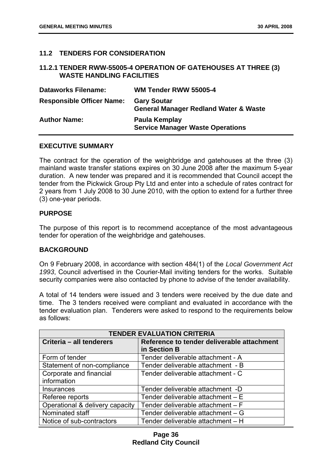## **11.2 TENDERS FOR CONSIDERATION**

## **11.2.1 TENDER RWW-55005-4 OPERATION OF GATEHOUSES AT THREE (3) WASTE HANDLING FACILITIES**

| <b>Dataworks Filename:</b>       | WM Tender RWW 55005-4                                                  |
|----------------------------------|------------------------------------------------------------------------|
| <b>Responsible Officer Name:</b> | <b>Gary Soutar</b><br><b>General Manager Redland Water &amp; Waste</b> |
| <b>Author Name:</b>              | Paula Kemplay<br><b>Service Manager Waste Operations</b>               |

#### **EXECUTIVE SUMMARY**

The contract for the operation of the weighbridge and gatehouses at the three (3) mainland waste transfer stations expires on 30 June 2008 after the maximum 5-year duration. A new tender was prepared and it is recommended that Council accept the tender from the Pickwick Group Pty Ltd and enter into a schedule of rates contract for 2 years from 1 July 2008 to 30 June 2010, with the option to extend for a further three (3) one-year periods.

### **PURPOSE**

The purpose of this report is to recommend acceptance of the most advantageous tender for operation of the weighbridge and gatehouses.

### **BACKGROUND**

On 9 February 2008, in accordance with section 484(1) of the *Local Government Act 1993*, Council advertised in the Courier-Mail inviting tenders for the works. Suitable security companies were also contacted by phone to advise of the tender availability.

A total of 14 tenders were issued and 3 tenders were received by the due date and time. The 3 tenders received were compliant and evaluated in accordance with the tender evaluation plan. Tenderers were asked to respond to the requirements below as follows:

| <b>TENDER EVALUATION CRITERIA</b> |                                            |
|-----------------------------------|--------------------------------------------|
| Criteria - all tenderers          | Reference to tender deliverable attachment |
|                                   | in Section B                               |
| Form of tender                    | Tender deliverable attachment - A          |
| Statement of non-compliance       | Tender deliverable attachment - B          |
| Corporate and financial           | Tender deliverable attachment - C          |
| information                       |                                            |
| Insurances                        | Tender deliverable attachment -D           |
| Referee reports                   | Tender deliverable attachment - E          |
| Operational & delivery capacity   | Tender deliverable attachment - F          |
| Nominated staff                   | Tender deliverable attachment - G          |
| Notice of sub-contractors         | Tender deliverable attachment - H          |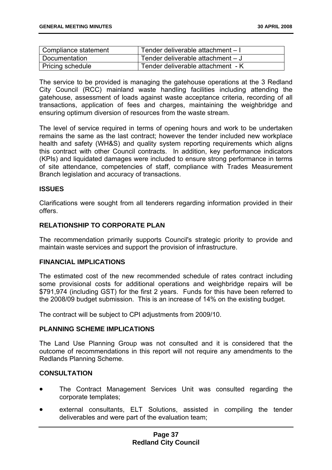| Compliance statement | Tender deliverable attachment - I |
|----------------------|-----------------------------------|
| Documentation        | Tender deliverable attachment - J |
| Pricing schedule     | Tender deliverable attachment - K |

The service to be provided is managing the gatehouse operations at the 3 Redland City Council (RCC) mainland waste handling facilities including attending the gatehouse, assessment of loads against waste acceptance criteria, recording of all transactions, application of fees and charges, maintaining the weighbridge and ensuring optimum diversion of resources from the waste stream.

The level of service required in terms of opening hours and work to be undertaken remains the same as the last contract; however the tender included new workplace health and safety (WH&S) and quality system reporting requirements which aligns this contract with other Council contracts. In addition, key performance indicators (KPIs) and liquidated damages were included to ensure strong performance in terms of site attendance, competencies of staff, compliance with Trades Measurement Branch legislation and accuracy of transactions.

### **ISSUES**

Clarifications were sought from all tenderers regarding information provided in their offers.

# **RELATIONSHIP TO CORPORATE PLAN**

The recommendation primarily supports Council's strategic priority to provide and maintain waste services and support the provision of infrastructure.

### **FINANCIAL IMPLICATIONS**

The estimated cost of the new recommended schedule of rates contract including some provisional costs for additional operations and weighbridge repairs will be \$791,974 (including GST) for the first 2 years. Funds for this have been referred to the 2008/09 budget submission. This is an increase of 14% on the existing budget.

The contract will be subject to CPI adjustments from 2009/10.

### **PLANNING SCHEME IMPLICATIONS**

The Land Use Planning Group was not consulted and it is considered that the outcome of recommendations in this report will not require any amendments to the Redlands Planning Scheme.

### **CONSULTATION**

- The Contract Management Services Unit was consulted regarding the corporate templates;
- external consultants, ELT Solutions, assisted in compiling the tender deliverables and were part of the evaluation team;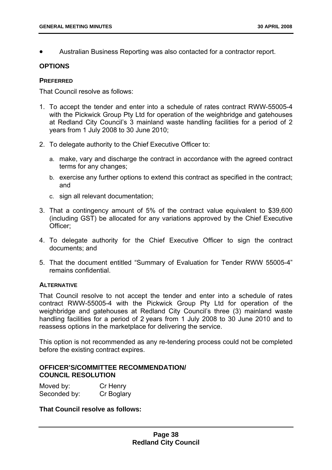• Australian Business Reporting was also contacted for a contractor report.

### **OPTIONS**

#### **PREFERRED**

That Council resolve as follows:

- 1. To accept the tender and enter into a schedule of rates contract RWW-55005-4 with the Pickwick Group Pty Ltd for operation of the weighbridge and gatehouses at Redland City Council's 3 mainland waste handling facilities for a period of 2 years from 1 July 2008 to 30 June 2010;
- 2. To delegate authority to the Chief Executive Officer to:
	- a. make, vary and discharge the contract in accordance with the agreed contract terms for any changes;
	- b. exercise any further options to extend this contract as specified in the contract; and
	- c. sign all relevant documentation;
- 3. That a contingency amount of 5% of the contract value equivalent to \$39,600 (including GST) be allocated for any variations approved by the Chief Executive Officer;
- 4. To delegate authority for the Chief Executive Officer to sign the contract documents; and
- 5. That the document entitled "Summary of Evaluation for Tender RWW 55005-4" remains confidential.

#### **ALTERNATIVE**

That Council resolve to not accept the tender and enter into a schedule of rates contract RWW-55005-4 with the Pickwick Group Pty Ltd for operation of the weighbridge and gatehouses at Redland City Council's three (3) mainland waste handling facilities for a period of 2 years from 1 July 2008 to 30 June 2010 and to reassess options in the marketplace for delivering the service.

This option is not recommended as any re-tendering process could not be completed before the existing contract expires.

### **OFFICER'S/COMMITTEE RECOMMENDATION/ COUNCIL RESOLUTION**

| Moved by:    | Cr Henry   |
|--------------|------------|
| Seconded by: | Cr Boglary |

**That Council resolve as follows:**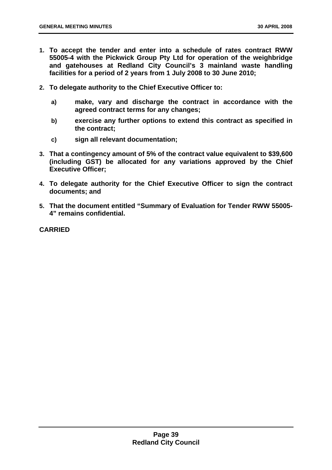- **1. To accept the tender and enter into a schedule of rates contract RWW 55005-4 with the Pickwick Group Pty Ltd for operation of the weighbridge and gatehouses at Redland City Council's 3 mainland waste handling facilities for a period of 2 years from 1 July 2008 to 30 June 2010;**
- **2. To delegate authority to the Chief Executive Officer to:** 
	- **a) make, vary and discharge the contract in accordance with the agreed contract terms for any changes;**
	- **b) exercise any further options to extend this contract as specified in the contract;**
	- **c) sign all relevant documentation;**
- **3. That a contingency amount of 5% of the contract value equivalent to \$39,600 (including GST) be allocated for any variations approved by the Chief Executive Officer;**
- **4. To delegate authority for the Chief Executive Officer to sign the contract documents; and**
- **5. That the document entitled "Summary of Evaluation for Tender RWW 55005- 4" remains confidential.**

**CARRIED**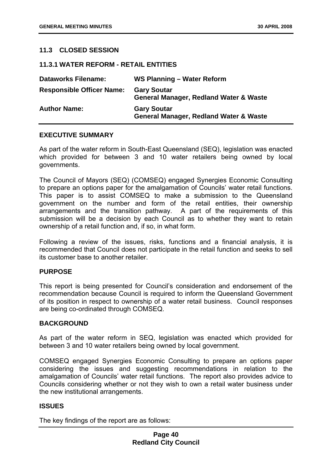## **11.3 CLOSED SESSION**

#### **11.3.1 WATER REFORM - RETAIL ENTITIES**

| <b>Dataworks Filename:</b>       | WS Planning - Water Reform                                              |
|----------------------------------|-------------------------------------------------------------------------|
| <b>Responsible Officer Name:</b> | <b>Gary Soutar</b><br><b>General Manager, Redland Water &amp; Waste</b> |
| <b>Author Name:</b>              | <b>Gary Soutar</b><br><b>General Manager, Redland Water &amp; Waste</b> |

#### **EXECUTIVE SUMMARY**

As part of the water reform in South-East Queensland (SEQ), legislation was enacted which provided for between 3 and 10 water retailers being owned by local governments.

The Council of Mayors (SEQ) (COMSEQ) engaged Synergies Economic Consulting to prepare an options paper for the amalgamation of Councils' water retail functions. This paper is to assist COMSEQ to make a submission to the Queensland government on the number and form of the retail entities, their ownership arrangements and the transition pathway. A part of the requirements of this submission will be a decision by each Council as to whether they want to retain ownership of a retail function and, if so, in what form.

Following a review of the issues, risks, functions and a financial analysis, it is recommended that Council does not participate in the retail function and seeks to sell its customer base to another retailer.

## **PURPOSE**

This report is being presented for Council's consideration and endorsement of the recommendation because Council is required to inform the Queensland Government of its position in respect to ownership of a water retail business. Council responses are being co-ordinated through COMSEQ.

### **BACKGROUND**

As part of the water reform in SEQ, legislation was enacted which provided for between 3 and 10 water retailers being owned by local government.

COMSEQ engaged Synergies Economic Consulting to prepare an options paper considering the issues and suggesting recommendations in relation to the amalgamation of Councils' water retail functions. The report also provides advice to Councils considering whether or not they wish to own a retail water business under the new institutional arrangements.

### **ISSUES**

The key findings of the report are as follows: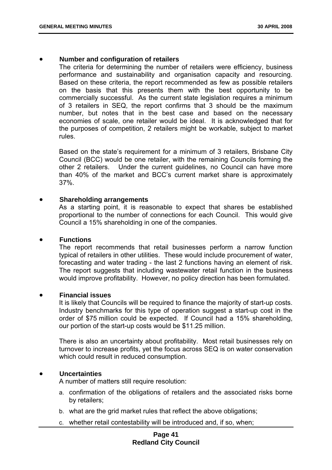### • **Number and configuration of retailers**

The criteria for determining the number of retailers were efficiency, business performance and sustainability and organisation capacity and resourcing. Based on these criteria, the report recommended as few as possible retailers on the basis that this presents them with the best opportunity to be commercially successful. As the current state legislation requires a minimum of 3 retailers in SEQ, the report confirms that 3 should be the maximum number, but notes that in the best case and based on the necessary economies of scale, one retailer would be ideal. It is acknowledged that for the purposes of competition, 2 retailers might be workable, subject to market rules.

Based on the state's requirement for a minimum of 3 retailers, Brisbane City Council (BCC) would be one retailer, with the remaining Councils forming the other 2 retailers. Under the current guidelines, no Council can have more than 40% of the market and BCC's current market share is approximately 37%.

#### • **Shareholding arrangements**

As a starting point, it is reasonable to expect that shares be established proportional to the number of connections for each Council. This would give Council a 15% shareholding in one of the companies.

#### • **Functions**

The report recommends that retail businesses perform a narrow function typical of retailers in other utilities. These would include procurement of water, forecasting and water trading - the last 2 functions having an element of risk. The report suggests that including wastewater retail function in the business would improve profitability. However, no policy direction has been formulated.

#### • **Financial issues**

It is likely that Councils will be required to finance the majority of start-up costs. Industry benchmarks for this type of operation suggest a start-up cost in the order of \$75 million could be expected. If Council had a 15% shareholding, our portion of the start-up costs would be \$11.25 million.

There is also an uncertainty about profitability. Most retail businesses rely on turnover to increase profits, yet the focus across SEQ is on water conservation which could result in reduced consumption.

### • **Uncertainties**

A number of matters still require resolution:

- a. confirmation of the obligations of retailers and the associated risks borne by retailers;
- b. what are the grid market rules that reflect the above obligations;
- c. whether retail contestability will be introduced and, if so, when;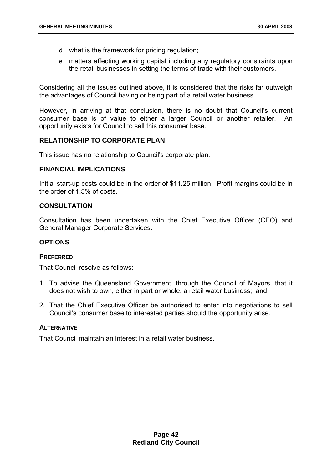- d. what is the framework for pricing regulation;
- e. matters affecting working capital including any regulatory constraints upon the retail businesses in setting the terms of trade with their customers.

Considering all the issues outlined above, it is considered that the risks far outweigh the advantages of Council having or being part of a retail water business.

However, in arriving at that conclusion, there is no doubt that Council's current consumer base is of value to either a larger Council or another retailer. An opportunity exists for Council to sell this consumer base.

#### **RELATIONSHIP TO CORPORATE PLAN**

This issue has no relationship to Council's corporate plan.

## **FINANCIAL IMPLICATIONS**

Initial start-up costs could be in the order of \$11.25 million. Profit margins could be in the order of 1.5% of costs.

### **CONSULTATION**

Consultation has been undertaken with the Chief Executive Officer (CEO) and General Manager Corporate Services.

## **OPTIONS**

#### **PREFERRED**

That Council resolve as follows:

- 1. To advise the Queensland Government, through the Council of Mayors, that it does not wish to own, either in part or whole, a retail water business; and
- 2. That the Chief Executive Officer be authorised to enter into negotiations to sell Council's consumer base to interested parties should the opportunity arise.

#### **ALTERNATIVE**

That Council maintain an interest in a retail water business.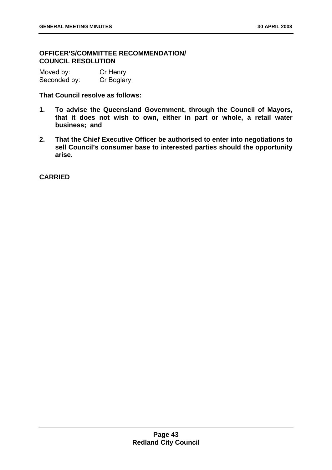# **OFFICER'S/COMMITTEE RECOMMENDATION/ COUNCIL RESOLUTION**

| Moved by:    | Cr Henry   |
|--------------|------------|
| Seconded by: | Cr Boglary |

**That Council resolve as follows:** 

- **1. To advise the Queensland Government, through the Council of Mayors, that it does not wish to own, either in part or whole, a retail water business; and**
- **2. That the Chief Executive Officer be authorised to enter into negotiations to sell Council's consumer base to interested parties should the opportunity arise.**

**CARRIED**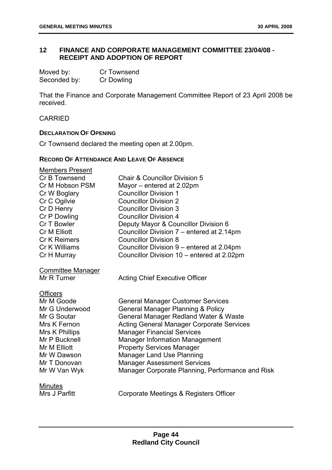# **12 FINANCE AND CORPORATE MANAGEMENT COMMITTEE 23/04/08 - RECEIPT AND ADOPTION OF REPORT**

| Moved by:    | Cr Townsend       |
|--------------|-------------------|
| Seconded by: | <b>Cr Dowling</b> |

That the Finance and Corporate Management Committee Report of 23 April 2008 be received.

#### CARRIED

## **DECLARATION OF OPENING**

Cr Townsend declared the meeting open at 2.00pm.

## **RECORD OF ATTENDANCE AND LEAVE OF ABSENCE**

| <b>Members Present</b>   |                                                  |
|--------------------------|--------------------------------------------------|
| Cr B Townsend            | <b>Chair &amp; Councillor Division 5</b>         |
| Cr M Hobson PSM          | Mayor – entered at 2.02pm                        |
| Cr W Boglary             | <b>Councillor Division 1</b>                     |
| Cr C Ogilvie             | <b>Councillor Division 2</b>                     |
| Cr D Henry               | <b>Councillor Division 3</b>                     |
| Cr P Dowling             | <b>Councillor Division 4</b>                     |
| Cr T Bowler              | Deputy Mayor & Councillor Division 6             |
| Cr M Elliott             | Councillor Division 7 - entered at 2.14pm        |
| <b>Cr K Reimers</b>      | <b>Councillor Division 8</b>                     |
| Cr K Williams            | Councillor Division 9 – entered at 2.04pm        |
| Cr H Murray              | Councillor Division 10 - entered at 2.02pm       |
| <b>Committee Manager</b> |                                                  |
| Mr R Turner              | <b>Acting Chief Executive Officer</b>            |
| <b>Officers</b>          |                                                  |
| Mr M Goode               | <b>General Manager Customer Services</b>         |
| Mr G Underwood           | <b>General Manager Planning &amp; Policy</b>     |
| Mr G Soutar              | General Manager Redland Water & Waste            |
| Mrs K Fernon             | <b>Acting General Manager Corporate Services</b> |
| Mrs K Phillips           | <b>Manager Financial Services</b>                |
| Mr P Bucknell            | <b>Manager Information Management</b>            |
| Mr M Elliott             | <b>Property Services Manager</b>                 |
| Mr W Dawson              | <b>Manager Land Use Planning</b>                 |
| Mr T Donovan             | <b>Manager Assessment Services</b>               |
| Mr W Van Wyk             | Manager Corporate Planning, Performance and Risk |
| Minutes                  |                                                  |
| Mrs J Parfitt            | Corporate Meetings & Registers Officer           |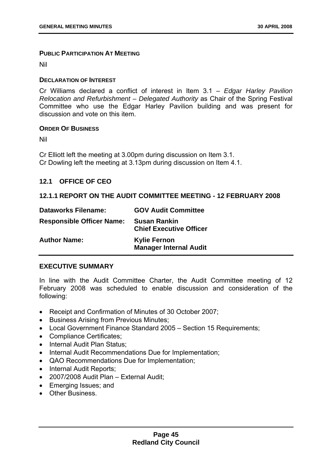#### **PUBLIC PARTICIPATION AT MEETING**

Nil

#### **DECLARATION OF INTEREST**

Cr Williams declared a conflict of interest in Item 3.1 – *Edgar Harley Pavilion Relocation and Refurbishment – Delegated Authority* as Chair of the Spring Festival Committee who use the Edgar Harley Pavilion building and was present for discussion and vote on this item.

### **ORDER OF BUSINESS**

Nil

Cr Elliott left the meeting at 3.00pm during discussion on Item 3.1. Cr Dowling left the meeting at 3.13pm during discussion on Item 4.1.

## **12.1 OFFICE OF CEO**

## **12.1.1 REPORT ON THE AUDIT COMMITTEE MEETING - 12 FEBRUARY 2008**

| <b>Dataworks Filename:</b>       | <b>GOV Audit Committee</b>                            |
|----------------------------------|-------------------------------------------------------|
| <b>Responsible Officer Name:</b> | <b>Susan Rankin</b><br><b>Chief Executive Officer</b> |
| <b>Author Name:</b>              | <b>Kylie Fernon</b><br><b>Manager Internal Audit</b>  |

## **EXECUTIVE SUMMARY**

In line with the Audit Committee Charter, the Audit Committee meeting of 12 February 2008 was scheduled to enable discussion and consideration of the following:

- Receipt and Confirmation of Minutes of 30 October 2007;
- Business Arising from Previous Minutes;
- Local Government Finance Standard 2005 Section 15 Requirements;
- Compliance Certificates;
- Internal Audit Plan Status;
- Internal Audit Recommendations Due for Implementation;
- QAO Recommendations Due for Implementation;
- Internal Audit Reports;
- 2007/2008 Audit Plan External Audit;
- Emerging Issues; and
- Other Business.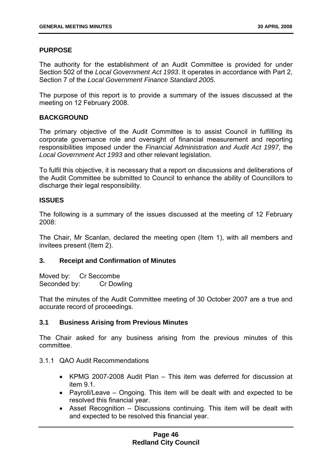# **PURPOSE**

The authority for the establishment of an Audit Committee is provided for under Section 502 of the *Local Government Act 1993*. It operates in accordance with Part 2, Section 7 of the *Local Government Finance Standard 2005*.

The purpose of this report is to provide a summary of the issues discussed at the meeting on 12 February 2008.

## **BACKGROUND**

The primary objective of the Audit Committee is to assist Council in fulfilling its corporate governance role and oversight of financial measurement and reporting responsibilities imposed under the *Financial Administration and Audit Act 1997*, the *Local Government Act 1993* and other relevant legislation.

To fulfil this objective, it is necessary that a report on discussions and deliberations of the Audit Committee be submitted to Council to enhance the ability of Councillors to discharge their legal responsibility.

## **ISSUES**

The following is a summary of the issues discussed at the meeting of 12 February 2008:

The Chair, Mr Scanlan, declared the meeting open (Item 1), with all members and invitees present (Item 2).

### **3. Receipt and Confirmation of Minutes**

Moved by: Cr Seccombe Seconded by: Cr Dowling

That the minutes of the Audit Committee meeting of 30 October 2007 are a true and accurate record of proceedings.

# **3.1 Business Arising from Previous Minutes**

The Chair asked for any business arising from the previous minutes of this committee.

- 3.1.1 QAO Audit Recommendations
	- KPMG 2007-2008 Audit Plan This item was deferred for discussion at item 9.1.
	- Payroll/Leave Ongoing. This item will be dealt with and expected to be resolved this financial year.
	- Asset Recognition Discussions continuing. This item will be dealt with and expected to be resolved this financial year.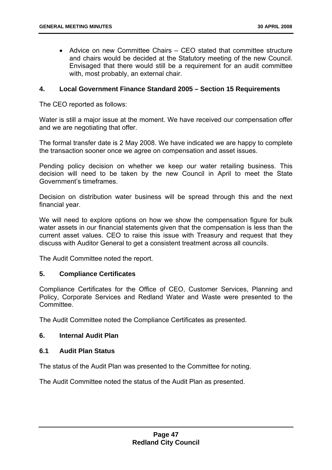• Advice on new Committee Chairs – CEO stated that committee structure and chairs would be decided at the Statutory meeting of the new Council. Envisaged that there would still be a requirement for an audit committee with, most probably, an external chair.

### **4. Local Government Finance Standard 2005 – Section 15 Requirements**

The CEO reported as follows:

Water is still a major issue at the moment. We have received our compensation offer and we are negotiating that offer.

The formal transfer date is 2 May 2008. We have indicated we are happy to complete the transaction sooner once we agree on compensation and asset issues.

Pending policy decision on whether we keep our water retailing business. This decision will need to be taken by the new Council in April to meet the State Government's timeframes.

Decision on distribution water business will be spread through this and the next financial year.

We will need to explore options on how we show the compensation figure for bulk water assets in our financial statements given that the compensation is less than the current asset values. CEO to raise this issue with Treasury and request that they discuss with Auditor General to get a consistent treatment across all councils.

The Audit Committee noted the report.

### **5. Compliance Certificates**

Compliance Certificates for the Office of CEO, Customer Services, Planning and Policy, Corporate Services and Redland Water and Waste were presented to the **Committee.** 

The Audit Committee noted the Compliance Certificates as presented.

### **6. Internal Audit Plan**

### **6.1 Audit Plan Status**

The status of the Audit Plan was presented to the Committee for noting.

The Audit Committee noted the status of the Audit Plan as presented.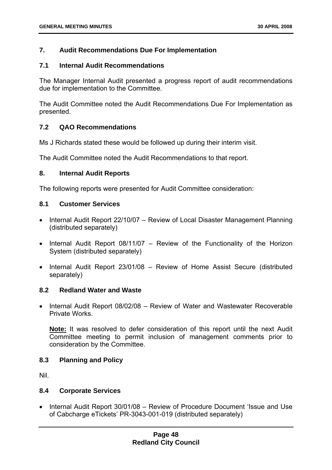# **7. Audit Recommendations Due For Implementation**

## **7.1 Internal Audit Recommendations**

The Manager Internal Audit presented a progress report of audit recommendations due for implementation to the Committee.

The Audit Committee noted the Audit Recommendations Due For Implementation as presented.

## **7.2 QAO Recommendations**

Ms J Richards stated these would be followed up during their interim visit.

The Audit Committee noted the Audit Recommendations to that report.

## **8. Internal Audit Reports**

The following reports were presented for Audit Committee consideration:

## **8.1 Customer Services**

- Internal Audit Report 22/10/07 Review of Local Disaster Management Planning (distributed separately)
- Internal Audit Report 08/11/07 Review of the Functionality of the Horizon System (distributed separately)
- Internal Audit Report 23/01/08 Review of Home Assist Secure (distributed separately)

### **8.2 Redland Water and Waste**

• Internal Audit Report 08/02/08 – Review of Water and Wastewater Recoverable Private Works.

**Note:** It was resolved to defer consideration of this report until the next Audit Committee meeting to permit inclusion of management comments prior to consideration by the Committee.

# **8.3 Planning and Policy**

Nil.

# **8.4 Corporate Services**

• Internal Audit Report 30/01/08 – Review of Procedure Document 'Issue and Use of Cabcharge eTickets' PR-3043-001-019 (distributed separately)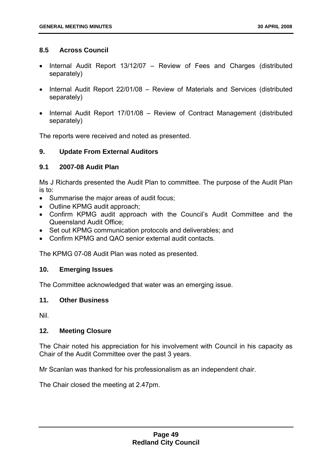## **8.5 Across Council**

- Internal Audit Report 13/12/07 Review of Fees and Charges (distributed separately)
- Internal Audit Report 22/01/08 Review of Materials and Services (distributed separately)
- Internal Audit Report 17/01/08 Review of Contract Management (distributed separately)

The reports were received and noted as presented.

## **9. Update From External Auditors**

### **9.1 2007-08 Audit Plan**

Ms J Richards presented the Audit Plan to committee. The purpose of the Audit Plan is to:

- Summarise the major areas of audit focus;
- Outline KPMG audit approach;
- Confirm KPMG audit approach with the Council's Audit Committee and the Queensland Audit Office;
- Set out KPMG communication protocols and deliverables; and
- Confirm KPMG and QAO senior external audit contacts.

The KPMG 07-08 Audit Plan was noted as presented.

### **10. Emerging Issues**

The Committee acknowledged that water was an emerging issue.

### **11. Other Business**

Nil.

### **12. Meeting Closure**

The Chair noted his appreciation for his involvement with Council in his capacity as Chair of the Audit Committee over the past 3 years.

Mr Scanlan was thanked for his professionalism as an independent chair.

The Chair closed the meeting at 2.47pm.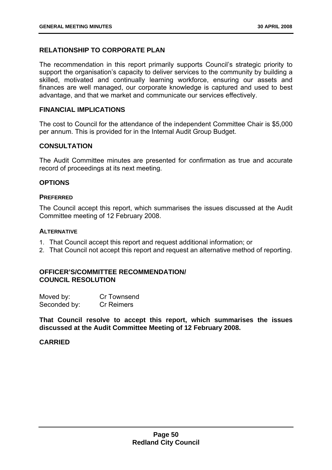# **RELATIONSHIP TO CORPORATE PLAN**

The recommendation in this report primarily supports Council's strategic priority to support the organisation's capacity to deliver services to the community by building a skilled, motivated and continually learning workforce, ensuring our assets and finances are well managed, our corporate knowledge is captured and used to best advantage, and that we market and communicate our services effectively.

#### **FINANCIAL IMPLICATIONS**

The cost to Council for the attendance of the independent Committee Chair is \$5,000 per annum. This is provided for in the Internal Audit Group Budget.

### **CONSULTATION**

The Audit Committee minutes are presented for confirmation as true and accurate record of proceedings at its next meeting.

### **OPTIONS**

#### **PREFERRED**

The Council accept this report, which summarises the issues discussed at the Audit Committee meeting of 12 February 2008.

# **ALTERNATIVE**

- 1. That Council accept this report and request additional information; or
- 2. That Council not accept this report and request an alternative method of reporting.

### **OFFICER'S/COMMITTEE RECOMMENDATION/ COUNCIL RESOLUTION**

| Moved by:    | Cr Townsend       |
|--------------|-------------------|
| Seconded by: | <b>Cr Reimers</b> |

**That Council resolve to accept this report, which summarises the issues discussed at the Audit Committee Meeting of 12 February 2008.** 

### **CARRIED**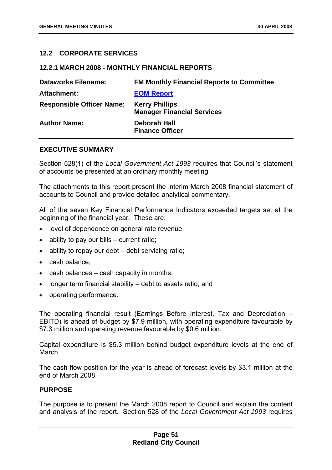# **12.2 CORPORATE SERVICES**

#### **12.2.1 MARCH 2008 - MONTHLY FINANCIAL REPORTS**

| <b>Dataworks Filename:</b>       | <b>FM Monthly Financial Reports to Committee</b>           |
|----------------------------------|------------------------------------------------------------|
| <b>Attachment:</b>               | <b>EOM Report</b>                                          |
| <b>Responsible Officer Name:</b> | <b>Kerry Phillips</b><br><b>Manager Financial Services</b> |
| <b>Author Name:</b>              | Deborah Hall<br><b>Finance Officer</b>                     |

### **EXECUTIVE SUMMARY**

Section 528(1) of the *Local Government Act 1993* requires that Council's statement of accounts be presented at an ordinary monthly meeting.

The attachments to this report present the interim March 2008 financial statement of accounts to Council and provide detailed analytical commentary.

All of the seven Key Financial Performance Indicators exceeded targets set at the beginning of the financial year. These are:

- level of dependence on general rate revenue;
- ability to pay our bills current ratio;
- ability to repay our debt debt servicing ratio;
- cash balance;
- cash balances cash capacity in months;
- longer term financial stability debt to assets ratio; and
- operating performance.

The operating financial result (Earnings Before Interest, Tax and Depreciation – EBITD) is ahead of budget by \$7.9 million, with operating expenditure favourable by \$7.3 million and operating revenue favourable by \$0.6 million.

Capital expenditure is \$5.3 million behind budget expenditure levels at the end of March.

The cash flow position for the year is ahead of forecast levels by \$3.1 million at the end of March 2008.

### **PURPOSE**

The purpose is to present the March 2008 report to Council and explain the content and analysis of the report. Section 528 of the *Local Government Act 1993* requires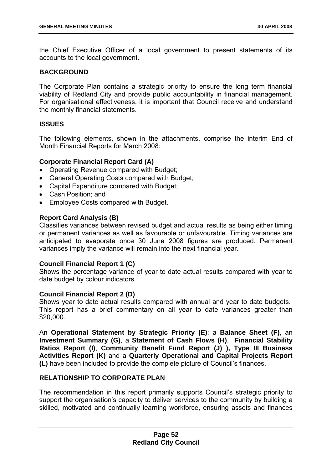the Chief Executive Officer of a local government to present statements of its accounts to the local government.

## **BACKGROUND**

The Corporate Plan contains a strategic priority to ensure the long term financial viability of Redland City and provide public accountability in financial management. For organisational effectiveness, it is important that Council receive and understand the monthly financial statements.

## **ISSUES**

The following elements, shown in the attachments, comprise the interim End of Month Financial Reports for March 2008:

## **Corporate Financial Report Card (A)**

- Operating Revenue compared with Budget;
- General Operating Costs compared with Budget;
- Capital Expenditure compared with Budget;
- Cash Position; and
- Employee Costs compared with Budget.

## **Report Card Analysis (B)**

Classifies variances between revised budget and actual results as being either timing or permanent variances as well as favourable or unfavourable. Timing variances are anticipated to evaporate once 30 June 2008 figures are produced. Permanent variances imply the variance will remain into the next financial year.

### **Council Financial Report 1 (C)**

Shows the percentage variance of year to date actual results compared with year to date budget by colour indicators.

### **Council Financial Report 2 (D)**

Shows year to date actual results compared with annual and year to date budgets. This report has a brief commentary on all year to date variances greater than \$20,000.

An **Operational Statement by Strategic Priority (E)**; a **Balance Sheet (F)**, an **Investment Summary (G)**, a **Statement of Cash Flows (H)**, **Financial Stability Ratios Report (I)**, **Community Benefit Fund Report (J) ), Type III Business Activities Report (K)** and a **Quarterly Operational and Capital Projects Report (L)** have been included to provide the complete picture of Council's finances.

### **RELATIONSHIP TO CORPORATE PLAN**

The recommendation in this report primarily supports Council's strategic priority to support the organisation's capacity to deliver services to the community by building a skilled, motivated and continually learning workforce, ensuring assets and finances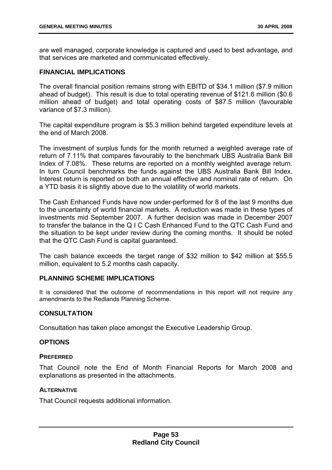are well managed, corporate knowledge is captured and used to best advantage, and that services are marketed and communicated effectively.

### **FINANCIAL IMPLICATIONS**

The overall financial position remains strong with EBITD of \$34.1 million (\$7.9 million ahead of budget). This result is due to total operating revenue of \$121.6 million (\$0.6 million ahead of budget) and total operating costs of \$87.5 million (favourable variance of \$7.3 million).

The capital expenditure program is \$5.3 million behind targeted expenditure levels at the end of March 2008.

The investment of surplus funds for the month returned a weighted average rate of return of 7.11% that compares favourably to the benchmark UBS Australia Bank Bill Index of 7.08%. These returns are reported on a monthly weighted average return. In turn Council benchmarks the funds against the UBS Australia Bank Bill Index. Interest return is reported on both an annual effective and nominal rate of return. On a YTD basis it is slightly above due to the volatility of world markets.

The Cash Enhanced Funds have now under-performed for 8 of the last 9 months due to the uncertainty of world financial markets. A reduction was made in these types of investments mid September 2007. A further decision was made in December 2007 to transfer the balance in the Q I C Cash Enhanced Fund to the QTC Cash Fund and the situation to be kept under review during the coming months. It should be noted that the QTC Cash Fund is capital guaranteed.

The cash balance exceeds the target range of \$32 million to \$42 million at \$55.5 million, equivalent to 5.2 months cash capacity.

## **PLANNING SCHEME IMPLICATIONS**

It is considered that the outcome of recommendations in this report will not require any amendments to the Redlands Planning Scheme.

# **CONSULTATION**

Consultation has taken place amongst the Executive Leadership Group.

### **OPTIONS**

#### **PREFERRED**

That Council note the End of Month Financial Reports for March 2008 and explanations as presented in the attachments.

### **ALTERNATIVE**

That Council requests additional information.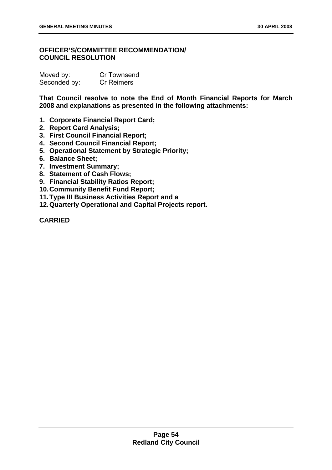# **OFFICER'S/COMMITTEE RECOMMENDATION/ COUNCIL RESOLUTION**

| Moved by:    | Cr Townsend       |
|--------------|-------------------|
| Seconded by: | <b>Cr Reimers</b> |

**That Council resolve to note the End of Month Financial Reports for March 2008 and explanations as presented in the following attachments:** 

- **1. Corporate Financial Report Card;**
- **2. Report Card Analysis;**
- **3. First Council Financial Report;**
- **4. Second Council Financial Report;**
- **5. Operational Statement by Strategic Priority;**
- **6. Balance Sheet;**
- **7. Investment Summary;**
- **8. Statement of Cash Flows;**
- **9. Financial Stability Ratios Report;**
- **10. Community Benefit Fund Report;**
- **11. Type III Business Activities Report and a**
- **12. Quarterly Operational and Capital Projects report.**

**CARRIED**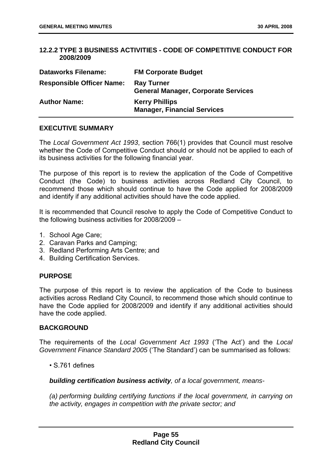## **12.2.2 TYPE 3 BUSINESS ACTIVITIES - CODE OF COMPETITIVE CONDUCT FOR 2008/2009**

| <b>Dataworks Filename:</b>       | <b>FM Corporate Budget</b>                                      |
|----------------------------------|-----------------------------------------------------------------|
| <b>Responsible Officer Name:</b> | <b>Ray Turner</b><br><b>General Manager, Corporate Services</b> |
| <b>Author Name:</b>              | <b>Kerry Phillips</b><br><b>Manager, Financial Services</b>     |

# **EXECUTIVE SUMMARY**

The *Local Government Act 1993*, section 766(1) provides that Council must resolve whether the Code of Competitive Conduct should or should not be applied to each of its business activities for the following financial year.

The purpose of this report is to review the application of the Code of Competitive Conduct (the Code) to business activities across Redland City Council, to recommend those which should continue to have the Code applied for 2008/2009 and identify if any additional activities should have the code applied.

It is recommended that Council resolve to apply the Code of Competitive Conduct to the following business activities for 2008/2009 –

- 1. School Age Care;
- 2. Caravan Parks and Camping;
- 3. Redland Performing Arts Centre; and
- 4. Building Certification Services.

# **PURPOSE**

The purpose of this report is to review the application of the Code to business activities across Redland City Council, to recommend those which should continue to have the Code applied for 2008/2009 and identify if any additional activities should have the code applied.

### **BACKGROUND**

The requirements of the *Local Government Act 1993* ('The Act') and the *Local Government Finance Standard 2005* ('The Standard') can be summarised as follows:

• S.761 defines

*building certification business activity, of a local government, means-* 

 *(a) performing building certifying functions if the local government, in carrying on the activity, engages in competition with the private sector; and*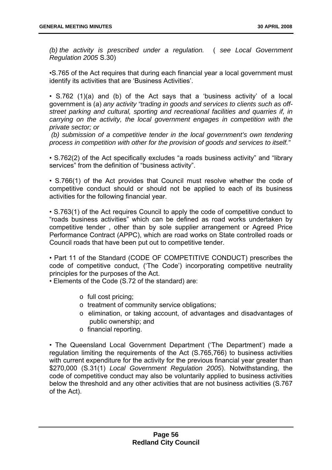*(b) the activity is prescribed under a regulation.* ( *see Local Government Regulation 2005* S.30)

 •S.765 of the Act requires that during each financial year a local government must identify its activities that are 'Business Activities'.

 • S.762 (1)(a) and (b) of the Act says that a 'business activity' of a local government is (a) *any activity "trading in goods and services to clients such as offstreet parking and cultural, sporting and recreational facilities and quarries if, in carrying on the activity, the local government engages in competition with the private sector; or* 

 *(b) submission of a competitive tender in the local government's own tendering process in competition with other for the provision of goods and services to itself."* 

 • S.762(2) of the Act specifically excludes "a roads business activity" and "library services" from the definition of "business activity".

 • S.766(1) of the Act provides that Council must resolve whether the code of competitive conduct should or should not be applied to each of its business activities for the following financial year.

 • S.763(1) of the Act requires Council to apply the code of competitive conduct to "roads business activities" which can be defined as road works undertaken by competitive tender , other than by sole supplier arrangement or Agreed Price Performance Contract (APPC), which are road works on State controlled roads or Council roads that have been put out to competitive tender.

 • Part 11 of the Standard (CODE OF COMPETITIVE CONDUCT) prescribes the code of competitive conduct, ('The Code') incorporating competitive neutrality principles for the purposes of the Act.

• Elements of the Code (S.72 of the standard) are:

- o full cost pricing;
- o treatment of community service obligations;
- o elimination, or taking account, of advantages and disadvantages of public ownership; and
- o financial reporting.

 • The Queensland Local Government Department ('The Department') made a regulation limiting the requirements of the Act (S.765,766) to business activities with current expenditure for the activity for the previous financial year greater than \$270,000 (S.31(1) *Local Government Regulation 2005*). Notwithstanding, the code of competitive conduct may also be voluntarily applied to business activities below the threshold and any other activities that are not business activities (S.767 of the Act).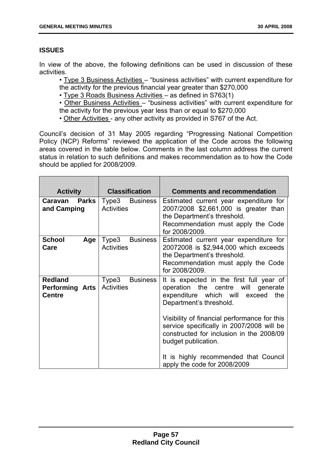# **ISSUES**

In view of the above, the following definitions can be used in discussion of these activities.

 • Type 3 Business Activities – "business activities" with current expenditure for the activity for the previous financial year greater than \$270,000

• Type 3 Roads Business Activities – as defined in S763(1)

 • Other Business Activities – "business activities" with current expenditure for the activity for the previous year less than or equal to \$270,000

• Other Activities - any other activity as provided in S767 of the Act.

Council's decision of 31 May 2005 regarding "Progressing National Competition Policy (NCP) Reforms" reviewed the application of the Code across the following areas covered in the table below. Comments in the last column address the current status in relation to such definitions and makes recommendation as to how the Code should be applied for 2008/2009.

| <b>Activity</b>                                           | <b>Classification</b>                         | <b>Comments and recommendation</b>                                                                                                                                                                                                                                                            |
|-----------------------------------------------------------|-----------------------------------------------|-----------------------------------------------------------------------------------------------------------------------------------------------------------------------------------------------------------------------------------------------------------------------------------------------|
| <b>Parks</b><br>Caravan<br>and Camping                    | Type3<br><b>Business</b><br><b>Activities</b> | Estimated current year expenditure for<br>2007/2008 \$2,661,000 is greater than<br>the Department's threshold.<br>Recommendation must apply the Code<br>for 2008/2009.                                                                                                                        |
| <b>School</b><br>Age<br>Care                              | Type3 Business<br><b>Activities</b>           | Estimated current year expenditure for<br>20072008 is \$2,944,000 which exceeds<br>the Department's threshold.<br>Recommendation must apply the Code<br>for 2008/2009.                                                                                                                        |
| <b>Redland</b><br><b>Performing Arts</b><br><b>Centre</b> | Type3<br><b>Business</b><br><b>Activities</b> | It is expected in the first full year of<br>operation the centre will generate<br>expenditure which will<br>exceed<br>the<br>Department's threshold.<br>Visibility of financial performance for this<br>service specifically in 2007/2008 will be<br>constructed for inclusion in the 2008/09 |
|                                                           |                                               | budget publication.<br>It is highly recommended that Council<br>apply the code for 2008/2009                                                                                                                                                                                                  |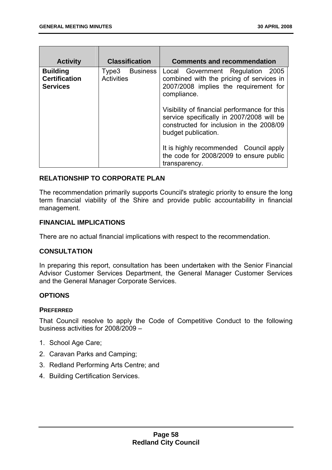| <b>Activity</b>                                            | <b>Classification</b>                         | <b>Comments and recommendation</b>                                                                                                                           |
|------------------------------------------------------------|-----------------------------------------------|--------------------------------------------------------------------------------------------------------------------------------------------------------------|
| <b>Building</b><br><b>Certification</b><br><b>Services</b> | <b>Business</b><br>Type3<br><b>Activities</b> | Local Government Regulation 2005<br>combined with the pricing of services in<br>2007/2008 implies the requirement for<br>compliance.                         |
|                                                            |                                               | Visibility of financial performance for this<br>service specifically in 2007/2008 will be<br>constructed for inclusion in the 2008/09<br>budget publication. |
|                                                            |                                               | It is highly recommended Council apply<br>the code for 2008/2009 to ensure public<br>transparency.                                                           |

## **RELATIONSHIP TO CORPORATE PLAN**

The recommendation primarily supports Council's strategic priority to ensure the long term financial viability of the Shire and provide public accountability in financial management.

### **FINANCIAL IMPLICATIONS**

There are no actual financial implications with respect to the recommendation.

### **CONSULTATION**

In preparing this report, consultation has been undertaken with the Senior Financial Advisor Customer Services Department, the General Manager Customer Services and the General Manager Corporate Services.

### **OPTIONS**

### **PREFERRED**

That Council resolve to apply the Code of Competitive Conduct to the following business activities for 2008/2009 –

- 1. School Age Care;
- 2. Caravan Parks and Camping;
- 3. Redland Performing Arts Centre; and
- 4. Building Certification Services.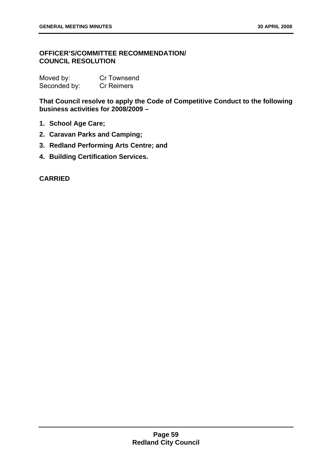# **OFFICER'S/COMMITTEE RECOMMENDATION/ COUNCIL RESOLUTION**

| Moved by:    | <b>Cr Townsend</b> |
|--------------|--------------------|
| Seconded by: | <b>Cr Reimers</b>  |

**That Council resolve to apply the Code of Competitive Conduct to the following business activities for 2008/2009 –** 

- **1. School Age Care;**
- **2. Caravan Parks and Camping;**
- **3. Redland Performing Arts Centre; and**
- **4. Building Certification Services.**

**CARRIED**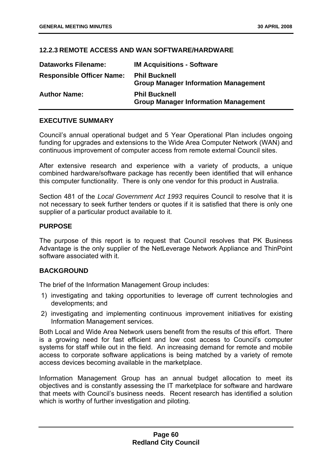## **12.2.3 REMOTE ACCESS AND WAN SOFTWARE/HARDWARE**

| <b>Dataworks Filename:</b>       | <b>IM Acquisitions - Software</b>                                   |
|----------------------------------|---------------------------------------------------------------------|
| <b>Responsible Officer Name:</b> | <b>Phil Bucknell</b><br><b>Group Manager Information Management</b> |
| <b>Author Name:</b>              | <b>Phil Bucknell</b><br><b>Group Manager Information Management</b> |

### **EXECUTIVE SUMMARY**

Council's annual operational budget and 5 Year Operational Plan includes ongoing funding for upgrades and extensions to the Wide Area Computer Network (WAN) and continuous improvement of computer access from remote external Council sites.

After extensive research and experience with a variety of products, a unique combined hardware/software package has recently been identified that will enhance this computer functionality. There is only one vendor for this product in Australia.

Section 481 of the *Local Government Act 1993* requires Council to resolve that it is not necessary to seek further tenders or quotes if it is satisfied that there is only one supplier of a particular product available to it.

### **PURPOSE**

The purpose of this report is to request that Council resolves that PK Business Advantage is the only supplier of the NetLeverage Network Appliance and ThinPoint software associated with it.

# **BACKGROUND**

The brief of the Information Management Group includes:

- 1) investigating and taking opportunities to leverage off current technologies and developments; and
- 2) investigating and implementing continuous improvement initiatives for existing Information Management services.

Both Local and Wide Area Network users benefit from the results of this effort. There is a growing need for fast efficient and low cost access to Council's computer systems for staff while out in the field. An increasing demand for remote and mobile access to corporate software applications is being matched by a variety of remote access devices becoming available in the marketplace.

Information Management Group has an annual budget allocation to meet its objectives and is constantly assessing the IT marketplace for software and hardware that meets with Council's business needs. Recent research has identified a solution which is worthy of further investigation and piloting.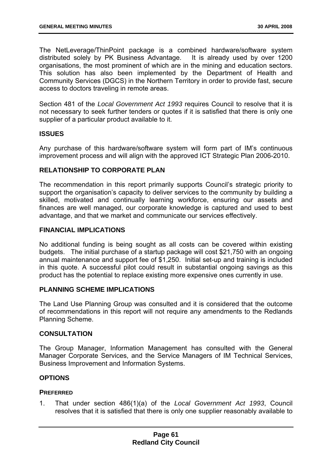The NetLeverage/ThinPoint package is a combined hardware/software system distributed solely by PK Business Advantage. It is already used by over 1200 organisations, the most prominent of which are in the mining and education sectors. This solution has also been implemented by the Department of Health and Community Services (DGCS) in the Northern Territory in order to provide fast, secure access to doctors traveling in remote areas.

Section 481 of the *Local Government Act 1993* requires Council to resolve that it is not necessary to seek further tenders or quotes if it is satisfied that there is only one supplier of a particular product available to it.

## **ISSUES**

Any purchase of this hardware/software system will form part of IM's continuous improvement process and will align with the approved ICT Strategic Plan 2006-2010.

## **RELATIONSHIP TO CORPORATE PLAN**

The recommendation in this report primarily supports Council's strategic priority to support the organisation's capacity to deliver services to the community by building a skilled, motivated and continually learning workforce, ensuring our assets and finances are well managed, our corporate knowledge is captured and used to best advantage, and that we market and communicate our services effectively.

# **FINANCIAL IMPLICATIONS**

No additional funding is being sought as all costs can be covered within existing budgets. The initial purchase of a startup package will cost \$21,750 with an ongoing annual maintenance and support fee of \$1,250. Initial set-up and training is included in this quote. A successful pilot could result in substantial ongoing savings as this product has the potential to replace existing more expensive ones currently in use.

### **PLANNING SCHEME IMPLICATIONS**

The Land Use Planning Group was consulted and it is considered that the outcome of recommendations in this report will not require any amendments to the Redlands Planning Scheme.

### **CONSULTATION**

The Group Manager, Information Management has consulted with the General Manager Corporate Services, and the Service Managers of IM Technical Services, Business Improvement and Information Systems.

## **OPTIONS**

### **PREFERRED**

1. That under section 486(1)(a) of the *Local Government Act 1993*, Council resolves that it is satisfied that there is only one supplier reasonably available to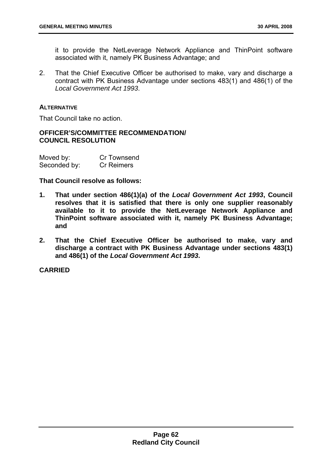it to provide the NetLeverage Network Appliance and ThinPoint software associated with it, namely PK Business Advantage; and

2. That the Chief Executive Officer be authorised to make, vary and discharge a contract with PK Business Advantage under sections 483(1) and 486(1) of the *Local Government Act 1993*.

### **ALTERNATIVE**

That Council take no action.

## **OFFICER'S/COMMITTEE RECOMMENDATION/ COUNCIL RESOLUTION**

| Moved by:    | Cr Townsend       |
|--------------|-------------------|
| Seconded by: | <b>Cr Reimers</b> |

### **That Council resolve as follows:**

- **1. That under section 486(1)(a) of the** *Local Government Act 1993***, Council resolves that it is satisfied that there is only one supplier reasonably available to it to provide the NetLeverage Network Appliance and ThinPoint software associated with it, namely PK Business Advantage; and**
- **2. That the Chief Executive Officer be authorised to make, vary and discharge a contract with PK Business Advantage under sections 483(1) and 486(1) of the** *Local Government Act 1993***.**

**CARRIED**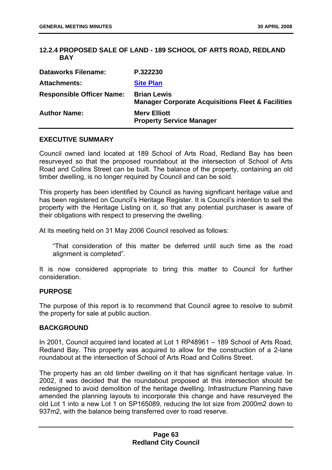## **12.2.4 PROPOSED SALE OF LAND - 189 SCHOOL OF ARTS ROAD, REDLAND BAY**

| <b>Dataworks Filename:</b>       | P.322230                                                                           |
|----------------------------------|------------------------------------------------------------------------------------|
| <b>Attachments:</b>              | <b>Site Plan</b>                                                                   |
| <b>Responsible Officer Name:</b> | <b>Brian Lewis</b><br><b>Manager Corporate Acquisitions Fleet &amp; Facilities</b> |
| <b>Author Name:</b>              | <b>Mery Elliott</b><br><b>Property Service Manager</b>                             |

#### **EXECUTIVE SUMMARY**

Council owned land located at 189 School of Arts Road, Redland Bay has been resurveyed so that the proposed roundabout at the intersection of School of Arts Road and Collins Street can be built. The balance of the property, containing an old timber dwelling, is no longer required by Council and can be sold.

This property has been identified by Council as having significant heritage value and has been registered on Council's Heritage Register. It is Council's intention to sell the property with the Heritage Listing on it, so that any potential purchaser is aware of their obligations with respect to preserving the dwelling.

At its meeting held on 31 May 2006 Council resolved as follows:

"That consideration of this matter be deferred until such time as the road alignment is completed".

It is now considered appropriate to bring this matter to Council for further consideration.

#### **PURPOSE**

The purpose of this report is to recommend that Council agree to resolve to submit the property for sale at public auction.

### **BACKGROUND**

In 2001, Council acquired land located at Lot 1 RP48961 – 189 School of Arts Road, Redland Bay. This property was acquired to allow for the construction of a 2-lane roundabout at the intersection of School of Arts Road and Collins Street.

The property has an old timber dwelling on it that has significant heritage value. In 2002, it was decided that the roundabout proposed at this intersection should be redesigned to avoid demolition of the heritage dwelling. Infrastructure Planning have amended the planning layouts to incorporate this change and have resurveyed the old Lot 1 into a new Lot 1 on SP165089, reducing the lot size from 2000m2 down to 937m2, with the balance being transferred over to road reserve.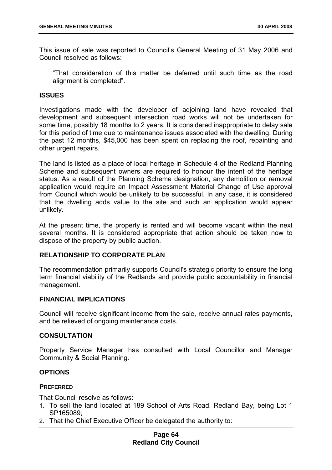This issue of sale was reported to Council's General Meeting of 31 May 2006 and Council resolved as follows:

"That consideration of this matter be deferred until such time as the road alignment is completed".

### **ISSUES**

Investigations made with the developer of adjoining land have revealed that development and subsequent intersection road works will not be undertaken for some time, possibly 18 months to 2 years. It is considered inappropriate to delay sale for this period of time due to maintenance issues associated with the dwelling. During the past 12 months, \$45,000 has been spent on replacing the roof, repainting and other urgent repairs.

The land is listed as a place of local heritage in Schedule 4 of the Redland Planning Scheme and subsequent owners are required to honour the intent of the heritage status. As a result of the Planning Scheme designation, any demolition or removal application would require an Impact Assessment Material Change of Use approval from Council which would be unlikely to be successful. In any case, it is considered that the dwelling adds value to the site and such an application would appear unlikely.

At the present time, the property is rented and will become vacant within the next several months. It is considered appropriate that action should be taken now to dispose of the property by public auction.

# **RELATIONSHIP TO CORPORATE PLAN**

The recommendation primarily supports Council's strategic priority to ensure the long term financial viability of the Redlands and provide public accountability in financial management.

### **FINANCIAL IMPLICATIONS**

Council will receive significant income from the sale, receive annual rates payments, and be relieved of ongoing maintenance costs.

### **CONSULTATION**

Property Service Manager has consulted with Local Councillor and Manager Community & Social Planning.

### **OPTIONS**

### **PREFERRED**

That Council resolve as follows:

- 1. To sell the land located at 189 School of Arts Road, Redland Bay, being Lot 1 SP165089;
- 2. That the Chief Executive Officer be delegated the authority to:

### **Page 64 Redland City Council**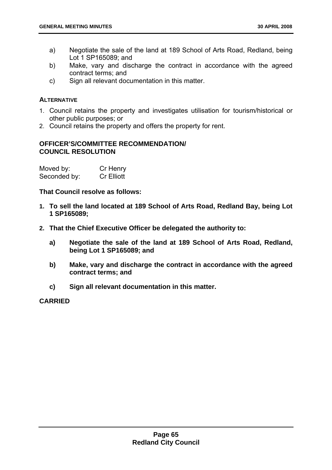- a) Negotiate the sale of the land at 189 School of Arts Road, Redland, being Lot 1 SP165089; and
- b) Make, vary and discharge the contract in accordance with the agreed contract terms; and
- c) Sign all relevant documentation in this matter.

### **ALTERNATIVE**

- 1. Council retains the property and investigates utilisation for tourism/historical or other public purposes; or
- 2. Council retains the property and offers the property for rent.

# **OFFICER'S/COMMITTEE RECOMMENDATION/ COUNCIL RESOLUTION**

| Moved by:    | Cr Henry          |
|--------------|-------------------|
| Seconded by: | <b>Cr Elliott</b> |

**That Council resolve as follows:** 

- **1. To sell the land located at 189 School of Arts Road, Redland Bay, being Lot 1 SP165089;**
- **2. That the Chief Executive Officer be delegated the authority to:** 
	- **a) Negotiate the sale of the land at 189 School of Arts Road, Redland, being Lot 1 SP165089; and**
	- **b) Make, vary and discharge the contract in accordance with the agreed contract terms; and**
	- **c) Sign all relevant documentation in this matter.**

**CARRIED**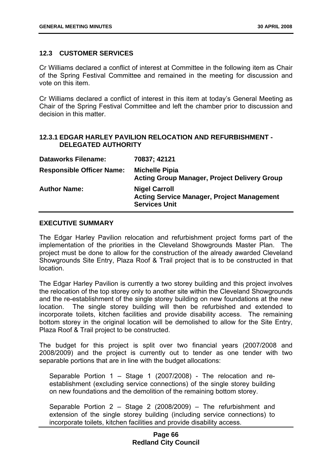### **12.3 CUSTOMER SERVICES**

Cr Williams declared a conflict of interest at Committee in the following item as Chair of the Spring Festival Committee and remained in the meeting for discussion and vote on this item.

Cr Williams declared a conflict of interest in this item at today's General Meeting as Chair of the Spring Festival Committee and left the chamber prior to discussion and decision in this matter.

## **12.3.1 EDGAR HARLEY PAVILION RELOCATION AND REFURBISHMENT - DELEGATED AUTHORITY**

| <b>Dataworks Filename:</b>       | 70837; 42121                                                                                      |
|----------------------------------|---------------------------------------------------------------------------------------------------|
| <b>Responsible Officer Name:</b> | <b>Michelle Pipia</b><br><b>Acting Group Manager, Project Delivery Group</b>                      |
| <b>Author Name:</b>              | <b>Nigel Carroll</b><br><b>Acting Service Manager, Project Management</b><br><b>Services Unit</b> |

### **EXECUTIVE SUMMARY**

The Edgar Harley Pavilion relocation and refurbishment project forms part of the implementation of the priorities in the Cleveland Showgrounds Master Plan. The project must be done to allow for the construction of the already awarded Cleveland Showgrounds Site Entry, Plaza Roof & Trail project that is to be constructed in that location.

The Edgar Harley Pavilion is currently a two storey building and this project involves the relocation of the top storey only to another site within the Cleveland Showgrounds and the re-establishment of the single storey building on new foundations at the new location. The single storey building will then be refurbished and extended to incorporate toilets, kitchen facilities and provide disability access. The remaining bottom storey in the original location will be demolished to allow for the Site Entry, Plaza Roof & Trail project to be constructed.

The budget for this project is split over two financial years (2007/2008 and 2008/2009) and the project is currently out to tender as one tender with two separable portions that are in line with the budget allocations:

Separable Portion 1 – Stage 1 (2007/2008) - The relocation and reestablishment (excluding service connections) of the single storey building on new foundations and the demolition of the remaining bottom storey.

Separable Portion 2 – Stage 2 (2008/2009) – The refurbishment and extension of the single storey building (including service connections) to incorporate toilets, kitchen facilities and provide disability access.

## **Page 66 Redland City Council**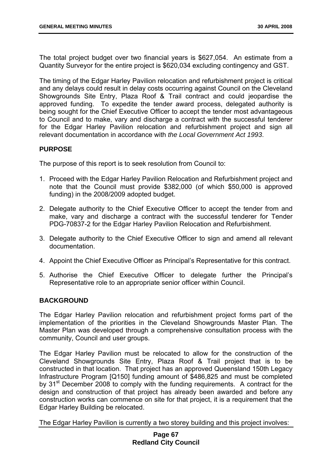The total project budget over two financial years is \$627,054. An estimate from a Quantity Surveyor for the entire project is \$620,034 excluding contingency and GST.

The timing of the Edgar Harley Pavilion relocation and refurbishment project is critical and any delays could result in delay costs occurring against Council on the Cleveland Showgrounds Site Entry, Plaza Roof & Trail contract and could jeopardise the approved funding. To expedite the tender award process, delegated authority is being sought for the Chief Executive Officer to accept the tender most advantageous to Council and to make, vary and discharge a contract with the successful tenderer for the Edgar Harley Pavilion relocation and refurbishment project and sign all relevant documentation in accordance with *the Local Government Act 1993*.

## **PURPOSE**

The purpose of this report is to seek resolution from Council to:

- 1. Proceed with the Edgar Harley Pavilion Relocation and Refurbishment project and note that the Council must provide \$382,000 (of which \$50,000 is approved funding) in the 2008/2009 adopted budget.
- 2. Delegate authority to the Chief Executive Officer to accept the tender from and make, vary and discharge a contract with the successful tenderer for Tender PDG-70837-2 for the Edgar Harley Pavilion Relocation and Refurbishment.
- 3. Delegate authority to the Chief Executive Officer to sign and amend all relevant documentation.
- 4. Appoint the Chief Executive Officer as Principal's Representative for this contract.
- 5. Authorise the Chief Executive Officer to delegate further the Principal's Representative role to an appropriate senior officer within Council.

## **BACKGROUND**

The Edgar Harley Pavilion relocation and refurbishment project forms part of the implementation of the priorities in the Cleveland Showgrounds Master Plan. The Master Plan was developed through a comprehensive consultation process with the community, Council and user groups.

The Edgar Harley Pavilion must be relocated to allow for the construction of the Cleveland Showgrounds Site Entry, Plaza Roof & Trail project that is to be constructed in that location. That project has an approved Queensland 150th Legacy Infrastructure Program [Q150] funding amount of \$486,825 and must be completed by 31<sup>st</sup> December 2008 to comply with the funding requirements. A contract for the design and construction of that project has already been awarded and before any construction works can commence on site for that project, it is a requirement that the Edgar Harley Building be relocated.

The Edgar Harley Pavilion is currently a two storey building and this project involves: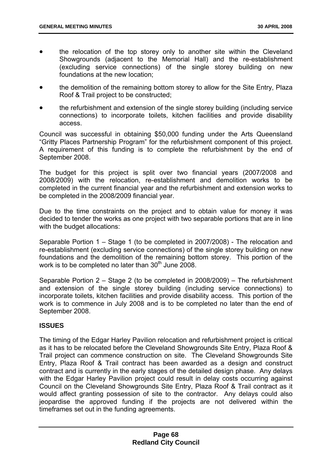- the relocation of the top storey only to another site within the Cleveland Showgrounds (adjacent to the Memorial Hall) and the re-establishment (excluding service connections) of the single storey building on new foundations at the new location;
- the demolition of the remaining bottom storey to allow for the Site Entry, Plaza Roof & Trail project to be constructed;
- the refurbishment and extension of the single storey building (including service connections) to incorporate toilets, kitchen facilities and provide disability access.

Council was successful in obtaining \$50,000 funding under the Arts Queensland "Gritty Places Partnership Program" for the refurbishment component of this project. A requirement of this funding is to complete the refurbishment by the end of September 2008.

The budget for this project is split over two financial years (2007/2008 and 2008/2009) with the relocation, re-establishment and demolition works to be completed in the current financial year and the refurbishment and extension works to be completed in the 2008/2009 financial year.

Due to the time constraints on the project and to obtain value for money it was decided to tender the works as one project with two separable portions that are in line with the budget allocations:

Separable Portion 1 – Stage 1 (to be completed in 2007/2008) - The relocation and re-establishment (excluding service connections) of the single storey building on new foundations and the demolition of the remaining bottom storey. This portion of the work is to be completed no later than  $30<sup>th</sup>$  June 2008.

Separable Portion 2 – Stage 2 (to be completed in 2008/2009) – The refurbishment and extension of the single storey building (including service connections) to incorporate toilets, kitchen facilities and provide disability access. This portion of the work is to commence in July 2008 and is to be completed no later than the end of September 2008.

# **ISSUES**

The timing of the Edgar Harley Pavilion relocation and refurbishment project is critical as it has to be relocated before the Cleveland Showgrounds Site Entry, Plaza Roof & Trail project can commence construction on site. The Cleveland Showgrounds Site Entry, Plaza Roof & Trail contract has been awarded as a design and construct contract and is currently in the early stages of the detailed design phase. Any delays with the Edgar Harley Pavilion project could result in delay costs occurring against Council on the Cleveland Showgrounds Site Entry, Plaza Roof & Trail contract as it would affect granting possession of site to the contractor. Any delays could also jeopardise the approved funding if the projects are not delivered within the timeframes set out in the funding agreements.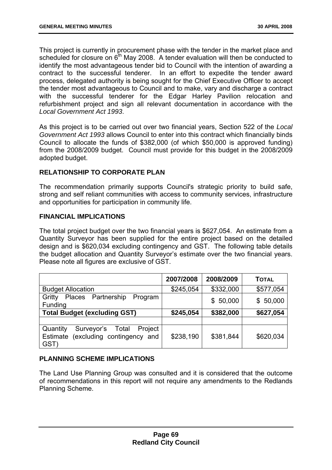This project is currently in procurement phase with the tender in the market place and scheduled for closure on  $6<sup>th</sup>$  May 2008. A tender evaluation will then be conducted to identify the most advantageous tender bid to Council with the intention of awarding a contract to the successful tenderer. In an effort to expedite the tender award process, delegated authority is being sought for the Chief Executive Officer to accept the tender most advantageous to Council and to make, vary and discharge a contract with the successful tenderer for the Edgar Harley Pavilion relocation and refurbishment project and sign all relevant documentation in accordance with the *Local Government Act 1993*.

As this project is to be carried out over two financial years, Section 522 of the *Local Government Act 1993* allows Council to enter into this contract which financially binds Council to allocate the funds of \$382,000 (of which \$50,000 is approved funding) from the 2008/2009 budget. Council must provide for this budget in the 2008/2009 adopted budget.

# **RELATIONSHIP TO CORPORATE PLAN**

The recommendation primarily supports Council's strategic priority to build safe, strong and self reliant communities with access to community services, infrastructure and opportunities for participation in community life.

## **FINANCIAL IMPLICATIONS**

The total project budget over the two financial years is \$627,054. An estimate from a Quantity Surveyor has been supplied for the entire project based on the detailed design and is \$620,034 excluding contingency and GST. The following table details the budget allocation and Quantity Surveyor's estimate over the two financial years. Please note all figures are exclusive of GST.

|                                                                                              | 2007/2008 | 2008/2009 | <b>TOTAL</b> |
|----------------------------------------------------------------------------------------------|-----------|-----------|--------------|
| <b>Budget Allocation</b>                                                                     | \$245,054 | \$332,000 | \$577,054    |
| Places Partnership<br>Gritty<br>Program<br>Funding                                           |           | \$50,000  | \$50,000     |
| <b>Total Budget (excluding GST)</b>                                                          | \$245,054 | \$382,000 | \$627,054    |
|                                                                                              |           |           |              |
| Quantity<br>Surveyor's<br>Project<br>Total<br>(excluding contingency and<br>Estimate<br>GST) | \$238,190 | \$381,844 | \$620,034    |

# **PLANNING SCHEME IMPLICATIONS**

The Land Use Planning Group was consulted and it is considered that the outcome of recommendations in this report will not require any amendments to the Redlands Planning Scheme.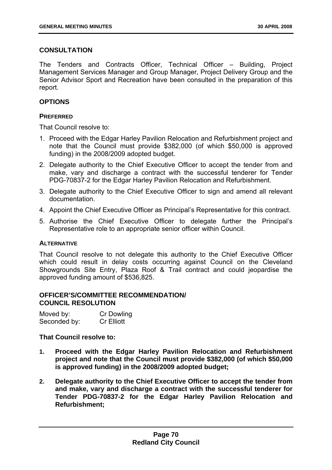# **CONSULTATION**

The Tenders and Contracts Officer, Technical Officer – Building, Project Management Services Manager and Group Manager, Project Delivery Group and the Senior Advisor Sport and Recreation have been consulted in the preparation of this report.

# **OPTIONS**

## **PREFERRED**

That Council resolve to:

- 1. Proceed with the Edgar Harley Pavilion Relocation and Refurbishment project and note that the Council must provide \$382,000 (of which \$50,000 is approved funding) in the 2008/2009 adopted budget.
- 2. Delegate authority to the Chief Executive Officer to accept the tender from and make, vary and discharge a contract with the successful tenderer for Tender PDG-70837-2 for the Edgar Harley Pavilion Relocation and Refurbishment.
- 3. Delegate authority to the Chief Executive Officer to sign and amend all relevant documentation.
- 4. Appoint the Chief Executive Officer as Principal's Representative for this contract.
- 5. Authorise the Chief Executive Officer to delegate further the Principal's Representative role to an appropriate senior officer within Council.

# **ALTERNATIVE**

That Council resolve to not delegate this authority to the Chief Executive Officer which could result in delay costs occurring against Council on the Cleveland Showgrounds Site Entry, Plaza Roof & Trail contract and could jeopardise the approved funding amount of \$536,825.

### **OFFICER'S/COMMITTEE RECOMMENDATION/ COUNCIL RESOLUTION**

| Moved by:    | <b>Cr Dowling</b> |
|--------------|-------------------|
| Seconded by: | <b>Cr Elliott</b> |

# **That Council resolve to:**

- **1. Proceed with the Edgar Harley Pavilion Relocation and Refurbishment project and note that the Council must provide \$382,000 (of which \$50,000 is approved funding) in the 2008/2009 adopted budget;**
- **2. Delegate authority to the Chief Executive Officer to accept the tender from and make, vary and discharge a contract with the successful tenderer for Tender PDG-70837-2 for the Edgar Harley Pavilion Relocation and Refurbishment;**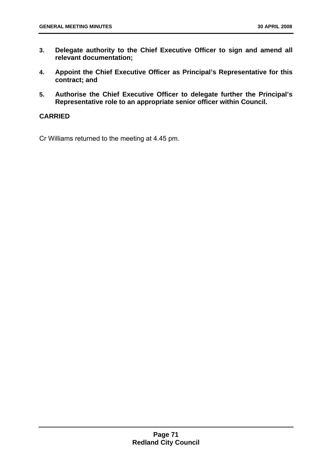- **3. Delegate authority to the Chief Executive Officer to sign and amend all relevant documentation;**
- **4. Appoint the Chief Executive Officer as Principal's Representative for this contract; and**
- **5. Authorise the Chief Executive Officer to delegate further the Principal's Representative role to an appropriate senior officer within Council.**

## **CARRIED**

Cr Williams returned to the meeting at 4.45 pm.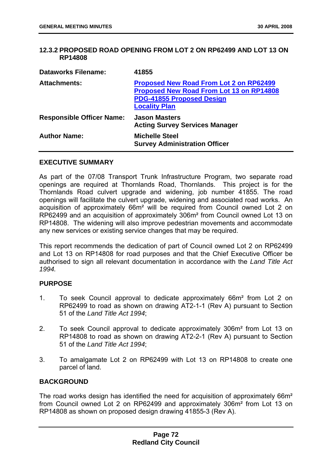### **12.3.2 PROPOSED ROAD OPENING FROM LOT 2 ON RP62499 AND LOT 13 ON RP14808**

| <b>Dataworks Filename:</b>       | 41855                                                                                                                                                         |
|----------------------------------|---------------------------------------------------------------------------------------------------------------------------------------------------------------|
| <b>Attachments:</b>              | <b>Proposed New Road From Lot 2 on RP62499</b><br><b>Proposed New Road From Lot 13 on RP14808</b><br><b>PDG-41855 Proposed Design</b><br><b>Locality Plan</b> |
| <b>Responsible Officer Name:</b> | <b>Jason Masters</b><br><b>Acting Survey Services Manager</b>                                                                                                 |
| <b>Author Name:</b>              | <b>Michelle Steel</b><br><b>Survey Administration Officer</b>                                                                                                 |

#### **EXECUTIVE SUMMARY**

As part of the 07/08 Transport Trunk Infrastructure Program, two separate road openings are required at Thornlands Road, Thornlands. This project is for the Thornlands Road culvert upgrade and widening, job number 41855. The road openings will facilitate the culvert upgrade, widening and associated road works. An acquisition of approximately 66m² will be required from Council owned Lot 2 on RP62499 and an acquisition of approximately 306m² from Council owned Lot 13 on RP14808. The widening will also improve pedestrian movements and accommodate any new services or existing service changes that may be required.

This report recommends the dedication of part of Council owned Lot 2 on RP62499 and Lot 13 on RP14808 for road purposes and that the Chief Executive Officer be authorised to sign all relevant documentation in accordance with the *Land Title Act 1994.* 

### **PURPOSE**

- 1. To seek Council approval to dedicate approximately 66m² from Lot 2 on RP62499 to road as shown on drawing AT2-1-1 (Rev A) pursuant to Section 51 of the *Land Title Act 1994*;
- 2. To seek Council approval to dedicate approximately 306m² from Lot 13 on RP14808 to road as shown on drawing AT2-2-1 (Rev A) pursuant to Section 51 of the *Land Title Act 1994*;
- 3. To amalgamate Lot 2 on RP62499 with Lot 13 on RP14808 to create one parcel of land.

### **BACKGROUND**

The road works design has identified the need for acquisition of approximately 66m² from Council owned Lot 2 on RP62499 and approximately 306m² from Lot 13 on RP14808 as shown on proposed design drawing 41855-3 (Rev A).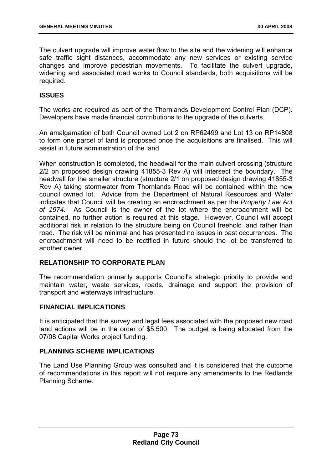The culvert upgrade will improve water flow to the site and the widening will enhance safe traffic sight distances, accommodate any new services or existing service changes and improve pedestrian movements. To facilitate the culvert upgrade, widening and associated road works to Council standards, both acquisitions will be required.

# **ISSUES**

The works are required as part of the Thornlands Development Control Plan (DCP). Developers have made financial contributions to the upgrade of the culverts.

An amalgamation of both Council owned Lot 2 on RP62499 and Lot 13 on RP14808 to form one parcel of land is proposed once the acquisitions are finalised. This will assist in future administration of the land.

When construction is completed, the headwall for the main culvert crossing (structure 2/2 on proposed design drawing 41855-3 Rev A) will intersect the boundary. The headwall for the smaller structure (structure 2/1 on proposed design drawing 41855-3 Rev A) taking stormwater from Thornlands Road will be contained within the new council owned lot. Advice from the Department of Natural Resources and Water indicates that Council will be creating an encroachment as per the *Property Law Act of 1974.* As Council is the owner of the lot where the encroachment will be contained, no further action is required at this stage. However, Council will accept additional risk in relation to the structure being on Council freehold land rather than road. The risk will be minimal and has presented no issues in past occurrences. The encroachment will need to be rectified in future should the lot be transferred to another owner.

### **RELATIONSHIP TO CORPORATE PLAN**

The recommendation primarily supports Council's strategic priority to provide and maintain water, waste services, roads, drainage and support the provision of transport and waterways infrastructure.

### **FINANCIAL IMPLICATIONS**

It is anticipated that the survey and legal fees associated with the proposed new road land actions will be in the order of \$5,500. The budget is being allocated from the 07/08 Capital Works project funding.

### **PLANNING SCHEME IMPLICATIONS**

The Land Use Planning Group was consulted and it is considered that the outcome of recommendations in this report will not require any amendments to the Redlands Planning Scheme.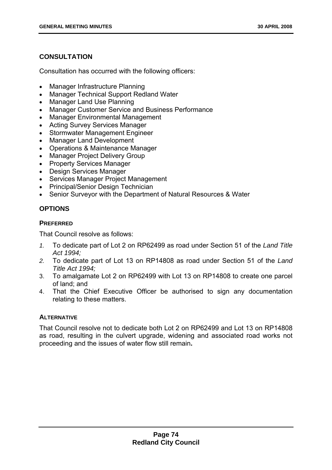# **CONSULTATION**

Consultation has occurred with the following officers:

- Manager Infrastructure Planning
- Manager Technical Support Redland Water
- Manager Land Use Planning
- Manager Customer Service and Business Performance
- Manager Environmental Management
- Acting Survey Services Manager
- Stormwater Management Engineer
- Manager Land Development
- Operations & Maintenance Manager
- Manager Project Delivery Group
- Property Services Manager
- Design Services Manager
- Services Manager Project Management
- Principal/Senior Design Technician
- Senior Surveyor with the Department of Natural Resources & Water

# **OPTIONS**

# **PREFERRED**

That Council resolve as follows:

- *1.* To dedicate part of Lot 2 on RP62499 as road under Section 51 of the *Land Title Act 1994;*
- *2.* To dedicate part of Lot 13 on RP14808 as road under Section 51 of the *Land Title Act 1994;*
- 3. To amalgamate Lot 2 on RP62499 with Lot 13 on RP14808 to create one parcel of land; and
- 4. That the Chief Executive Officer be authorised to sign any documentation relating to these matters.

# **ALTERNATIVE**

That Council resolve not to dedicate both Lot 2 on RP62499 and Lot 13 on RP14808 as road, resulting in the culvert upgrade, widening and associated road works not proceeding and the issues of water flow still remain**.**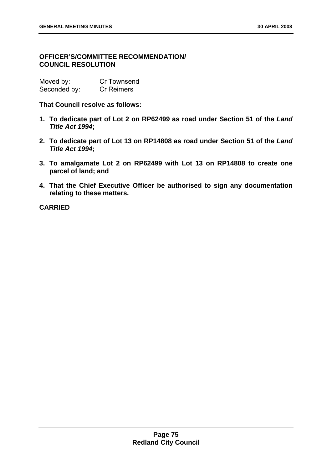# **OFFICER'S/COMMITTEE RECOMMENDATION/ COUNCIL RESOLUTION**

| Moved by:    | Cr Townsend       |
|--------------|-------------------|
| Seconded by: | <b>Cr Reimers</b> |

**That Council resolve as follows:** 

- **1. To dedicate part of Lot 2 on RP62499 as road under Section 51 of the** *Land Title Act 1994***;**
- **2. To dedicate part of Lot 13 on RP14808 as road under Section 51 of the** *Land Title Act 1994***;**
- **3. To amalgamate Lot 2 on RP62499 with Lot 13 on RP14808 to create one parcel of land; and**
- **4. That the Chief Executive Officer be authorised to sign any documentation relating to these matters.**

**CARRIED**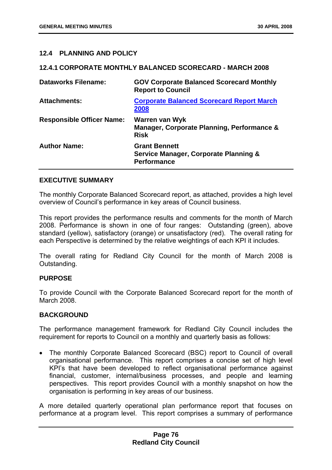### **12.4 PLANNING AND POLICY**

#### **12.4.1 CORPORATE MONTHLY BALANCED SCORECARD - MARCH 2008**

| <b>Dataworks Filename:</b>       | <b>GOV Corporate Balanced Scorecard Monthly</b><br><b>Report to Council</b>                    |
|----------------------------------|------------------------------------------------------------------------------------------------|
| <b>Attachments:</b>              | <b>Corporate Balanced Scorecard Report March</b><br>2008                                       |
| <b>Responsible Officer Name:</b> | Warren van Wyk<br>Manager, Corporate Planning, Performance &<br><b>Risk</b>                    |
| <b>Author Name:</b>              | <b>Grant Bennett</b><br><b>Service Manager, Corporate Planning &amp;</b><br><b>Performance</b> |

### **EXECUTIVE SUMMARY**

The monthly Corporate Balanced Scorecard report, as attached, provides a high level overview of Council's performance in key areas of Council business.

This report provides the performance results and comments for the month of March 2008. Performance is shown in one of four ranges: Outstanding (green), above standard (yellow), satisfactory (orange) or unsatisfactory (red). The overall rating for each Perspective is determined by the relative weightings of each KPI it includes.

The overall rating for Redland City Council for the month of March 2008 is Outstanding.

### **PURPOSE**

To provide Council with the Corporate Balanced Scorecard report for the month of March 2008.

### **BACKGROUND**

The performance management framework for Redland City Council includes the requirement for reports to Council on a monthly and quarterly basis as follows:

• The monthly Corporate Balanced Scorecard (BSC) report to Council of overall organisational performance. This report comprises a concise set of high level KPI's that have been developed to reflect organisational performance against financial, customer, internal/business processes, and people and learning perspectives. This report provides Council with a monthly snapshot on how the organisation is performing in key areas of our business.

A more detailed quarterly operational plan performance report that focuses on performance at a program level. This report comprises a summary of performance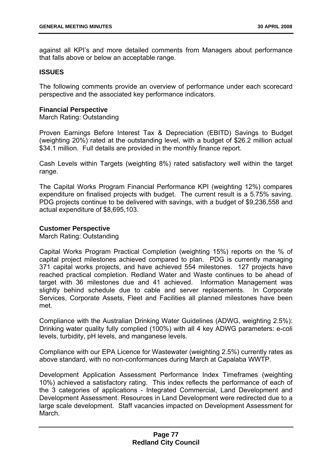against all KPI's and more detailed comments from Managers about performance that falls above or below an acceptable range.

### **ISSUES**

The following comments provide an overview of performance under each scorecard perspective and the associated key performance indicators.

### **Financial Perspective**

March Rating: Outstanding

Proven Earnings Before Interest Tax & Depreciation (EBITD) Savings to Budget (weighting 20%) rated at the outstanding level, with a budget of \$26.2 million actual \$34.1 million. Full details are provided in the monthly finance report.

Cash Levels within Targets (weighting 8%) rated satisfactory well within the target range.

The Capital Works Program Financial Performance KPI (weighting 12%) compares expenditure on finalised projects with budget. The current result is a 5.75% saving. PDG projects continue to be delivered with savings, with a budget of \$9,236,558 and actual expenditure of \$8,695,103.

### **Customer Perspective**

March Rating: Outstanding

Capital Works Program Practical Completion (weighting 15%) reports on the % of capital project milestones achieved compared to plan. PDG is currently managing 371 capital works projects, and have achieved 554 milestones. 127 projects have reached practical completion. Redland Water and Waste continues to be ahead of target with 36 milestones due and 41 achieved. Information Management was slightly behind schedule due to cable and server replacements. In Corporate Services, Corporate Assets, Fleet and Facilities all planned milestones have been met.

Compliance with the Australian Drinking Water Guidelines (ADWG, weighting 2.5%): Drinking water quality fully complied (100%) with all 4 key ADWG parameters: e-coli levels, turbidity, pH levels, and manganese levels.

Compliance with our EPA Licence for Wastewater (weighting 2.5%) currently rates as above standard, with no non-conformances during March at Capalaba WWTP.

Development Application Assessment Performance Index Timeframes (weighting 10%) achieved a satisfactory rating. This index reflects the performance of each of the 3 categories of applications - Integrated Commercial, Land Development and Development Assessment. Resources in Land Development were redirected due to a large scale development. Staff vacancies impacted on Development Assessment for March.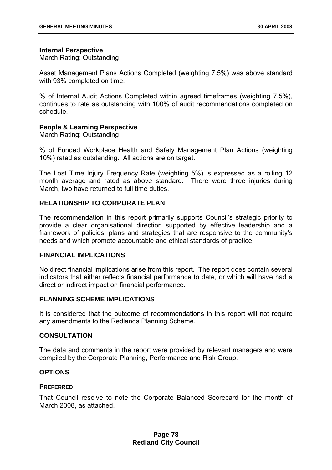#### **Internal Perspective**

March Rating: Outstanding

Asset Management Plans Actions Completed (weighting 7.5%) was above standard with 93% completed on time.

% of Internal Audit Actions Completed within agreed timeframes (weighting 7.5%), continues to rate as outstanding with 100% of audit recommendations completed on schedule.

### **People & Learning Perspective**

March Rating: Outstanding

% of Funded Workplace Health and Safety Management Plan Actions (weighting 10%) rated as outstanding. All actions are on target.

The Lost Time Injury Frequency Rate (weighting 5%) is expressed as a rolling 12 month average and rated as above standard. There were three injuries during March, two have returned to full time duties.

### **RELATIONSHIP TO CORPORATE PLAN**

The recommendation in this report primarily supports Council's strategic priority to provide a clear organisational direction supported by effective leadership and a framework of policies, plans and strategies that are responsive to the community's needs and which promote accountable and ethical standards of practice.

### **FINANCIAL IMPLICATIONS**

No direct financial implications arise from this report. The report does contain several indicators that either reflects financial performance to date, or which will have had a direct or indirect impact on financial performance.

### **PLANNING SCHEME IMPLICATIONS**

It is considered that the outcome of recommendations in this report will not require any amendments to the Redlands Planning Scheme.

### **CONSULTATION**

The data and comments in the report were provided by relevant managers and were compiled by the Corporate Planning, Performance and Risk Group.

### **OPTIONS**

### **PREFERRED**

That Council resolve to note the Corporate Balanced Scorecard for the month of March 2008, as attached.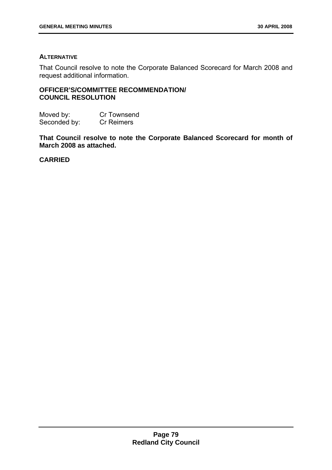# **ALTERNATIVE**

That Council resolve to note the Corporate Balanced Scorecard for March 2008 and request additional information.

# **OFFICER'S/COMMITTEE RECOMMENDATION/ COUNCIL RESOLUTION**

Moved by: Cr Townsend Seconded by: Cr Reimers

**That Council resolve to note the Corporate Balanced Scorecard for month of March 2008 as attached.** 

**CARRIED**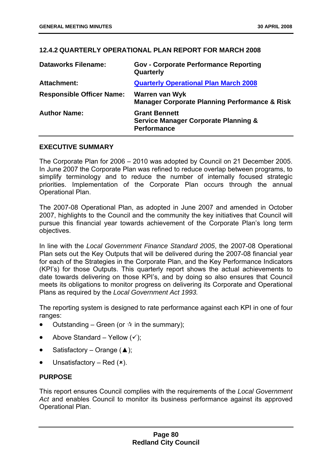# **12.4.2 QUARTERLY OPERATIONAL PLAN REPORT FOR MARCH 2008**

| <b>Dataworks Filename:</b>       | <b>Gov - Corporate Performance Reporting</b><br>Quarterly                                     |
|----------------------------------|-----------------------------------------------------------------------------------------------|
| Attachment:                      | <b>Quarterly Operational Plan March 2008</b>                                                  |
| <b>Responsible Officer Name:</b> | <b>Warren van Wyk</b><br><b>Manager Corporate Planning Performance &amp; Risk</b>             |
| <b>Author Name:</b>              | <b>Grant Bennett</b><br><b>Service Manager Corporate Planning &amp;</b><br><b>Performance</b> |

### **EXECUTIVE SUMMARY**

The Corporate Plan for 2006 – 2010 was adopted by Council on 21 December 2005. In June 2007 the Corporate Plan was refined to reduce overlap between programs, to simplify terminology and to reduce the number of internally focused strategic priorities. Implementation of the Corporate Plan occurs through the annual Operational Plan.

The 2007-08 Operational Plan, as adopted in June 2007 and amended in October 2007, highlights to the Council and the community the key initiatives that Council will pursue this financial year towards achievement of the Corporate Plan's long term objectives.

In line with the *Local Government Finance Standard 2005*, the 2007-08 Operational Plan sets out the Key Outputs that will be delivered during the 2007-08 financial year for each of the Strategies in the Corporate Plan, and the Key Performance Indicators (KPI's) for those Outputs. This quarterly report shows the actual achievements to date towards delivering on those KPI's, and by doing so also ensures that Council meets its obligations to monitor progress on delivering its Corporate and Operational Plans as required by the *Local Government Act 1993.* 

The reporting system is designed to rate performance against each KPI in one of four ranges:

- Outstanding Green (or  $\dot{x}$  in the summary);
- Above Standard Yellow  $(v)$ ;
- Satisfactory Orange  $($ \triangle );
- Unsatisfactory Red  $(x)$ .

# **PURPOSE**

This report ensures Council complies with the requirements of the *Local Government Act* and enables Council to monitor its business performance against its approved Operational Plan.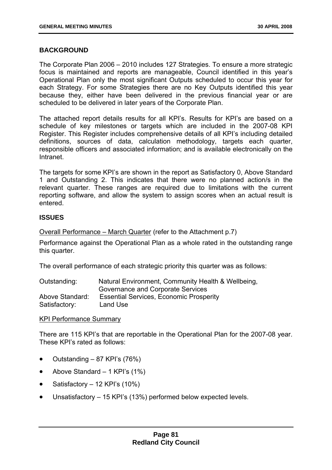### **BACKGROUND**

The Corporate Plan 2006 – 2010 includes 127 Strategies. To ensure a more strategic focus is maintained and reports are manageable, Council identified in this year's Operational Plan only the most significant Outputs scheduled to occur this year for each Strategy. For some Strategies there are no Key Outputs identified this year because they, either have been delivered in the previous financial year or are scheduled to be delivered in later years of the Corporate Plan.

The attached report details results for all KPI's. Results for KPI's are based on a schedule of key milestones or targets which are included in the 2007-08 KPI Register. This Register includes comprehensive details of all KPI's including detailed definitions, sources of data, calculation methodology, targets each quarter, responsible officers and associated information; and is available electronically on the Intranet.

The targets for some KPI's are shown in the report as Satisfactory 0, Above Standard 1 and Outstanding 2. This indicates that there were no planned action/s in the relevant quarter. These ranges are required due to limitations with the current reporting software, and allow the system to assign scores when an actual result is entered.

### **ISSUES**

Overall Performance – March Quarter (refer to the Attachment p.7)

Performance against the Operational Plan as a whole rated in the outstanding range this quarter.

The overall performance of each strategic priority this quarter was as follows:

| Outstanding:    | Natural Environment, Community Health & Wellbeing, |
|-----------------|----------------------------------------------------|
|                 | Governance and Corporate Services                  |
| Above Standard: | <b>Essential Services, Economic Prosperity</b>     |
| Satisfactory:   | Land Use                                           |

KPI Performance Summary

There are 115 KPI's that are reportable in the Operational Plan for the 2007-08 year. These KPI's rated as follows:

- Outstanding 87 KPI's (76%)
- Above Standard  $-1$  KPI's (1%)
- Satisfactory 12 KPI's (10%)
- Unsatisfactory 15 KPI's (13%) performed below expected levels.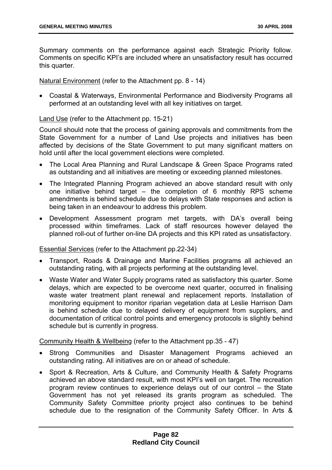Summary comments on the performance against each Strategic Priority follow. Comments on specific KPI's are included where an unsatisfactory result has occurred this quarter.

Natural Environment (refer to the Attachment pp. 8 - 14)

• Coastal & Waterways, Environmental Performance and Biodiversity Programs all performed at an outstanding level with all key initiatives on target.

Land Use (refer to the Attachment pp. 15-21)

Council should note that the process of gaining approvals and commitments from the State Government for a number of Land Use projects and initiatives has been affected by decisions of the State Government to put many significant matters on hold until after the local government elections were completed.

- The Local Area Planning and Rural Landscape & Green Space Programs rated as outstanding and all initiatives are meeting or exceeding planned milestones.
- The Integrated Planning Program achieved an above standard result with only one initiative behind target – the completion of 6 monthly RPS scheme amendments is behind schedule due to delays with State responses and action is being taken in an endeavour to address this problem.
- Development Assessment program met targets, with DA's overall being processed within timeframes. Lack of staff resources however delayed the planned roll-out of further on-line DA projects and this KPI rated as unsatisfactory.

Essential Services (refer to the Attachment pp.22-34)

- Transport, Roads & Drainage and Marine Facilities programs all achieved an outstanding rating, with all projects performing at the outstanding level.
- Waste Water and Water Supply programs rated as satisfactory this quarter. Some delays, which are expected to be overcome next quarter, occurred in finalising waste water treatment plant renewal and replacement reports. Installation of monitoring equipment to monitor riparian vegetation data at Leslie Harrison Dam is behind schedule due to delayed delivery of equipment from suppliers, and documentation of critical control points and emergency protocols is slightly behind schedule but is currently in progress.

Community Health & Wellbeing (refer to the Attachment pp.35 - 47)

- Strong Communities and Disaster Management Programs achieved an outstanding rating. All initiatives are on or ahead of schedule.
- Sport & Recreation, Arts & Culture, and Community Health & Safety Programs achieved an above standard result, with most KPI's well on target. The recreation program review continues to experience delays out of our control – the State Government has not yet released its grants program as scheduled. The Community Safety Committee priority project also continues to be behind schedule due to the resignation of the Community Safety Officer. In Arts &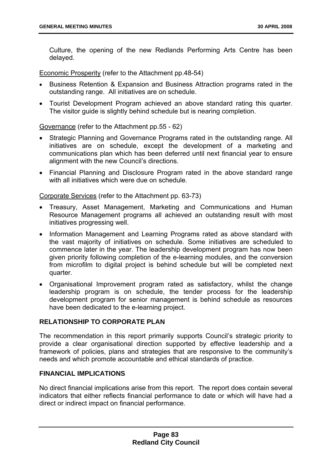Culture, the opening of the new Redlands Performing Arts Centre has been delayed.

Economic Prosperity (refer to the Attachment pp.48-54)

- Business Retention & Expansion and Business Attraction programs rated in the outstanding range. All initiatives are on schedule.
- Tourist Development Program achieved an above standard rating this quarter. The visitor guide is slightly behind schedule but is nearing completion.

Governance (refer to the Attachment pp.55 - 62)

- Strategic Planning and Governance Programs rated in the outstanding range. All initiatives are on schedule, except the development of a marketing and communications plan which has been deferred until next financial year to ensure alignment with the new Council's directions.
- Financial Planning and Disclosure Program rated in the above standard range with all initiatives which were due on schedule.

Corporate Services (refer to the Attachment pp. 63-73)

- Treasury, Asset Management, Marketing and Communications and Human Resource Management programs all achieved an outstanding result with most initiatives progressing well.
- Information Management and Learning Programs rated as above standard with the vast majority of initiatives on schedule. Some initiatives are scheduled to commence later in the year. The leadership development program has now been given priority following completion of the e-learning modules, and the conversion from microfilm to digital project is behind schedule but will be completed next quarter.
- Organisational Improvement program rated as satisfactory, whilst the change leadership program is on schedule, the tender process for the leadership development program for senior management is behind schedule as resources have been dedicated to the e-learning project.

# **RELATIONSHIP TO CORPORATE PLAN**

The recommendation in this report primarily supports Council's strategic priority to provide a clear organisational direction supported by effective leadership and a framework of policies, plans and strategies that are responsive to the community's needs and which promote accountable and ethical standards of practice.

# **FINANCIAL IMPLICATIONS**

No direct financial implications arise from this report. The report does contain several indicators that either reflects financial performance to date or which will have had a direct or indirect impact on financial performance.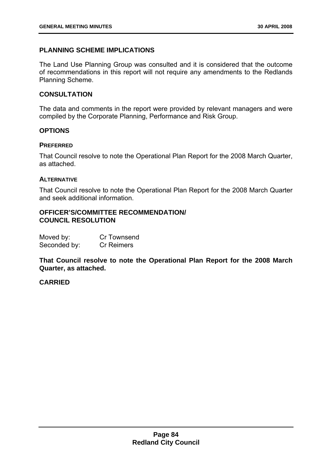### **PLANNING SCHEME IMPLICATIONS**

The Land Use Planning Group was consulted and it is considered that the outcome of recommendations in this report will not require any amendments to the Redlands Planning Scheme.

### **CONSULTATION**

The data and comments in the report were provided by relevant managers and were compiled by the Corporate Planning, Performance and Risk Group.

#### **OPTIONS**

#### **PREFERRED**

That Council resolve to note the Operational Plan Report for the 2008 March Quarter, as attached.

#### **ALTERNATIVE**

That Council resolve to note the Operational Plan Report for the 2008 March Quarter and seek additional information.

### **OFFICER'S/COMMITTEE RECOMMENDATION/ COUNCIL RESOLUTION**

| Moved by:    | Cr Townsend       |
|--------------|-------------------|
| Seconded by: | <b>Cr Reimers</b> |

**That Council resolve to note the Operational Plan Report for the 2008 March Quarter, as attached.** 

### **CARRIED**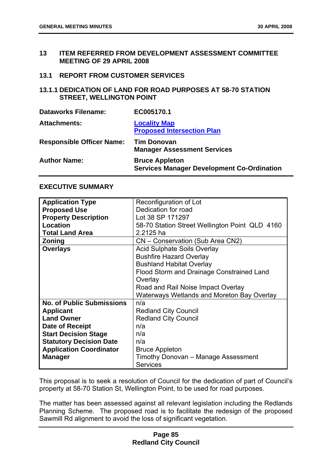- **13 ITEM REFERRED FROM DEVELOPMENT ASSESSMENT COMMITTEE MEETING OF 29 APRIL 2008**
- **13.1 REPORT FROM CUSTOMER SERVICES**
- **13.1.1 DEDICATION OF LAND FOR ROAD PURPOSES AT 58-70 STATION STREET, WELLINGTON POINT**

| <b>Dataworks Filename:</b>       | EC005170.1                                                                 |
|----------------------------------|----------------------------------------------------------------------------|
| <b>Attachments:</b>              | <b>Locality Map</b><br><b>Proposed Intersection Plan</b>                   |
| <b>Responsible Officer Name:</b> | <b>Tim Donovan</b><br><b>Manager Assessment Services</b>                   |
| <b>Author Name:</b>              | <b>Bruce Appleton</b><br><b>Services Manager Development Co-Ordination</b> |

#### **EXECUTIVE SUMMARY**

| <b>Application Type</b>          | Reconfiguration of Lot                         |  |
|----------------------------------|------------------------------------------------|--|
| <b>Proposed Use</b>              | Dedication for road                            |  |
| <b>Property Description</b>      | Lot 38 SP 171297                               |  |
| Location                         | 58-70 Station Street Wellington Point QLD 4160 |  |
| <b>Total Land Area</b>           | 2.2125 ha                                      |  |
| <b>Zoning</b>                    | CN - Conservation (Sub Area CN2)               |  |
| <b>Overlays</b>                  | <b>Acid Sulphate Soils Overlay</b>             |  |
|                                  | <b>Bushfire Hazard Overlay</b>                 |  |
|                                  | <b>Bushland Habitat Overlay</b>                |  |
|                                  | Flood Storm and Drainage Constrained Land      |  |
|                                  | Overlay                                        |  |
|                                  | Road and Rail Noise Impact Overlay             |  |
|                                  | Waterways Wetlands and Moreton Bay Overlay     |  |
| <b>No. of Public Submissions</b> | n/a                                            |  |
| <b>Applicant</b>                 | <b>Redland City Council</b>                    |  |
| <b>Land Owner</b>                | <b>Redland City Council</b>                    |  |
| Date of Receipt                  | n/a                                            |  |
| <b>Start Decision Stage</b>      | n/a                                            |  |
| <b>Statutory Decision Date</b>   | n/a                                            |  |
| <b>Application Coordinator</b>   | <b>Bruce Appleton</b>                          |  |
| <b>Manager</b>                   | Timothy Donovan - Manage Assessment            |  |
|                                  | <b>Services</b>                                |  |

This proposal is to seek a resolution of Council for the dedication of part of Council's property at 58-70 Station St, Wellington Point, to be used for road purposes.

The matter has been assessed against all relevant legislation including the Redlands Planning Scheme. The proposed road is to facilitate the redesign of the proposed Sawmill Rd alignment to avoid the loss of significant vegetation.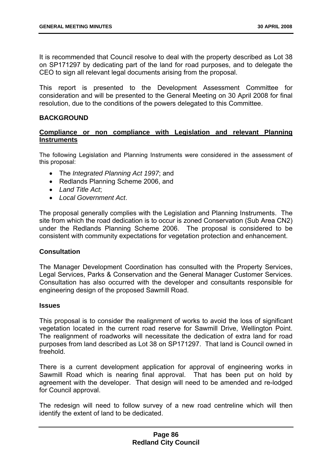It is recommended that Council resolve to deal with the property described as Lot 38 on SP171297 by dedicating part of the land for road purposes, and to delegate the CEO to sign all relevant legal documents arising from the proposal.

This report is presented to the Development Assessment Committee for consideration and will be presented to the General Meeting on 30 April 2008 for final resolution, due to the conditions of the powers delegated to this Committee.

### **BACKGROUND**

# **Compliance or non compliance with Legislation and relevant Planning Instruments**

The following Legislation and Planning Instruments were considered in the assessment of this proposal:

- The *Integrated Planning Act 1997*; and
- Redlands Planning Scheme 2006, and
- *Land Title Act*;
- *Local Government Act*.

The proposal generally complies with the Legislation and Planning Instruments. The site from which the road dedication is to occur is zoned Conservation (Sub Area CN2) under the Redlands Planning Scheme 2006. The proposal is considered to be consistent with community expectations for vegetation protection and enhancement.

### **Consultation**

The Manager Development Coordination has consulted with the Property Services, Legal Services, Parks & Conservation and the General Manager Customer Services. Consultation has also occurred with the developer and consultants responsible for engineering design of the proposed Sawmill Road.

### **Issues**

This proposal is to consider the realignment of works to avoid the loss of significant vegetation located in the current road reserve for Sawmill Drive, Wellington Point. The realignment of roadworks will necessitate the dedication of extra land for road purposes from land described as Lot 38 on SP171297. That land is Council owned in freehold.

There is a current development application for approval of engineering works in Sawmill Road which is nearing final approval. That has been put on hold by agreement with the developer. That design will need to be amended and re-lodged for Council approval.

The redesign will need to follow survey of a new road centreline which will then identify the extent of land to be dedicated.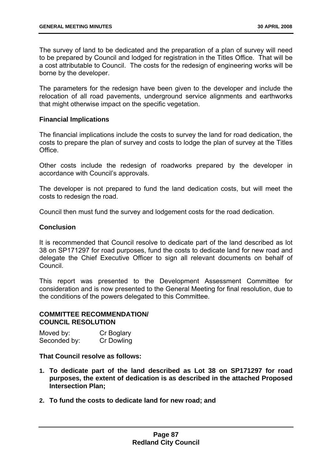The survey of land to be dedicated and the preparation of a plan of survey will need to be prepared by Council and lodged for registration in the Titles Office. That will be a cost attributable to Council. The costs for the redesign of engineering works will be borne by the developer.

The parameters for the redesign have been given to the developer and include the relocation of all road pavements, underground service alignments and earthworks that might otherwise impact on the specific vegetation.

### **Financial Implications**

The financial implications include the costs to survey the land for road dedication, the costs to prepare the plan of survey and costs to lodge the plan of survey at the Titles Office.

Other costs include the redesign of roadworks prepared by the developer in accordance with Council's approvals.

The developer is not prepared to fund the land dedication costs, but will meet the costs to redesign the road.

Council then must fund the survey and lodgement costs for the road dedication.

### **Conclusion**

It is recommended that Council resolve to dedicate part of the land described as lot 38 on SP171297 for road purposes, fund the costs to dedicate land for new road and delegate the Chief Executive Officer to sign all relevant documents on behalf of **Council** 

This report was presented to the Development Assessment Committee for consideration and is now presented to the General Meeting for final resolution, due to the conditions of the powers delegated to this Committee.

#### **COMMITTEE RECOMMENDATION/ COUNCIL RESOLUTION**

| Moved by:    | Cr Boglary        |
|--------------|-------------------|
| Seconded by: | <b>Cr Dowling</b> |

## **That Council resolve as follows:**

- **1. To dedicate part of the land described as Lot 38 on SP171297 for road purposes, the extent of dedication is as described in the attached Proposed Intersection Plan;**
- **2. To fund the costs to dedicate land for new road; and**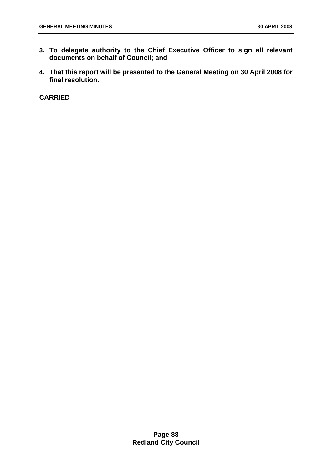- **3. To delegate authority to the Chief Executive Officer to sign all relevant documents on behalf of Council; and**
- **4. That this report will be presented to the General Meeting on 30 April 2008 for final resolution.**

**CARRIED**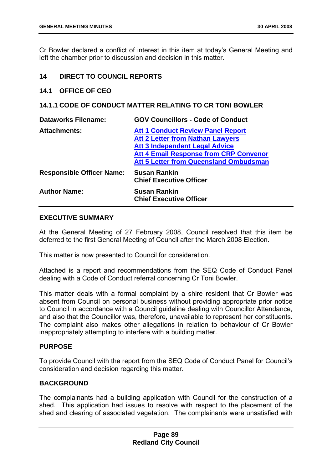Cr Bowler declared a conflict of interest in this item at today's General Meeting and left the chamber prior to discussion and decision in this matter.

### **14 DIRECT TO COUNCIL REPORTS**

### **14.1 OFFICE OF CEO**

# **14.1.1 CODE OF CONDUCT MATTER RELATING TO CR TONI BOWLER**

| <b>Dataworks Filename:</b>       | <b>GOV Councillors - Code of Conduct</b>                                                                                                                                      |
|----------------------------------|-------------------------------------------------------------------------------------------------------------------------------------------------------------------------------|
| <b>Attachments:</b>              | <b>Att 1 Conduct Review Panel Report</b><br><b>Att 2 Letter from Nathan Lawyers</b><br><b>Att 3 Independent Legal Advice</b><br><b>Att 4 Email Response from CRP Convenor</b> |
|                                  | <b>Att 5 Letter from Queensland Ombudsman</b>                                                                                                                                 |
| <b>Responsible Officer Name:</b> | <b>Susan Rankin</b><br><b>Chief Executive Officer</b>                                                                                                                         |
| <b>Author Name:</b>              | <b>Susan Rankin</b><br><b>Chief Executive Officer</b>                                                                                                                         |

## **EXECUTIVE SUMMARY**

At the General Meeting of 27 February 2008, Council resolved that this item be deferred to the first General Meeting of Council after the March 2008 Election.

This matter is now presented to Council for consideration.

Attached is a report and recommendations from the SEQ Code of Conduct Panel dealing with a Code of Conduct referral concerning Cr Toni Bowler.

This matter deals with a formal complaint by a shire resident that Cr Bowler was absent from Council on personal business without providing appropriate prior notice to Council in accordance with a Council guideline dealing with Councillor Attendance, and also that the Councillor was, therefore, unavailable to represent her constituents. The complaint also makes other allegations in relation to behaviour of Cr Bowler inappropriately attempting to interfere with a building matter.

### **PURPOSE**

To provide Council with the report from the SEQ Code of Conduct Panel for Council's consideration and decision regarding this matter.

### **BACKGROUND**

The complainants had a building application with Council for the construction of a shed. This application had issues to resolve with respect to the placement of the shed and clearing of associated vegetation. The complainants were unsatisfied with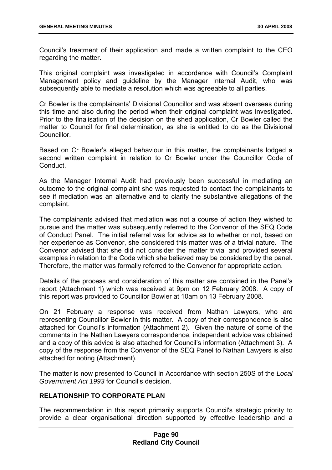Council's treatment of their application and made a written complaint to the CEO regarding the matter.

This original complaint was investigated in accordance with Council's Complaint Management policy and guideline by the Manager Internal Audit, who was subsequently able to mediate a resolution which was agreeable to all parties.

Cr Bowler is the complainants' Divisional Councillor and was absent overseas during this time and also during the period when their original complaint was investigated. Prior to the finalisation of the decision on the shed application, Cr Bowler called the matter to Council for final determination, as she is entitled to do as the Divisional Councillor.

Based on Cr Bowler's alleged behaviour in this matter, the complainants lodged a second written complaint in relation to Cr Bowler under the Councillor Code of Conduct.

As the Manager Internal Audit had previously been successful in mediating an outcome to the original complaint she was requested to contact the complainants to see if mediation was an alternative and to clarify the substantive allegations of the complaint.

The complainants advised that mediation was not a course of action they wished to pursue and the matter was subsequently referred to the Convenor of the SEQ Code of Conduct Panel. The initial referral was for advice as to whether or not, based on her experience as Convenor, she considered this matter was of a trivial nature. The Convenor advised that she did not consider the matter trivial and provided several examples in relation to the Code which she believed may be considered by the panel. Therefore, the matter was formally referred to the Convenor for appropriate action.

Details of the process and consideration of this matter are contained in the Panel's report (Attachment 1) which was received at 9pm on 12 February 2008. A copy of this report was provided to Councillor Bowler at 10am on 13 February 2008.

On 21 February a response was received from Nathan Lawyers, who are representing Councillor Bowler in this matter. A copy of their correspondence is also attached for Council's information (Attachment 2). Given the nature of some of the comments in the Nathan Lawyers correspondence, independent advice was obtained and a copy of this advice is also attached for Council's information (Attachment 3). A copy of the response from the Convenor of the SEQ Panel to Nathan Lawyers is also attached for noting (Attachment).

The matter is now presented to Council in Accordance with section 250S of the *Local Government Act 1993* for Council's decision.

# **RELATIONSHIP TO CORPORATE PLAN**

The recommendation in this report primarily supports Council's strategic priority to provide a clear organisational direction supported by effective leadership and a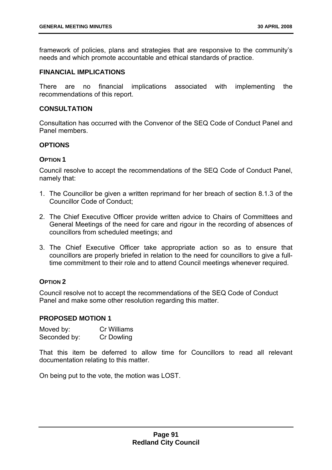framework of policies, plans and strategies that are responsive to the community's needs and which promote accountable and ethical standards of practice.

### **FINANCIAL IMPLICATIONS**

There are no financial implications associated with implementing the recommendations of this report.

#### **CONSULTATION**

Consultation has occurred with the Convenor of the SEQ Code of Conduct Panel and Panel members.

## **OPTIONS**

#### **OPTION 1**

Council resolve to accept the recommendations of the SEQ Code of Conduct Panel, namely that:

- 1. The Councillor be given a written reprimand for her breach of section 8.1.3 of the Councillor Code of Conduct;
- 2. The Chief Executive Officer provide written advice to Chairs of Committees and General Meetings of the need for care and rigour in the recording of absences of councillors from scheduled meetings; and
- 3. The Chief Executive Officer take appropriate action so as to ensure that councillors are properly briefed in relation to the need for councillors to give a fulltime commitment to their role and to attend Council meetings whenever required.

### **OPTION 2**

Council resolve not to accept the recommendations of the SEQ Code of Conduct Panel and make some other resolution regarding this matter.

#### **PROPOSED MOTION 1**

| Moved by:    | Cr Williams |
|--------------|-------------|
| Seconded by: | Cr Dowling  |

That this item be deferred to allow time for Councillors to read all relevant documentation relating to this matter.

On being put to the vote, the motion was LOST.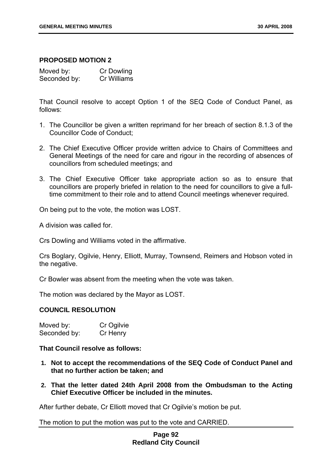#### **PROPOSED MOTION 2**

| Moved by:    | Cr Dowling  |
|--------------|-------------|
| Seconded by: | Cr Williams |

That Council resolve to accept Option 1 of the SEQ Code of Conduct Panel, as follows:

- 1. The Councillor be given a written reprimand for her breach of section 8.1.3 of the Councillor Code of Conduct;
- 2. The Chief Executive Officer provide written advice to Chairs of Committees and General Meetings of the need for care and rigour in the recording of absences of councillors from scheduled meetings; and
- 3. The Chief Executive Officer take appropriate action so as to ensure that councillors are properly briefed in relation to the need for councillors to give a fulltime commitment to their role and to attend Council meetings whenever required.

On being put to the vote, the motion was LOST.

A division was called for.

Crs Dowling and Williams voted in the affirmative.

Crs Boglary, Ogilvie, Henry, Elliott, Murray, Townsend, Reimers and Hobson voted in the negative.

Cr Bowler was absent from the meeting when the vote was taken.

The motion was declared by the Mayor as LOST.

### **COUNCIL RESOLUTION**

| Moved by:    | Cr Ogilvie |
|--------------|------------|
| Seconded by: | Cr Henry   |

**That Council resolve as follows:** 

- **1. Not to accept the recommendations of the SEQ Code of Conduct Panel and that no further action be taken; and**
- **2. That the letter dated 24th April 2008 from the Ombudsman to the Acting Chief Executive Officer be included in the minutes.**

After further debate, Cr Elliott moved that Cr Ogilvie's motion be put.

The motion to put the motion was put to the vote and CARRIED.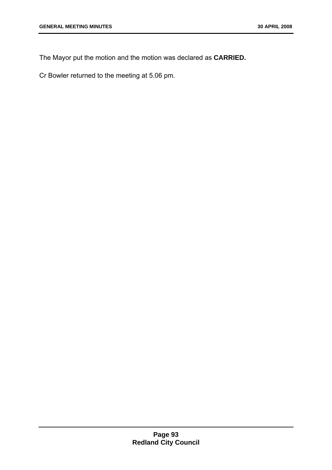The Mayor put the motion and the motion was declared as **CARRIED.** 

Cr Bowler returned to the meeting at 5.06 pm.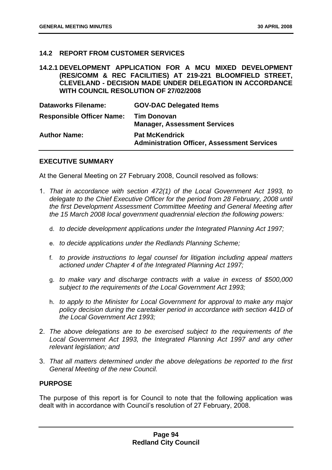## **14.2 REPORT FROM CUSTOMER SERVICES**

### **14.2.1 DEVELOPMENT APPLICATION FOR A MCU MIXED DEVELOPMENT (RES/COMM & REC FACILITIES) AT 219-221 BLOOMFIELD STREET, CLEVELAND - DECISION MADE UNDER DELEGATION IN ACCORDANCE WITH COUNCIL RESOLUTION OF 27/02/2008**

| <b>Dataworks Filename:</b>       | <b>GOV-DAC Delegated Items</b>                                              |
|----------------------------------|-----------------------------------------------------------------------------|
| <b>Responsible Officer Name:</b> | <b>Tim Donovan</b><br><b>Manager, Assessment Services</b>                   |
| <b>Author Name:</b>              | <b>Pat McKendrick</b><br><b>Administration Officer, Assessment Services</b> |

#### **EXECUTIVE SUMMARY**

At the General Meeting on 27 February 2008, Council resolved as follows:

- 1. *That in accordance with section 472(1) of the Local Government Act 1993, to delegate to the Chief Executive Officer for the period from 28 February, 2008 until the first Development Assessment Committee Meeting and General Meeting after the 15 March 2008 local government quadrennial election the following powers:* 
	- d. *to decide development applications under the Integrated Planning Act 1997;*
	- e. *to decide applications under the Redlands Planning Scheme;*
	- f. *to provide instructions to legal counsel for litigation including appeal matters actioned under Chapter 4 of the Integrated Planning Act 1997;*
	- g. *to make vary and discharge contracts with a value in excess of \$500,000 subject to the requirements of the Local Government Act 1993;*
	- h. *to apply to the Minister for Local Government for approval to make any major policy decision during the caretaker period in accordance with section 441D of the Local Government Act 1993;*
- 2. *The above delegations are to be exercised subject to the requirements of the Local Government Act 1993, the Integrated Planning Act 1997 and any other relevant legislation; and*
- 3. *That all matters determined under the above delegations be reported to the first General Meeting of the new Council.*

### **PURPOSE**

The purpose of this report is for Council to note that the following application was dealt with in accordance with Council's resolution of 27 February, 2008.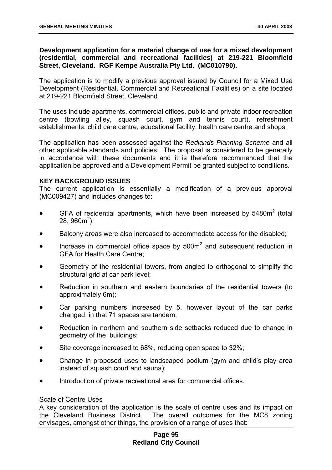## **Development application for a material change of use for a mixed development (residential, commercial and recreational facilities) at 219-221 Bloomfield Street, Cleveland. RGF Kempe Australia Pty Ltd. (MC010790).**

The application is to modify a previous approval issued by Council for a Mixed Use Development (Residential, Commercial and Recreational Facilities) on a site located at 219-221 Bloomfield Street, Cleveland.

The uses include apartments, commercial offices, public and private indoor recreation centre (bowling alley, squash court, gym and tennis court), refreshment establishments, child care centre, educational facility, health care centre and shops.

The application has been assessed against the *Redlands Planning Scheme* and all other applicable standards and policies. The proposal is considered to be generally in accordance with these documents and it is therefore recommended that the application be approved and a Development Permit be granted subject to conditions.

### **KEY BACKGROUND ISSUES**

The current application is essentially a modification of a previous approval (MC009427) and includes changes to:

- GFA of residential apartments, which have been increased by  $5480m^2$  (total 28,  $960m^2$ );
- Balcony areas were also increased to accommodate access for the disabled;
- Increase in commercial office space by  $500m^2$  and subsequent reduction in GFA for Health Care Centre;
- Geometry of the residential towers, from angled to orthogonal to simplify the structural grid at car park level;
- Reduction in southern and eastern boundaries of the residential towers (to approximately 6m);
- Car parking numbers increased by 5, however layout of the car parks changed, in that 71 spaces are tandem;
- Reduction in northern and southern side setbacks reduced due to change in geometry of the buildings;
- Site coverage increased to 68%, reducing open space to 32%;
- Change in proposed uses to landscaped podium (gym and child's play area instead of squash court and sauna);
- Introduction of private recreational area for commercial offices.

### Scale of Centre Uses

A key consideration of the application is the scale of centre uses and its impact on the Cleveland Business District. The overall outcomes for the MC8 zoning envisages, amongst other things, the provision of a range of uses that:

## **Page 95 Redland City Council**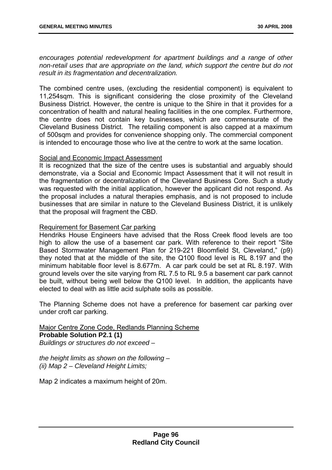*encourages potential redevelopment for apartment buildings and a range of other non-retail uses that are appropriate on the land, which support the centre but do not result in its fragmentation and decentralization.* 

The combined centre uses, (excluding the residential component) is equivalent to 11,254sqm. This is significant considering the close proximity of the Cleveland Business District. However, the centre is unique to the Shire in that it provides for a concentration of health and natural healing facilities in the one complex. Furthermore, the centre does not contain key businesses, which are commensurate of the Cleveland Business District. The retailing component is also capped at a maximum of 500sqm and provides for convenience shopping only. The commercial component is intended to encourage those who live at the centre to work at the same location.

#### Social and Economic Impact Assessment

It is recognized that the size of the centre uses is substantial and arguably should demonstrate, via a Social and Economic Impact Assessment that it will not result in the fragmentation or decentralization of the Cleveland Business Core. Such a study was requested with the initial application, however the applicant did not respond. As the proposal includes a natural therapies emphasis, and is not proposed to include businesses that are similar in nature to the Cleveland Business District, it is unlikely that the proposal will fragment the CBD.

### Requirement for Basement Car parking

Hendriks House Engineers have advised that the Ross Creek flood levels are too high to allow the use of a basement car park. With reference to their report "Site Based Stormwater Management Plan for 219-221 Bloomfield St, Cleveland," (p9) they noted that at the middle of the site, the Q100 flood level is RL 8.197 and the minimum habitable floor level is 8.677m. A car park could be set at RL 8.197. With ground levels over the site varying from RL 7.5 to RL 9.5 a basement car park cannot be built, without being well below the Q100 level. In addition, the applicants have elected to deal with as little acid sulphate soils as possible.

The Planning Scheme does not have a preference for basement car parking over under croft car parking.

### Major Centre Zone Code, Redlands Planning Scheme **Probable Solution P2.1 (1)**  *Buildings or structures do not exceed –*

*the height limits as shown on the following – (ii) Map 2 – Cleveland Height Limits;* 

Map 2 indicates a maximum height of 20m.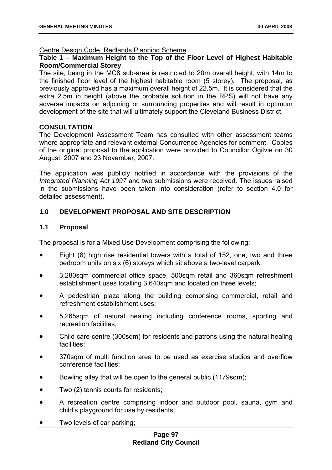### Centre Design Code, Redlands Planning Scheme

# **Table 1 – Maximum Height to the Top of the Floor Level of Highest Habitable Room/Commercial Storey**

The site, being in the MC8 sub-area is restricted to 20m overall height, with 14m to the finished floor level of the highest habitable room (5 storey). The proposal, as previously approved has a maximum overall height of 22.5m. It is considered that the extra 2.5m in height (above the probable solution in the RPS) will not have any adverse impacts on adjoining or surrounding properties and will result in optimum development of the site that will ultimately support the Cleveland Business District.

### **CONSULTATION**

The Development Assessment Team has consulted with other assessment teams where appropriate and relevant external Concurrence Agencies for comment. Copies of the original proposal to the application were provided to Councillor Ogilvie on 30 August, 2007 and 23 November, 2007.

The application was publicly notified in accordance with the provisions of the *Integrated Planning Act 1997* and two submissions were received. The issues raised in the submissions have been taken into consideration (refer to section 4.0 for detailed assessment).

# **1.0 DEVELOPMENT PROPOSAL AND SITE DESCRIPTION**

### **1.1 Proposal**

The proposal is for a Mixed Use Development comprising the following:

- Eight (8) high rise residential towers with a total of 152, one, two and three bedroom units on six (6) storeys which sit above a two-level carpark;
- 3,280sqm commercial office space, 500sqm retail and 360sqm refreshment establishment uses totalling 3,640sqm and located on three levels;
- A pedestrian plaza along the building comprising commercial, retail and refreshment establishment uses;
- 5,265sqm of natural healing including conference rooms, sporting and recreation facilities;
- Child care centre (300sqm) for residents and patrons using the natural healing facilities;
- 370sqm of multi function area to be used as exercise studios and overflow conference facilities;
- Bowling alley that will be open to the general public (1179sqm);
- Two (2) tennis courts for residents;
- A recreation centre comprising indoor and outdoor pool, sauna, gym and child's playground for use by residents;
- Two levels of car parking;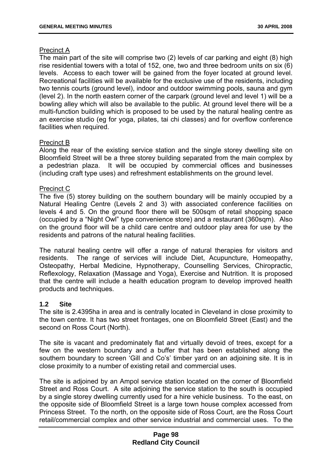### Precinct A

The main part of the site will comprise two (2) levels of car parking and eight (8) high rise residential towers with a total of 152, one, two and three bedroom units on six (6) levels. Access to each tower will be gained from the foyer located at ground level. Recreational facilities will be available for the exclusive use of the residents, including two tennis courts (ground level), indoor and outdoor swimming pools, sauna and gym (level 2). In the north eastern corner of the carpark (ground level and level 1) will be a bowling alley which will also be available to the public. At ground level there will be a multi-function building which is proposed to be used by the natural healing centre as an exercise studio (eg for yoga, pilates, tai chi classes) and for overflow conference facilities when required.

### Precinct B

Along the rear of the existing service station and the single storey dwelling site on Bloomfield Street will be a three storey building separated from the main complex by a pedestrian plaza. It will be occupied by commercial offices and businesses (including craft type uses) and refreshment establishments on the ground level.

### Precinct C

The five (5) storey building on the southern boundary will be mainly occupied by a Natural Healing Centre (Levels 2 and 3) with associated conference facilities on levels 4 and 5. On the ground floor there will be 500sqm of retail shopping space (occupied by a "Night Owl" type convenience store) and a restaurant (360sqm). Also on the ground floor will be a child care centre and outdoor play area for use by the residents and patrons of the natural healing facilities.

The natural healing centre will offer a range of natural therapies for visitors and residents. The range of services will include Diet, Acupuncture, Homeopathy, Osteopathy, Herbal Medicine, Hypnotherapy, Counselling Services, Chiropractic, Reflexology, Relaxation (Massage and Yoga), Exercise and Nutrition. It is proposed that the centre will include a health education program to develop improved health products and techniques.

### **1.2 Site**

The site is 2.4395ha in area and is centrally located in Cleveland in close proximity to the town centre. It has two street frontages, one on Bloomfield Street (East) and the second on Ross Court (North).

The site is vacant and predominately flat and virtually devoid of trees, except for a few on the western boundary and a buffer that has been established along the southern boundary to screen 'Gill and Co's' timber yard on an adjoining site. It is in close proximity to a number of existing retail and commercial uses.

The site is adjoined by an Ampol service station located on the corner of Bloomfield Street and Ross Court. A site adjoining the service station to the south is occupied by a single storey dwelling currently used for a hire vehicle business. To the east, on the opposite side of Bloomfield Street is a large town house complex accessed from Princess Street. To the north, on the opposite side of Ross Court, are the Ross Court retail/commercial complex and other service industrial and commercial uses. To the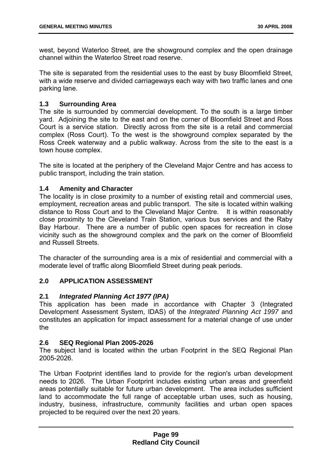west, beyond Waterloo Street, are the showground complex and the open drainage channel within the Waterloo Street road reserve.

The site is separated from the residential uses to the east by busy Bloomfield Street, with a wide reserve and divided carriageways each way with two traffic lanes and one parking lane.

# **1.3 Surrounding Area**

The site is surrounded by commercial development. To the south is a large timber yard. Adjoining the site to the east and on the corner of Bloomfield Street and Ross Court is a service station. Directly across from the site is a retail and commercial complex (Ross Court). To the west is the showground complex separated by the Ross Creek waterway and a public walkway. Across from the site to the east is a town house complex.

The site is located at the periphery of the Cleveland Major Centre and has access to public transport, including the train station.

### **1.4 Amenity and Character**

The locality is in close proximity to a number of existing retail and commercial uses, employment, recreation areas and public transport. The site is located within walking distance to Ross Court and to the Cleveland Major Centre. It is within reasonably close proximity to the Cleveland Train Station, various bus services and the Raby Bay Harbour. There are a number of public open spaces for recreation in close vicinity such as the showground complex and the park on the corner of Bloomfield and Russell Streets.

The character of the surrounding area is a mix of residential and commercial with a moderate level of traffic along Bloomfield Street during peak periods.

# **2.0 APPLICATION ASSESSMENT**

### **2.1** *Integrated Planning Act 1977 (IPA)*

This application has been made in accordance with Chapter 3 (Integrated Development Assessment System, IDAS) of the *Integrated Planning Act 1997* and constitutes an application for impact assessment for a material change of use under the

### **2.6 SEQ Regional Plan 2005-2026**

The subject land is located within the urban Footprint in the SEQ Regional Plan 2005-2026.

The Urban Footprint identifies land to provide for the region's urban development needs to 2026. The Urban Footprint includes existing urban areas and greenfield areas potentially suitable for future urban development. The area includes sufficient land to accommodate the full range of acceptable urban uses, such as housing, industry, business, infrastructure, community facilities and urban open spaces projected to be required over the next 20 years.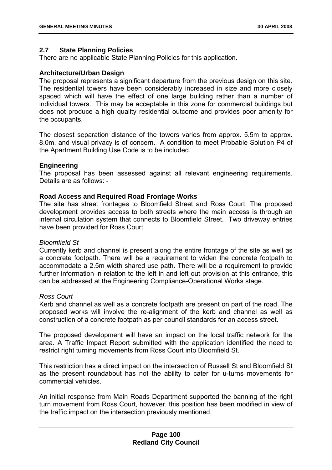### **2.7 State Planning Policies**

There are no applicable State Planning Policies for this application.

### **Architecture/Urban Design**

The proposal represents a significant departure from the previous design on this site. The residential towers have been considerably increased in size and more closely spaced which will have the effect of one large building rather than a number of individual towers. This may be acceptable in this zone for commercial buildings but does not produce a high quality residential outcome and provides poor amenity for the occupants.

The closest separation distance of the towers varies from approx. 5.5m to approx. 8.0m, and visual privacy is of concern. A condition to meet Probable Solution P4 of the Apartment Building Use Code is to be included.

### **Engineering**

The proposal has been assessed against all relevant engineering requirements. Details are as follows: -

### **Road Access and Required Road Frontage Works**

The site has street frontages to Bloomfield Street and Ross Court. The proposed development provides access to both streets where the main access is through an internal circulation system that connects to Bloomfield Street. Two driveway entries have been provided for Ross Court.

### *Bloomfield St*

Currently kerb and channel is present along the entire frontage of the site as well as a concrete footpath. There will be a requirement to widen the concrete footpath to accommodate a 2.5m width shared use path. There will be a requirement to provide further information in relation to the left in and left out provision at this entrance, this can be addressed at the Engineering Compliance-Operational Works stage.

### *Ross Court*

Kerb and channel as well as a concrete footpath are present on part of the road. The proposed works will involve the re-alignment of the kerb and channel as well as construction of a concrete footpath as per council standards for an access street.

The proposed development will have an impact on the local traffic network for the area. A Traffic Impact Report submitted with the application identified the need to restrict right turning movements from Ross Court into Bloomfield St.

This restriction has a direct impact on the intersection of Russell St and Bloomfield St as the present roundabout has not the ability to cater for u-turns movements for commercial vehicles.

An initial response from Main Roads Department supported the banning of the right turn movement from Ross Court, however, this position has been modified in view of the traffic impact on the intersection previously mentioned.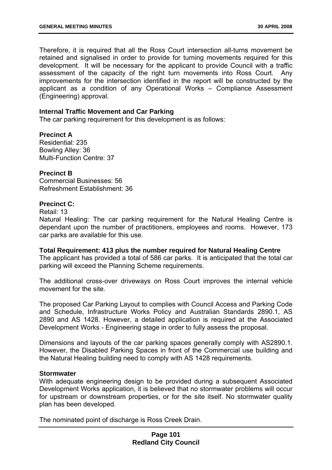Therefore, it is required that all the Ross Court intersection all-turns movement be retained and signalised in order to provide for turning movements required for this development. It will be necessary for the applicant to provide Council with a traffic assessment of the capacity of the right turn movements into Ross Court. Any improvements for the intersection identified in the report will be constructed by the applicant as a condition of any Operational Works – Compliance Assessment (Engineering) approval.

### **Internal Traffic Movement and Car Parking**

The car parking requirement for this development is as follows:

## **Precinct A**

Residential: 235 Bowling Alley: 36 Multi-Function Centre: 37

#### **Precinct B**

Commercial Businesses: 56 Refreshment Establishment: 36

#### **Precinct C:**

Retail: 13

Natural Healing: The car parking requirement for the Natural Healing Centre is dependant upon the number of practitioners, employees and rooms. However, 173 car parks are available for this use.

#### **Total Requirement: 413 plus the number required for Natural Healing Centre**

The applicant has provided a total of 586 car parks. It is anticipated that the total car parking will exceed the Planning Scheme requirements.

The additional cross-over driveways on Ross Court improves the internal vehicle movement for the site.

The proposed Car Parking Layout to complies with Council Access and Parking Code and Schedule, Infrastructure Works Policy and Australian Standards 2890.1, AS 2890 and AS 1428. However, a detailed application is required at the Associated Development Works - Engineering stage in order to fully assess the proposal.

Dimensions and layouts of the car parking spaces generally comply with AS2890.1. However, the Disabled Parking Spaces in front of the Commercial use building and the Natural Healing building need to comply with AS 1428 requirements.

#### **Stormwater**

With adequate engineering design to be provided during a subsequent Associated Development Works application, it is believed that no stormwater problems will occur for upstream or downstream properties, or for the site itself. No stormwater quality plan has been developed.

The nominated point of discharge is Ross Creek Drain.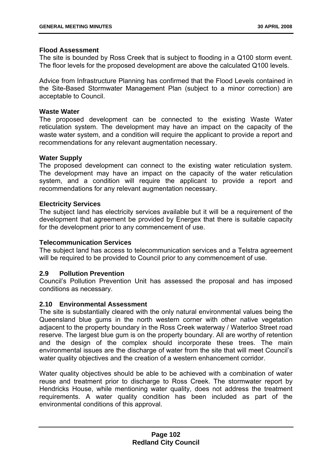### **Flood Assessment**

The site is bounded by Ross Creek that is subject to flooding in a Q100 storm event. The floor levels for the proposed development are above the calculated Q100 levels.

Advice from Infrastructure Planning has confirmed that the Flood Levels contained in the Site-Based Stormwater Management Plan (subject to a minor correction) are acceptable to Council.

### **Waste Water**

The proposed development can be connected to the existing Waste Water reticulation system. The development may have an impact on the capacity of the waste water system, and a condition will require the applicant to provide a report and recommendations for any relevant augmentation necessary.

### **Water Supply**

The proposed development can connect to the existing water reticulation system. The development may have an impact on the capacity of the water reticulation system, and a condition will require the applicant to provide a report and recommendations for any relevant augmentation necessary.

### **Electricity Services**

The subject land has electricity services available but it will be a requirement of the development that agreement be provided by Energex that there is suitable capacity for the development prior to any commencement of use.

# **Telecommunication Services**

The subject land has access to telecommunication services and a Telstra agreement will be required to be provided to Council prior to any commencement of use.

### **2.9 Pollution Prevention**

Council's Pollution Prevention Unit has assessed the proposal and has imposed conditions as necessary.

### **2.10 Environmental Assessment**

The site is substantially cleared with the only natural environmental values being the Queensland blue gums in the north western corner with other native vegetation adjacent to the property boundary in the Ross Creek waterway / Waterloo Street road reserve. The largest blue gum is on the property boundary. All are worthy of retention and the design of the complex should incorporate these trees. The main environmental issues are the discharge of water from the site that will meet Council's water quality objectives and the creation of a western enhancement corridor.

Water quality objectives should be able to be achieved with a combination of water reuse and treatment prior to discharge to Ross Creek. The stormwater report by Hendricks House, while mentioning water quality, does not address the treatment requirements. A water quality condition has been included as part of the environmental conditions of this approval.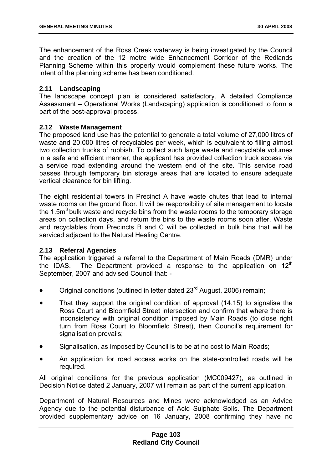The enhancement of the Ross Creek waterway is being investigated by the Council and the creation of the 12 metre wide Enhancement Corridor of the Redlands Planning Scheme within this property would complement these future works. The intent of the planning scheme has been conditioned.

## **2.11 Landscaping**

The landscape concept plan is considered satisfactory. A detailed Compliance Assessment – Operational Works (Landscaping) application is conditioned to form a part of the post-approval process.

### **2.12 Waste Management**

The proposed land use has the potential to generate a total volume of 27,000 litres of waste and 20,000 litres of recyclables per week, which is equivalent to filling almost two collection trucks of rubbish. To collect such large waste and recyclable volumes in a safe and efficient manner, the applicant has provided collection truck access via a service road extending around the western end of the site. This service road passes through temporary bin storage areas that are located to ensure adequate vertical clearance for bin lifting.

The eight residential towers in Precinct A have waste chutes that lead to internal waste rooms on the ground floor. It will be responsibility of site management to locate the 1.5 $\text{m}^3$  bulk waste and recycle bins from the waste rooms to the temporary storage areas on collection days, and return the bins to the waste rooms soon after. Waste and recyclables from Precincts B and C will be collected in bulk bins that will be serviced adjacent to the Natural Healing Centre.

### **2.13 Referral Agencies**

The application triggered a referral to the Department of Main Roads (DMR) under the IDAS. The Department provided a response to the application on  $12<sup>th</sup>$ September, 2007 and advised Council that: -

- Original conditions (outlined in letter dated 23<sup>rd</sup> August, 2006) remain;
- That they support the original condition of approval (14.15) to signalise the Ross Court and Bloomfield Street intersection and confirm that where there is inconsistency with original condition imposed by Main Roads (to close right turn from Ross Court to Bloomfield Street), then Council's requirement for signalisation prevails;
- Signalisation, as imposed by Council is to be at no cost to Main Roads;
- An application for road access works on the state-controlled roads will be required.

All original conditions for the previous application (MC009427), as outlined in Decision Notice dated 2 January, 2007 will remain as part of the current application.

Department of Natural Resources and Mines were acknowledged as an Advice Agency due to the potential disturbance of Acid Sulphate Soils. The Department provided supplementary advice on 16 January, 2008 confirming they have no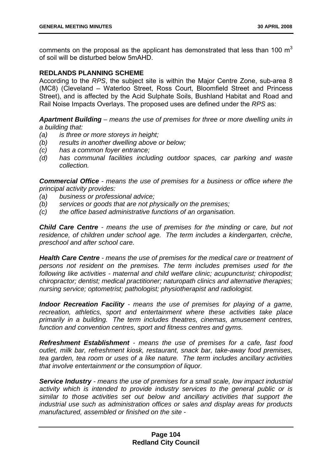comments on the proposal as the applicant has demonstrated that less than 100  $m<sup>3</sup>$ of soil will be disturbed below 5mAHD.

### **REDLANDS PLANNING SCHEME**

According to the *RPS*, the subject site is within the Major Centre Zone, sub-area 8 (MC8) (Cleveland – Waterloo Street, Ross Court, Bloomfield Street and Princess Street), and is affected by the Acid Sulphate Soils, Bushland Habitat and Road and Rail Noise Impacts Overlays. The proposed uses are defined under the *RPS* as:

*Apartment Building – means the use of premises for three or more dwelling units in a building that:* 

- *(a) is three or more storeys in height;*
- *(b) results in another dwelling above or below;*
- *(c) has a common foyer entrance;*
- *(d) has communal facilities including outdoor spaces, car parking and waste collection.*

*Commercial Office - means the use of premises for a business or office where the principal activity provides:* 

- *(a) business or professional advice;*
- *(b) services or goods that are not physically on the premises;*
- *(c) the office based administrative functions of an organisation.*

*Child Care Centre - means the use of premises for the minding or care, but not residence, of children under school age. The term includes a kindergarten, crèche, preschool and after school care.* 

*Health Care Centre - means the use of premises for the medical care or treatment of persons not resident on the premises. The term includes premises used for the following like activities - maternal and child welfare clinic; acupuncturist; chiropodist; chiropractor; dentist; medical practitioner; naturopath clinics and alternative therapies; nursing service; optometrist; pathologist; physiotherapist and radiologist.* 

*Indoor Recreation Facility - means the use of premises for playing of a game, recreation, athletics, sport and entertainment where these activities take place primarily in a building. The term includes theatres, cinemas, amusement centres, function and convention centres, sport and fitness centres and gyms.* 

*Refreshment Establishment - means the use of premises for a cafe, fast food outlet, milk bar, refreshment kiosk, restaurant, snack bar, take-away food premises, tea garden, tea room or uses of a like nature. The term includes ancillary activities that involve entertainment or the consumption of liquor.* 

*Service Industry - means the use of premises for a small scale, low impact industrial*  activity which is intended to provide industry services to the general public or is *similar to those activities set out below and ancillary activities that support the industrial use such as administration offices or sales and display areas for products manufactured, assembled or finished on the site -*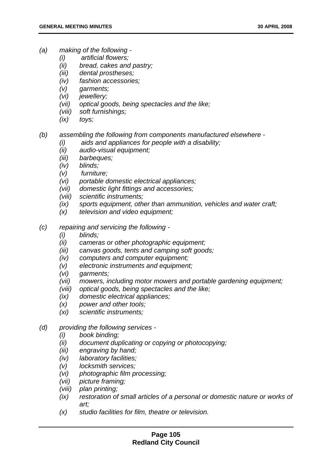- *(a) making of the following* 
	- *(i) artificial flowers;*
	- *(ii) bread, cakes and pastry;*
	- *(iii) dental prostheses;*
	- *(iv) fashion accessories;*
	- *(v) garments;*
	- *(vi) jewellery;*
	- *(vii) optical goods, being spectacles and the like;*
	- *(viii) soft furnishings;*
	- *(ix) toys;*
- *(b) assembling the following from components manufactured elsewhere* 
	- *(i) aids and appliances for people with a disability;*
	- *(ii) audio-visual equipment;*
	- *(iii) barbeques;*
	- *(iv) blinds;*
	- *(v) furniture;*
	- *(vi) portable domestic electrical appliances;*
	- *(vii) domestic light fittings and accessories;*
	- *(viii) scientific instruments;*
	- *(ix) sports equipment, other than ammunition, vehicles and water craft;*
	- *(x) television and video equipment;*
- *(c) repairing and servicing the following* 
	- *(i) blinds;*
	- *(ii) cameras or other photographic equipment;*
	- *(iii) canvas goods, tents and camping soft goods;*
	- *(iv) computers and computer equipment;*
	- *(v) electronic instruments and equipment;*
	- *(vi) garments;*
	- *(vii) mowers, including motor mowers and portable gardening equipment;*
	- *(viii) optical goods, being spectacles and the like;*
	- *(ix) domestic electrical appliances;*
	- *(x) power and other tools;*
	- *(xi) scientific instruments;*
- *(d) providing the following services* 
	- *(i) book binding;*
	- *(ii) document duplicating or copying or photocopying;*
	- *(iii) engraving by hand;*
	- *(iv) laboratory facilities;*
	- *(v) locksmith services;*
	- *(vi) photographic film processing;*
	- *(vii) picture framing;*
	- *(viii) plan printing;*
	- *(ix) restoration of small articles of a personal or domestic nature or works of art;*
	- *(x) studio facilities for film, theatre or television.*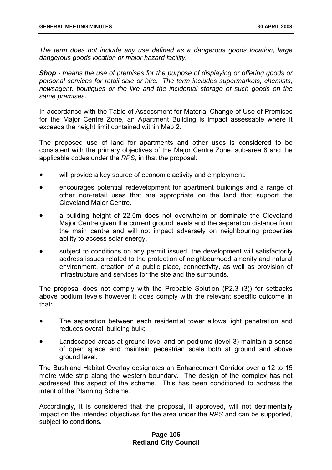*The term does not include any use defined as a dangerous goods location, large dangerous goods location or major hazard facility.* 

*Shop - means the use of premises for the purpose of displaying or offering goods or personal services for retail sale or hire. The term includes supermarkets, chemists, newsagent, boutiques or the like and the incidental storage of such goods on the same premises.* 

In accordance with the Table of Assessment for Material Change of Use of Premises for the Major Centre Zone, an Apartment Building is impact assessable where it exceeds the height limit contained within Map 2.

The proposed use of land for apartments and other uses is considered to be consistent with the primary objectives of the Major Centre Zone, sub-area 8 and the applicable codes under the *RPS*, in that the proposal:

- will provide a key source of economic activity and employment.
- encourages potential redevelopment for apartment buildings and a range of other non-retail uses that are appropriate on the land that support the Cleveland Major Centre.
- a building height of 22.5m does not overwhelm or dominate the Cleveland Major Centre given the current ground levels and the separation distance from the main centre and will not impact adversely on neighbouring properties ability to access solar energy.
- subject to conditions on any permit issued, the development will satisfactorily address issues related to the protection of neighbourhood amenity and natural environment, creation of a public place, connectivity, as well as provision of infrastructure and services for the site and the surrounds.

The proposal does not comply with the Probable Solution (P2.3 (3)) for setbacks above podium levels however it does comply with the relevant specific outcome in that:

- The separation between each residential tower allows light penetration and reduces overall building bulk;
- Landscaped areas at ground level and on podiums (level 3) maintain a sense of open space and maintain pedestrian scale both at ground and above ground level.

The Bushland Habitat Overlay designates an Enhancement Corridor over a 12 to 15 metre wide strip along the western boundary. The design of the complex has not addressed this aspect of the scheme. This has been conditioned to address the intent of the Planning Scheme.

Accordingly, it is considered that the proposal, if approved, will not detrimentally impact on the intended objectives for the area under the *RPS* and can be supported, subject to conditions.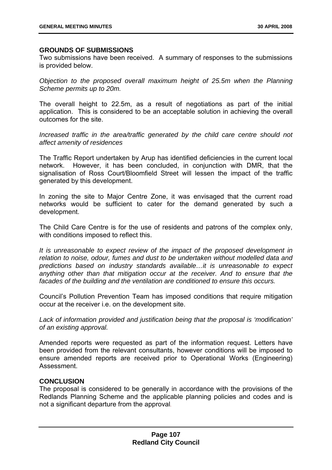### **GROUNDS OF SUBMISSIONS**

Two submissions have been received. A summary of responses to the submissions is provided below.

*Objection to the proposed overall maximum height of 25.5m when the Planning Scheme permits up to 20m.* 

The overall height to 22.5m, as a result of negotiations as part of the initial application. This is considered to be an acceptable solution in achieving the overall outcomes for the site.

*Increased traffic in the area/traffic generated by the child care centre should not affect amenity of residences* 

The Traffic Report undertaken by Arup has identified deficiencies in the current local network. However, it has been concluded, in conjunction with DMR, that the signalisation of Ross Court/Bloomfield Street will lessen the impact of the traffic generated by this development.

In zoning the site to Major Centre Zone, it was envisaged that the current road networks would be sufficient to cater for the demand generated by such a development.

The Child Care Centre is for the use of residents and patrons of the complex only, with conditions imposed to reflect this.

*It is unreasonable to expect review of the impact of the proposed development in relation to noise, odour, fumes and dust to be undertaken without modelled data and predictions based on industry standards available…it is unreasonable to expect*  anything other than that mitigation occur at the receiver. And to ensure that the *facades of the building and the ventilation are conditioned to ensure this occurs.* 

Council's Pollution Prevention Team has imposed conditions that require mitigation occur at the receiver i.e. on the development site.

*Lack of information provided and justification being that the proposal is 'modification' of an existing approval.* 

Amended reports were requested as part of the information request. Letters have been provided from the relevant consultants, however conditions will be imposed to ensure amended reports are received prior to Operational Works (Engineering) Assessment.

### **CONCLUSION**

The proposal is considered to be generally in accordance with the provisions of the Redlands Planning Scheme and the applicable planning policies and codes and is not a significant departure from the approval.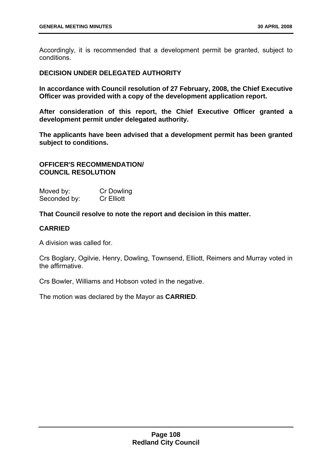Accordingly, it is recommended that a development permit be granted, subject to conditions.

## **DECISION UNDER DELEGATED AUTHORITY**

**In accordance with Council resolution of 27 February, 2008, the Chief Executive Officer was provided with a copy of the development application report.** 

**After consideration of this report, the Chief Executive Officer granted a development permit under delegated authority.** 

**The applicants have been advised that a development permit has been granted subject to conditions.** 

# **OFFICER'S RECOMMENDATION/ COUNCIL RESOLUTION**

| Moved by:    | Cr Dowling        |
|--------------|-------------------|
| Seconded by: | <b>Cr Elliott</b> |

**That Council resolve to note the report and decision in this matter.** 

# **CARRIED**

A division was called for.

Crs Boglary, Ogilvie, Henry, Dowling, Townsend, Elliott, Reimers and Murray voted in the affirmative.

Crs Bowler, Williams and Hobson voted in the negative.

The motion was declared by the Mayor as **CARRIED**.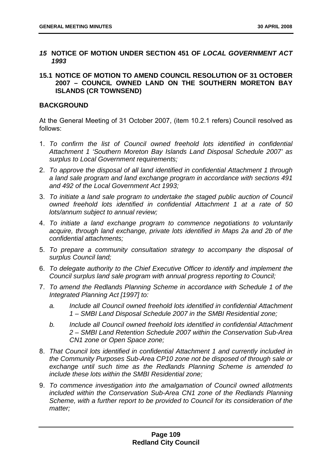- *15* **NOTICE OF MOTION UNDER SECTION 451 OF** *LOCAL GOVERNMENT ACT 1993*
- **15.1 NOTICE OF MOTION TO AMEND COUNCIL RESOLUTION OF 31 OCTOBER 2007 – COUNCIL OWNED LAND ON THE SOUTHERN MORETON BAY ISLANDS (CR TOWNSEND)**

# **BACKGROUND**

At the General Meeting of 31 October 2007, (item 10.2.1 refers) Council resolved as follows:

- 1. *To confirm the list of Council owned freehold lots identified in confidential Attachment 1 'Southern Moreton Bay Islands Land Disposal Schedule 2007' as surplus to Local Government requirements;*
- 2. *To approve the disposal of all land identified in confidential Attachment 1 through a land sale program and land exchange program in accordance with sections 491 and 492 of the Local Government Act 1993;*
- 3. *To initiate a land sale program to undertake the staged public auction of Council owned freehold lots identified in confidential Attachment 1 at a rate of 50 lots/annum subject to annual review;*
- 4. *To initiate a land exchange program to commence negotiations to voluntarily acquire, through land exchange, private lots identified in Maps 2a and 2b of the confidential attachments;*
- 5. *To prepare a community consultation strategy to accompany the disposal of surplus Council land;*
- 6. *To delegate authority to the Chief Executive Officer to identify and implement the Council surplus land sale program with annual progress reporting to Council;*
- 7. *To amend the Redlands Planning Scheme in accordance with Schedule 1 of the Integrated Planning Act [1997] to:* 
	- *a. Include all Council owned freehold lots identified in confidential Attachment 1 – SMBI Land Disposal Schedule 2007 in the SMBI Residential zone;*
	- *b. Include all Council owned freehold lots identified in confidential Attachment 2 – SMBI Land Retention Schedule 2007 within the Conservation Sub-Area CN1 zone or Open Space zone;*
- 8. *That Council lots identified in confidential Attachment 1 and currently included in the Community Purposes Sub-Area CP10 zone not be disposed of through sale or exchange until such time as the Redlands Planning Scheme is amended to include these lots within the SMBI Residential zone;*
- 9. *To commence investigation into the amalgamation of Council owned allotments included within the Conservation Sub-Area CN1 zone of the Redlands Planning Scheme, with a further report to be provided to Council for its consideration of the matter;*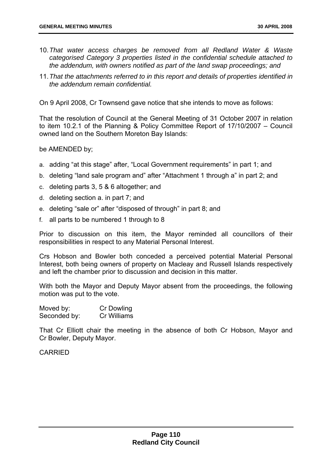- 10. *That water access charges be removed from all Redland Water & Waste categorised Category 3 properties listed in the confidential schedule attached to the addendum, with owners notified as part of the land swap proceedings; and*
- 11. *That the attachments referred to in this report and details of properties identified in the addendum remain confidential.*

On 9 April 2008, Cr Townsend gave notice that she intends to move as follows:

That the resolution of Council at the General Meeting of 31 October 2007 in relation to item 10.2.1 of the Planning & Policy Committee Report of 17/10/2007 – Council owned land on the Southern Moreton Bay Islands:

be AMENDED by;

- a. adding "at this stage" after, "Local Government requirements" in part 1; and
- b. deleting "land sale program and" after "Attachment 1 through a" in part 2; and
- c. deleting parts 3, 5 & 6 altogether; and
- d. deleting section a. in part 7; and
- e. deleting "sale or" after "disposed of through" in part 8; and
- f. all parts to be numbered 1 through to 8

Prior to discussion on this item, the Mayor reminded all councillors of their responsibilities in respect to any Material Personal Interest.

Crs Hobson and Bowler both conceded a perceived potential Material Personal Interest, both being owners of property on Macleay and Russell Islands respectively and left the chamber prior to discussion and decision in this matter.

With both the Mayor and Deputy Mayor absent from the proceedings, the following motion was put to the vote.

| Moved by:    | Cr Dowling  |
|--------------|-------------|
| Seconded by: | Cr Williams |

That Cr Elliott chair the meeting in the absence of both Cr Hobson, Mayor and Cr Bowler, Deputy Mayor.

CARRIED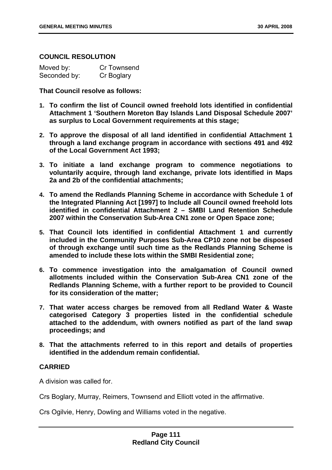## **COUNCIL RESOLUTION**

| Moved by:    | Cr Townsend |
|--------------|-------------|
| Seconded by: | Cr Boglary  |

**That Council resolve as follows:** 

- **1. To confirm the list of Council owned freehold lots identified in confidential Attachment 1 'Southern Moreton Bay Islands Land Disposal Schedule 2007' as surplus to Local Government requirements at this stage;**
- **2. To approve the disposal of all land identified in confidential Attachment 1 through a land exchange program in accordance with sections 491 and 492 of the Local Government Act 1993;**
- **3. To initiate a land exchange program to commence negotiations to voluntarily acquire, through land exchange, private lots identified in Maps 2a and 2b of the confidential attachments;**
- **4. To amend the Redlands Planning Scheme in accordance with Schedule 1 of the Integrated Planning Act [1997] to Include all Council owned freehold lots identified in confidential Attachment 2 – SMBI Land Retention Schedule 2007 within the Conservation Sub-Area CN1 zone or Open Space zone;**
- **5. That Council lots identified in confidential Attachment 1 and currently included in the Community Purposes Sub-Area CP10 zone not be disposed of through exchange until such time as the Redlands Planning Scheme is amended to include these lots within the SMBI Residential zone;**
- **6. To commence investigation into the amalgamation of Council owned allotments included within the Conservation Sub-Area CN1 zone of the Redlands Planning Scheme, with a further report to be provided to Council for its consideration of the matter;**
- **7. That water access charges be removed from all Redland Water & Waste categorised Category 3 properties listed in the confidential schedule attached to the addendum, with owners notified as part of the land swap proceedings; and**
- **8. That the attachments referred to in this report and details of properties identified in the addendum remain confidential.**

## **CARRIED**

A division was called for.

Crs Boglary, Murray, Reimers, Townsend and Elliott voted in the affirmative.

Crs Ogilvie, Henry, Dowling and Williams voted in the negative.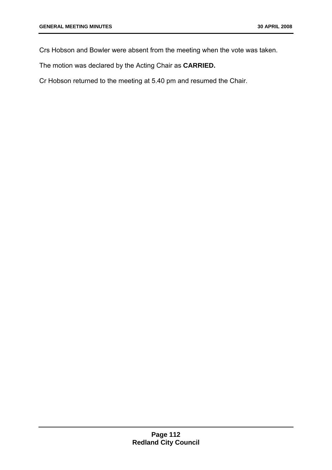Crs Hobson and Bowler were absent from the meeting when the vote was taken.

The motion was declared by the Acting Chair as **CARRIED.** 

Cr Hobson returned to the meeting at 5.40 pm and resumed the Chair.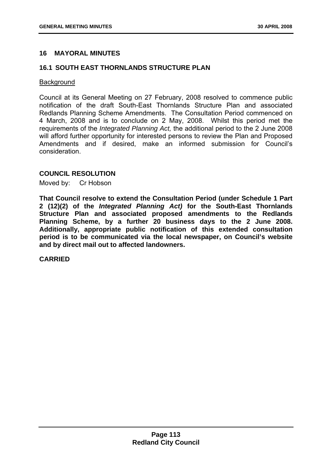# **16 MAYORAL MINUTES**

# **16.1 SOUTH EAST THORNLANDS STRUCTURE PLAN**

#### **Background**

Council at its General Meeting on 27 February, 2008 resolved to commence public notification of the draft South-East Thornlands Structure Plan and associated Redlands Planning Scheme Amendments. The Consultation Period commenced on 4 March, 2008 and is to conclude on 2 May, 2008. Whilst this period met the requirements of the *Integrated Planning Act,* the additional period to the 2 June 2008 will afford further opportunity for interested persons to review the Plan and Proposed Amendments and if desired, make an informed submission for Council's consideration.

## **COUNCIL RESOLUTION**

Moved by: Cr Hobson

**That Council resolve to extend the Consultation Period (under Schedule 1 Part 2 (12)(2) of the** *Integrated Planning Act)* **for the South-East Thornlands Structure Plan and associated proposed amendments to the Redlands Planning Scheme, by a further 20 business days to the 2 June 2008. Additionally, appropriate public notification of this extended consultation period is to be communicated via the local newspaper, on Council's website and by direct mail out to affected landowners.** 

**CARRIED**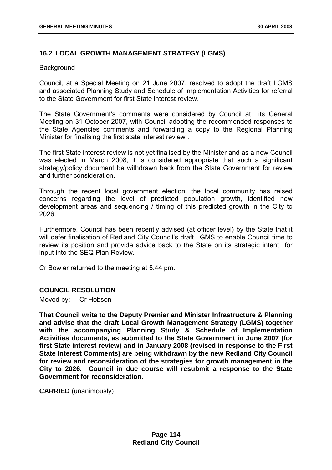# **16.2 LOCAL GROWTH MANAGEMENT STRATEGY (LGMS)**

#### **Background**

Council, at a Special Meeting on 21 June 2007, resolved to adopt the draft LGMS and associated Planning Study and Schedule of Implementation Activities for referral to the State Government for first State interest review.

The State Government's comments were considered by Council at its General Meeting on 31 October 2007, with Council adopting the recommended responses to the State Agencies comments and forwarding a copy to the Regional Planning Minister for finalising the first state interest review .

The first State interest review is not yet finalised by the Minister and as a new Council was elected in March 2008, it is considered appropriate that such a significant strategy/policy document be withdrawn back from the State Government for review and further consideration.

Through the recent local government election, the local community has raised concerns regarding the level of predicted population growth, identified new development areas and sequencing / timing of this predicted growth in the City to 2026.

Furthermore, Council has been recently advised (at officer level) by the State that it will defer finalisation of Redland City Council's draft LGMS to enable Council time to review its position and provide advice back to the State on its strategic intent for input into the SEQ Plan Review.

Cr Bowler returned to the meeting at 5.44 pm.

## **COUNCIL RESOLUTION**

Moved by: Cr Hobson

**That Council write to the Deputy Premier and Minister Infrastructure & Planning and advise that the draft Local Growth Management Strategy (LGMS) together with the accompanying Planning Study & Schedule of Implementation Activities documents, as submitted to the State Government in June 2007 (for first State interest review) and in January 2008 (revised in response to the First State Interest Comments) are being withdrawn by the new Redland City Council for review and reconsideration of the strategies for growth management in the City to 2026. Council in due course will resubmit a response to the State Government for reconsideration.** 

**CARRIED** (unanimously)